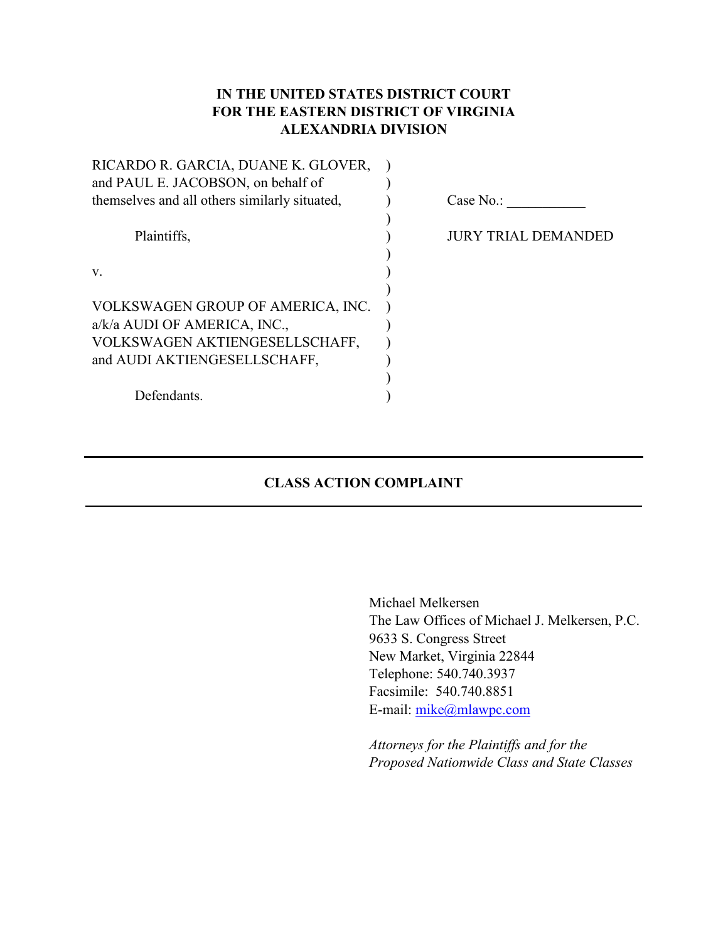# **IN THE UNITED STATES DISTRICT COURT FOR THE EASTERN DISTRICT OF VIRGINIA ALEXANDRIA DIVISION**

| RICARDO R. GARCIA, DUANE K. GLOVER,           |                            |
|-----------------------------------------------|----------------------------|
| and PAUL E. JACOBSON, on behalf of            |                            |
| themselves and all others similarly situated, | Case $No.$ :               |
|                                               |                            |
| Plaintiffs,                                   | <b>JURY TRIAL DEMANDED</b> |
|                                               |                            |
| V.                                            |                            |
|                                               |                            |
| VOLKSWAGEN GROUP OF AMERICA, INC.             |                            |
| a/k/a AUDI OF AMERICA, INC.,                  |                            |
| VOLKSWAGEN AKTIENGESELLSCHAFF,                |                            |
| and AUDI AKTIENGESELLSCHAFF,                  |                            |
|                                               |                            |
| Defendants.                                   |                            |
|                                               |                            |

## **CLASS ACTION COMPLAINT**  $\mathcal{L}_\mathcal{L} = \mathcal{L}_\mathcal{L} = \mathcal{L}_\mathcal{L} = \mathcal{L}_\mathcal{L} = \mathcal{L}_\mathcal{L} = \mathcal{L}_\mathcal{L} = \mathcal{L}_\mathcal{L} = \mathcal{L}_\mathcal{L} = \mathcal{L}_\mathcal{L} = \mathcal{L}_\mathcal{L} = \mathcal{L}_\mathcal{L} = \mathcal{L}_\mathcal{L} = \mathcal{L}_\mathcal{L} = \mathcal{L}_\mathcal{L} = \mathcal{L}_\mathcal{L} = \mathcal{L}_\mathcal{L} = \mathcal{L}_\mathcal{L}$

Michael Melkersen The Law Offices of Michael J. Melkersen, P.C. 9633 S. Congress Street New Market, Virginia 22844 Telephone: 540.740.3937 Facsimile: 540.740.8851 E-mail: mike@mlawpc.com

*Attorneys for the Plaintiffs and for the Proposed Nationwide Class and State Classes*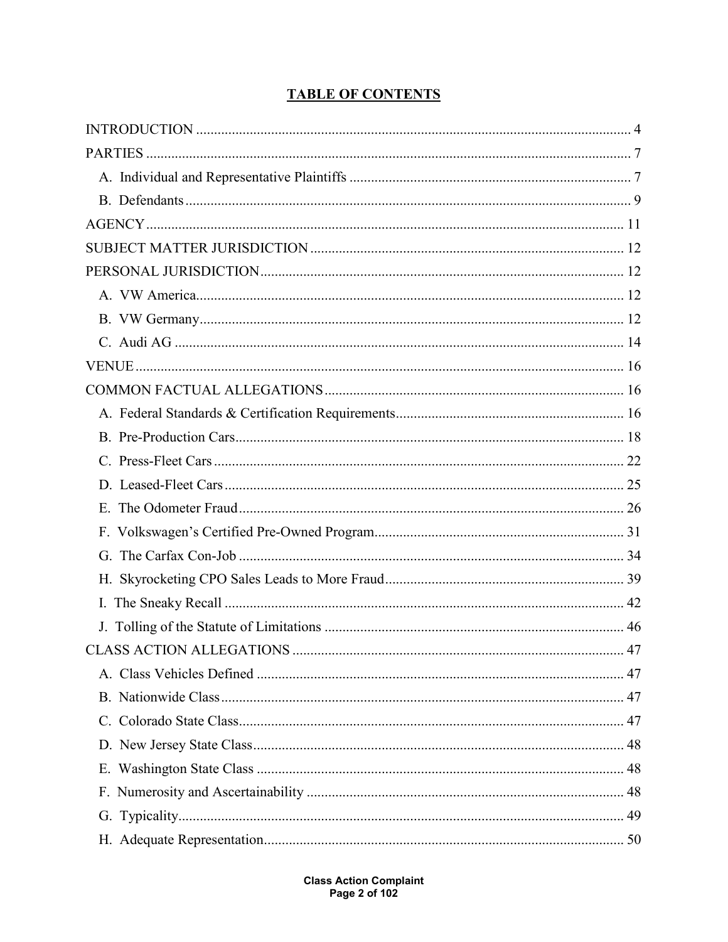# **TABLE OF CONTENTS**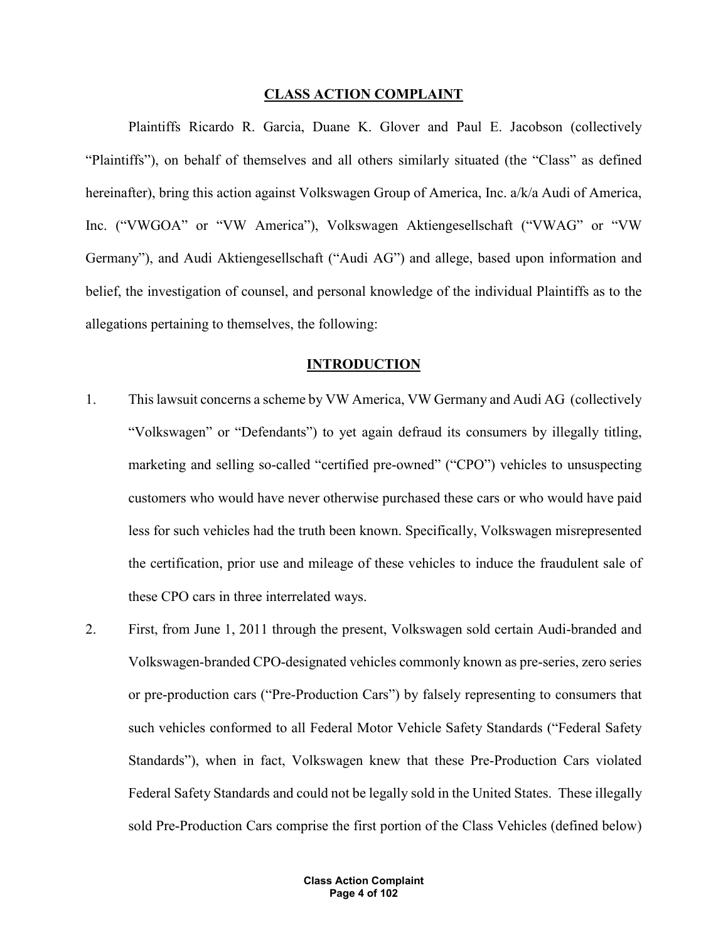## **CLASS ACTION COMPLAINT**

Plaintiffs Ricardo R. Garcia, Duane K. Glover and Paul E. Jacobson (collectively "Plaintiffs"), on behalf of themselves and all others similarly situated (the "Class" as defined hereinafter), bring this action against Volkswagen Group of America, Inc. a/k/a Audi of America, Inc. ("VWGOA" or "VW America"), Volkswagen Aktiengesellschaft ("VWAG" or "VW Germany"), and Audi Aktiengesellschaft ("Audi AG") and allege, based upon information and belief, the investigation of counsel, and personal knowledge of the individual Plaintiffs as to the allegations pertaining to themselves, the following:

#### **INTRODUCTION**

- 1. This lawsuit concerns a scheme by VW America, VW Germany and Audi AG (collectively "Volkswagen" or "Defendants") to yet again defraud its consumers by illegally titling, marketing and selling so-called "certified pre-owned" ("CPO") vehicles to unsuspecting customers who would have never otherwise purchased these cars or who would have paid less for such vehicles had the truth been known. Specifically, Volkswagen misrepresented the certification, prior use and mileage of these vehicles to induce the fraudulent sale of these CPO cars in three interrelated ways.
- 2. First, from June 1, 2011 through the present, Volkswagen sold certain Audi-branded and Volkswagen-branded CPO-designated vehicles commonly known as pre-series, zero series or pre-production cars ("Pre-Production Cars") by falsely representing to consumers that such vehicles conformed to all Federal Motor Vehicle Safety Standards ("Federal Safety Standards"), when in fact, Volkswagen knew that these Pre-Production Cars violated Federal Safety Standards and could not be legally sold in the United States. These illegally sold Pre-Production Cars comprise the first portion of the Class Vehicles (defined below)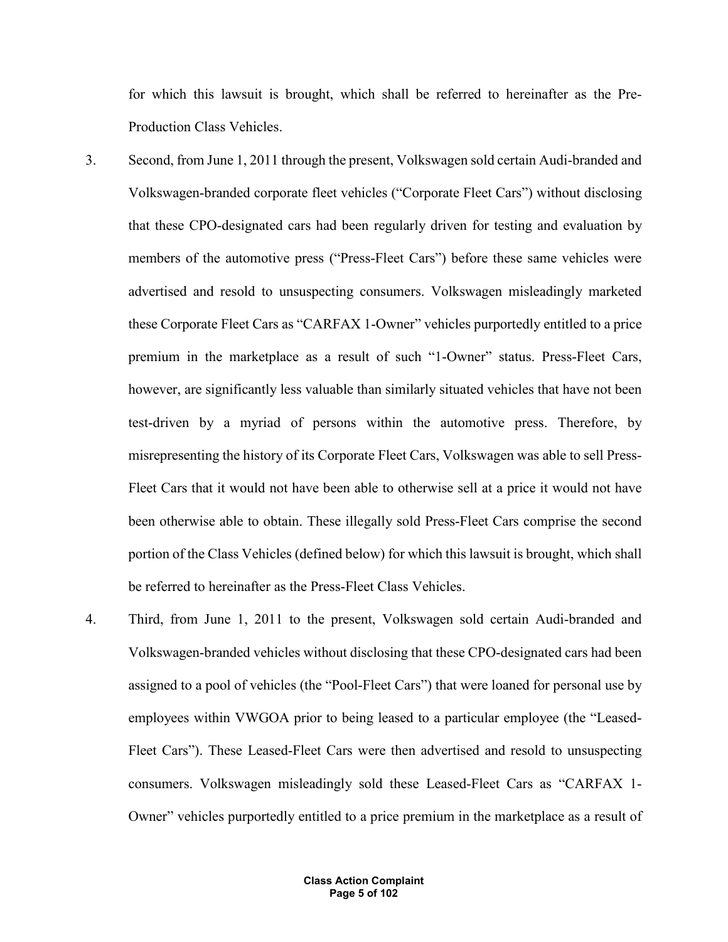for which this lawsuit is brought, which shall be referred to hereinafter as the Pre-Production Class Vehicles.

- 3. Second, from June 1, 2011 through the present, Volkswagen sold certain Audi-branded and Volkswagen-branded corporate fleet vehicles ("Corporate Fleet Cars") without disclosing that these CPO-designated cars had been regularly driven for testing and evaluation by members of the automotive press ("Press-Fleet Cars") before these same vehicles were advertised and resold to unsuspecting consumers. Volkswagen misleadingly marketed these Corporate Fleet Cars as "CARFAX 1-Owner" vehicles purportedly entitled to a price premium in the marketplace as a result of such "1-Owner" status. Press-Fleet Cars, however, are significantly less valuable than similarly situated vehicles that have not been test-driven by a myriad of persons within the automotive press. Therefore, by misrepresenting the history of its Corporate Fleet Cars, Volkswagen was able to sell Press-Fleet Cars that it would not have been able to otherwise sell at a price it would not have been otherwise able to obtain. These illegally sold Press-Fleet Cars comprise the second portion of the Class Vehicles (defined below) for which this lawsuit is brought, which shall be referred to hereinafter as the Press-Fleet Class Vehicles.
- 4. Third, from June 1, 2011 to the present, Volkswagen sold certain Audi-branded and Volkswagen-branded vehicles without disclosing that these CPO-designated cars had been assigned to a pool of vehicles (the "Pool-Fleet Cars") that were loaned for personal use by employees within VWGOA prior to being leased to a particular employee (the "Leased-Fleet Cars"). These Leased-Fleet Cars were then advertised and resold to unsuspecting consumers. Volkswagen misleadingly sold these Leased-Fleet Cars as "CARFAX 1- Owner" vehicles purportedly entitled to a price premium in the marketplace as a result of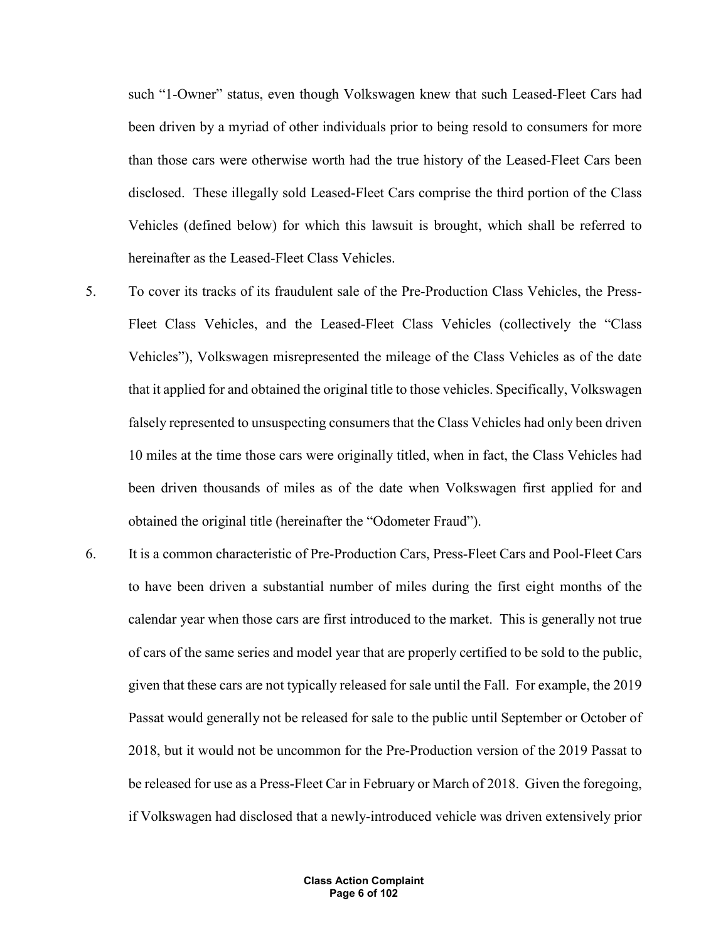such "1-Owner" status, even though Volkswagen knew that such Leased-Fleet Cars had been driven by a myriad of other individuals prior to being resold to consumers for more than those cars were otherwise worth had the true history of the Leased-Fleet Cars been disclosed. These illegally sold Leased-Fleet Cars comprise the third portion of the Class Vehicles (defined below) for which this lawsuit is brought, which shall be referred to hereinafter as the Leased-Fleet Class Vehicles.

- 5. To cover its tracks of its fraudulent sale of the Pre-Production Class Vehicles, the Press-Fleet Class Vehicles, and the Leased-Fleet Class Vehicles (collectively the "Class Vehicles"), Volkswagen misrepresented the mileage of the Class Vehicles as of the date that it applied for and obtained the original title to those vehicles. Specifically, Volkswagen falsely represented to unsuspecting consumers that the Class Vehicles had only been driven 10 miles at the time those cars were originally titled, when in fact, the Class Vehicles had been driven thousands of miles as of the date when Volkswagen first applied for and obtained the original title (hereinafter the "Odometer Fraud").
- 6. It is a common characteristic of Pre-Production Cars, Press-Fleet Cars and Pool-Fleet Cars to have been driven a substantial number of miles during the first eight months of the calendar year when those cars are first introduced to the market. This is generally not true of cars of the same series and model year that are properly certified to be sold to the public, given that these cars are not typically released for sale until the Fall. For example, the 2019 Passat would generally not be released for sale to the public until September or October of 2018, but it would not be uncommon for the Pre-Production version of the 2019 Passat to be released for use as a Press-Fleet Car in February or March of 2018. Given the foregoing, if Volkswagen had disclosed that a newly-introduced vehicle was driven extensively prior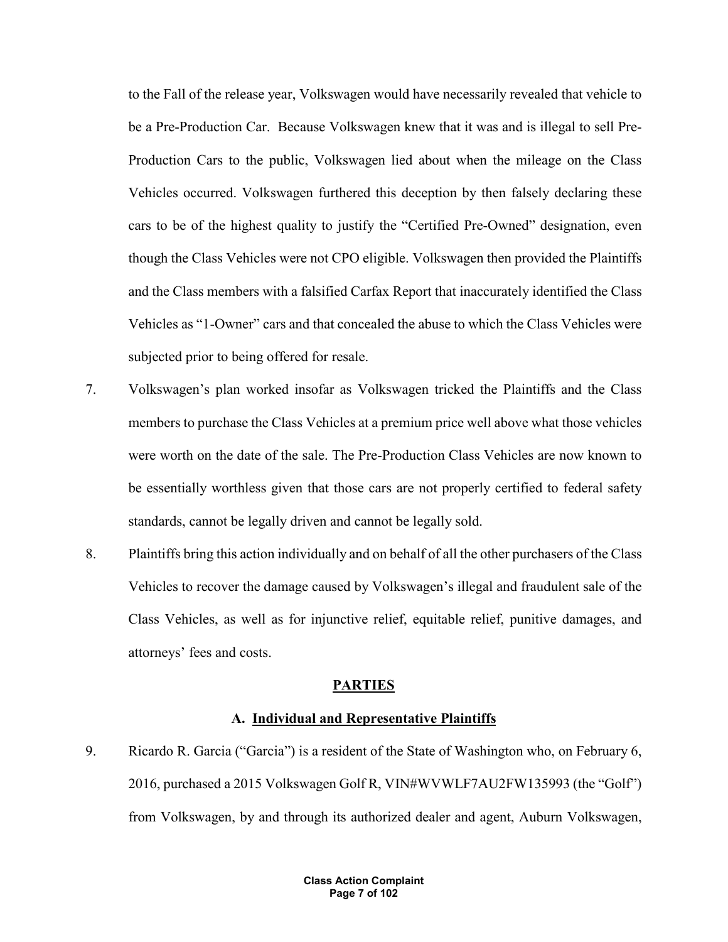to the Fall of the release year, Volkswagen would have necessarily revealed that vehicle to be a Pre-Production Car. Because Volkswagen knew that it was and is illegal to sell Pre-Production Cars to the public, Volkswagen lied about when the mileage on the Class Vehicles occurred. Volkswagen furthered this deception by then falsely declaring these cars to be of the highest quality to justify the "Certified Pre-Owned" designation, even though the Class Vehicles were not CPO eligible. Volkswagen then provided the Plaintiffs and the Class members with a falsified Carfax Report that inaccurately identified the Class Vehicles as "1-Owner" cars and that concealed the abuse to which the Class Vehicles were subjected prior to being offered for resale.

- 7. Volkswagen's plan worked insofar as Volkswagen tricked the Plaintiffs and the Class members to purchase the Class Vehicles at a premium price well above what those vehicles were worth on the date of the sale. The Pre-Production Class Vehicles are now known to be essentially worthless given that those cars are not properly certified to federal safety standards, cannot be legally driven and cannot be legally sold.
- 8. Plaintiffs bring this action individually and on behalf of all the other purchasers of the Class Vehicles to recover the damage caused by Volkswagen's illegal and fraudulent sale of the Class Vehicles, as well as for injunctive relief, equitable relief, punitive damages, and attorneys' fees and costs.

## **PARTIES**

#### **A. Individual and Representative Plaintiffs**

9. Ricardo R. Garcia ("Garcia") is a resident of the State of Washington who, on February 6, 2016, purchased a 2015 Volkswagen Golf R, VIN#WVWLF7AU2FW135993 (the "Golf") from Volkswagen, by and through its authorized dealer and agent, Auburn Volkswagen,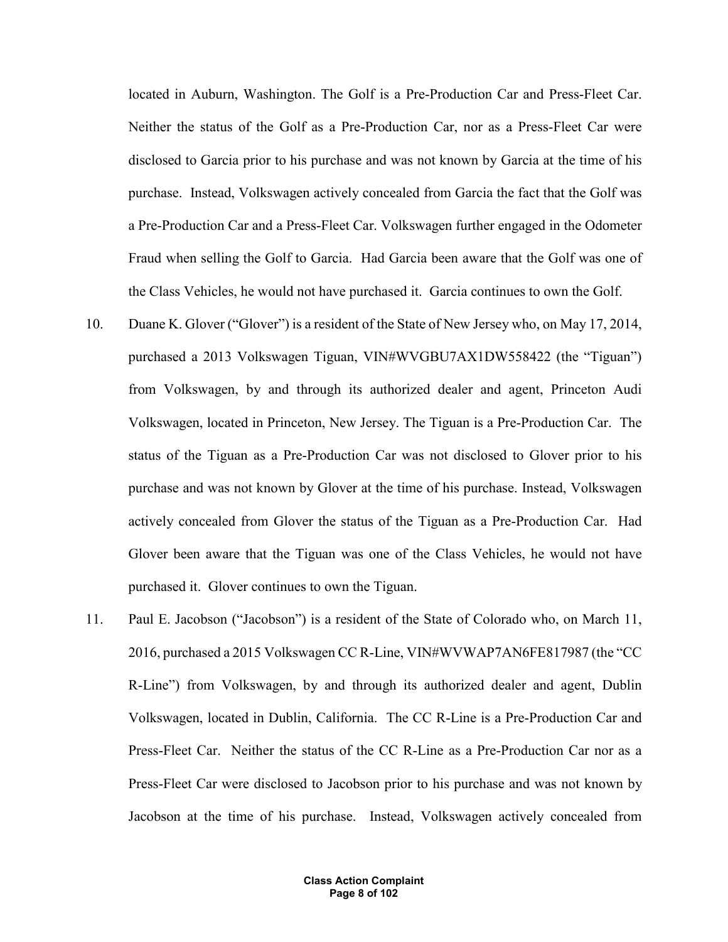located in Auburn, Washington. The Golf is a Pre-Production Car and Press-Fleet Car. Neither the status of the Golf as a Pre-Production Car, nor as a Press-Fleet Car were disclosed to Garcia prior to his purchase and was not known by Garcia at the time of his purchase. Instead, Volkswagen actively concealed from Garcia the fact that the Golf was a Pre-Production Car and a Press-Fleet Car. Volkswagen further engaged in the Odometer Fraud when selling the Golf to Garcia. Had Garcia been aware that the Golf was one of the Class Vehicles, he would not have purchased it. Garcia continues to own the Golf.

- 10. Duane K. Glover ("Glover") is a resident of the State of New Jersey who, on May 17, 2014, purchased a 2013 Volkswagen Tiguan, VIN#WVGBU7AX1DW558422 (the "Tiguan") from Volkswagen, by and through its authorized dealer and agent, Princeton Audi Volkswagen, located in Princeton, New Jersey. The Tiguan is a Pre-Production Car. The status of the Tiguan as a Pre-Production Car was not disclosed to Glover prior to his purchase and was not known by Glover at the time of his purchase. Instead, Volkswagen actively concealed from Glover the status of the Tiguan as a Pre-Production Car. Had Glover been aware that the Tiguan was one of the Class Vehicles, he would not have purchased it. Glover continues to own the Tiguan.
- 11. Paul E. Jacobson ("Jacobson") is a resident of the State of Colorado who, on March 11, 2016, purchased a 2015 Volkswagen CC R-Line, VIN#WVWAP7AN6FE817987 (the "CC R-Line") from Volkswagen, by and through its authorized dealer and agent, Dublin Volkswagen, located in Dublin, California. The CC R-Line is a Pre-Production Car and Press-Fleet Car. Neither the status of the CC R-Line as a Pre-Production Car nor as a Press-Fleet Car were disclosed to Jacobson prior to his purchase and was not known by Jacobson at the time of his purchase. Instead, Volkswagen actively concealed from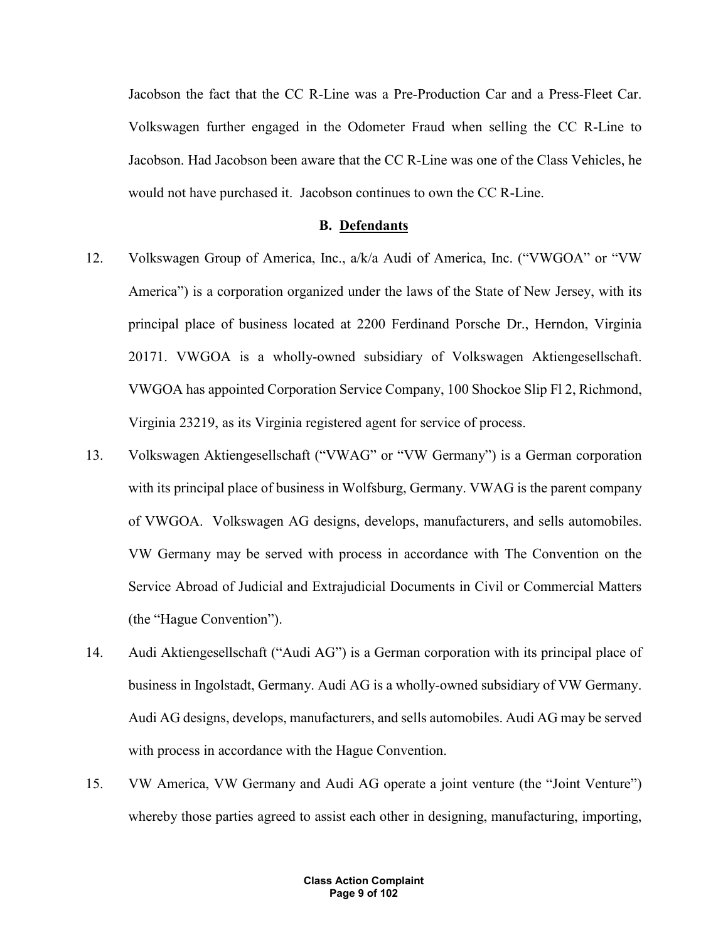Jacobson the fact that the CC R-Line was a Pre-Production Car and a Press-Fleet Car. Volkswagen further engaged in the Odometer Fraud when selling the CC R-Line to Jacobson. Had Jacobson been aware that the CC R-Line was one of the Class Vehicles, he would not have purchased it. Jacobson continues to own the CC R-Line.

#### **B. Defendants**

- 12. Volkswagen Group of America, Inc., a/k/a Audi of America, Inc. ("VWGOA" or "VW America") is a corporation organized under the laws of the State of New Jersey, with its principal place of business located at 2200 Ferdinand Porsche Dr., Herndon, Virginia 20171. VWGOA is a wholly-owned subsidiary of Volkswagen Aktiengesellschaft. VWGOA has appointed Corporation Service Company, 100 Shockoe Slip Fl 2, Richmond, Virginia 23219, as its Virginia registered agent for service of process.
- 13. Volkswagen Aktiengesellschaft ("VWAG" or "VW Germany") is a German corporation with its principal place of business in Wolfsburg, Germany. VWAG is the parent company of VWGOA. Volkswagen AG designs, develops, manufacturers, and sells automobiles. VW Germany may be served with process in accordance with The Convention on the Service Abroad of Judicial and Extrajudicial Documents in Civil or Commercial Matters (the "Hague Convention").
- 14. Audi Aktiengesellschaft ("Audi AG") is a German corporation with its principal place of business in Ingolstadt, Germany. Audi AG is a wholly-owned subsidiary of VW Germany. Audi AG designs, develops, manufacturers, and sells automobiles. Audi AG may be served with process in accordance with the Hague Convention.
- 15. VW America, VW Germany and Audi AG operate a joint venture (the "Joint Venture") whereby those parties agreed to assist each other in designing, manufacturing, importing,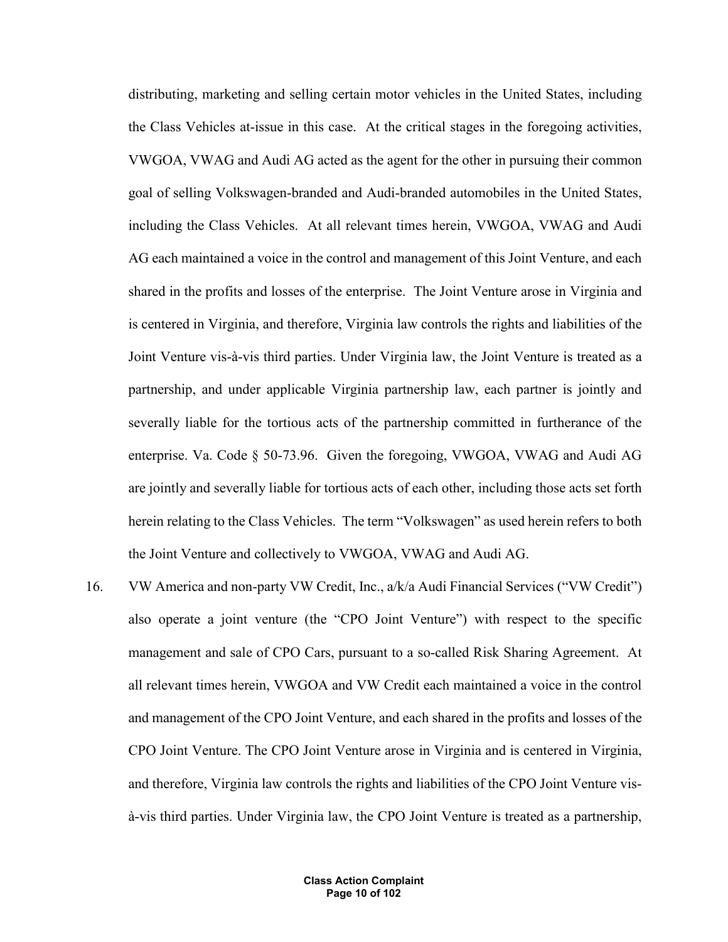distributing, marketing and selling certain motor vehicles in the United States, including the Class Vehicles at-issue in this case. At the critical stages in the foregoing activities, VWGOA, VWAG and Audi AG acted as the agent for the other in pursuing their common goal of selling Volkswagen-branded and Audi-branded automobiles in the United States, including the Class Vehicles. At all relevant times herein, VWGOA, VWAG and Audi AG each maintained a voice in the control and management of this Joint Venture, and each shared in the profits and losses of the enterprise. The Joint Venture arose in Virginia and is centered in Virginia, and therefore, Virginia law controls the rights and liabilities of the Joint Venture vis-à-vis third parties. Under Virginia law, the Joint Venture is treated as a partnership, and under applicable Virginia partnership law, each partner is jointly and severally liable for the tortious acts of the partnership committed in furtherance of the enterprise. Va. Code § 50-73.96. Given the foregoing, VWGOA, VWAG and Audi AG are jointly and severally liable for tortious acts of each other, including those acts set forth herein relating to the Class Vehicles. The term "Volkswagen" as used herein refers to both the Joint Venture and collectively to VWGOA, VWAG and Audi AG.

16. VW America and non-party VW Credit, Inc., a/k/a Audi Financial Services ("VW Credit") also operate a joint venture (the "CPO Joint Venture") with respect to the specific management and sale of CPO Cars, pursuant to a so-called Risk Sharing Agreement. At all relevant times herein, VWGOA and VW Credit each maintained a voice in the control and management of the CPO Joint Venture, and each shared in the profits and losses of the CPO Joint Venture. The CPO Joint Venture arose in Virginia and is centered in Virginia, and therefore, Virginia law controls the rights and liabilities of the CPO Joint Venture visà-vis third parties. Under Virginia law, the CPO Joint Venture is treated as a partnership,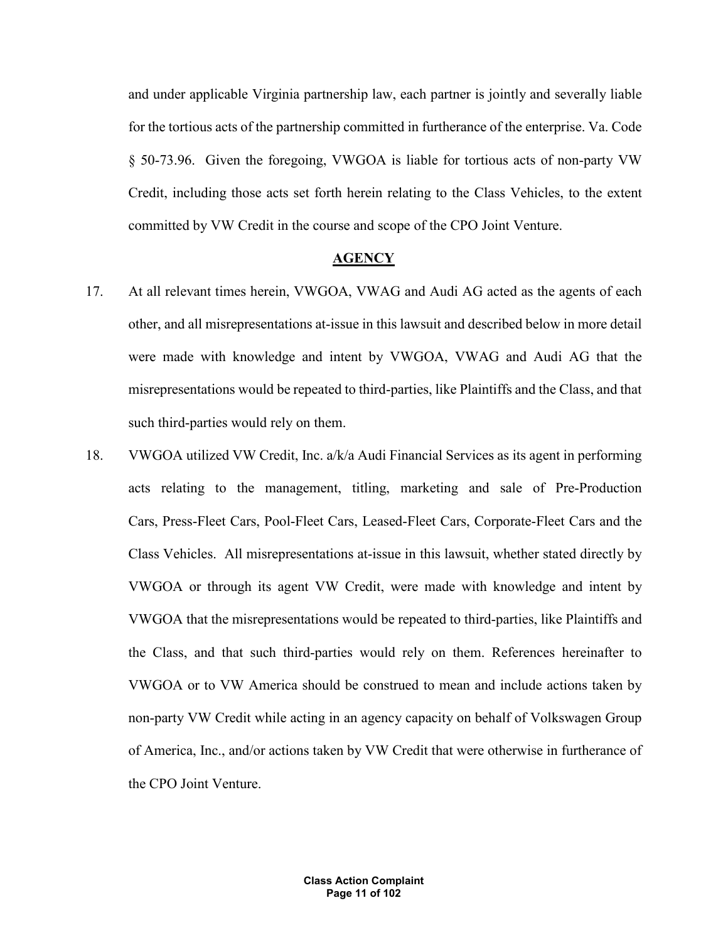and under applicable Virginia partnership law, each partner is jointly and severally liable for the tortious acts of the partnership committed in furtherance of the enterprise. Va. Code § 50-73.96. Given the foregoing, VWGOA is liable for tortious acts of non-party VW Credit, including those acts set forth herein relating to the Class Vehicles, to the extent committed by VW Credit in the course and scope of the CPO Joint Venture.

## **AGENCY**

- 17. At all relevant times herein, VWGOA, VWAG and Audi AG acted as the agents of each other, and all misrepresentations at-issue in this lawsuit and described below in more detail were made with knowledge and intent by VWGOA, VWAG and Audi AG that the misrepresentations would be repeated to third-parties, like Plaintiffs and the Class, and that such third-parties would rely on them.
- 18. VWGOA utilized VW Credit, Inc. a/k/a Audi Financial Services as its agent in performing acts relating to the management, titling, marketing and sale of Pre-Production Cars, Press-Fleet Cars, Pool-Fleet Cars, Leased-Fleet Cars, Corporate-Fleet Cars and the Class Vehicles. All misrepresentations at-issue in this lawsuit, whether stated directly by VWGOA or through its agent VW Credit, were made with knowledge and intent by VWGOA that the misrepresentations would be repeated to third-parties, like Plaintiffs and the Class, and that such third-parties would rely on them. References hereinafter to VWGOA or to VW America should be construed to mean and include actions taken by non-party VW Credit while acting in an agency capacity on behalf of Volkswagen Group of America, Inc., and/or actions taken by VW Credit that were otherwise in furtherance of the CPO Joint Venture.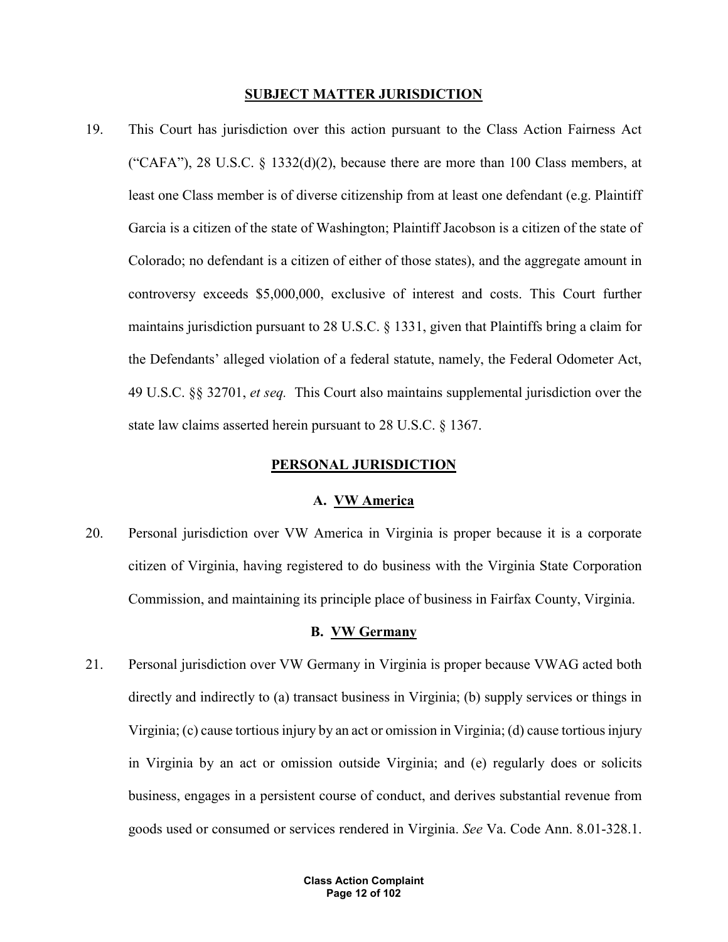#### **SUBJECT MATTER JURISDICTION**

19. This Court has jurisdiction over this action pursuant to the Class Action Fairness Act ("CAFA"), 28 U.S.C. § 1332(d)(2), because there are more than 100 Class members, at least one Class member is of diverse citizenship from at least one defendant (e.g. Plaintiff Garcia is a citizen of the state of Washington; Plaintiff Jacobson is a citizen of the state of Colorado; no defendant is a citizen of either of those states), and the aggregate amount in controversy exceeds \$5,000,000, exclusive of interest and costs. This Court further maintains jurisdiction pursuant to 28 U.S.C. § 1331, given that Plaintiffs bring a claim for the Defendants' alleged violation of a federal statute, namely, the Federal Odometer Act, 49 U.S.C. §§ 32701, *et seq.* This Court also maintains supplemental jurisdiction over the state law claims asserted herein pursuant to 28 U.S.C. § 1367.

#### **PERSONAL JURISDICTION**

## **A. VW America**

20. Personal jurisdiction over VW America in Virginia is proper because it is a corporate citizen of Virginia, having registered to do business with the Virginia State Corporation Commission, and maintaining its principle place of business in Fairfax County, Virginia.

#### **B. VW Germany**

21. Personal jurisdiction over VW Germany in Virginia is proper because VWAG acted both directly and indirectly to (a) transact business in Virginia; (b) supply services or things in Virginia; (c) cause tortious injury by an act or omission in Virginia; (d) cause tortious injury in Virginia by an act or omission outside Virginia; and (e) regularly does or solicits business, engages in a persistent course of conduct, and derives substantial revenue from goods used or consumed or services rendered in Virginia. *See* Va. Code Ann. 8.01-328.1.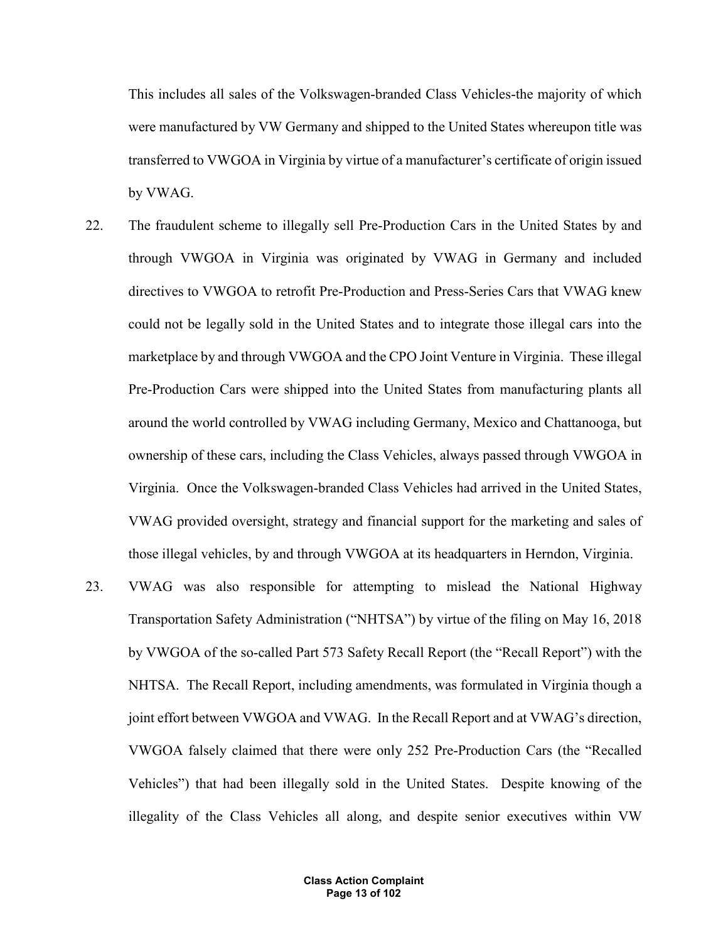This includes all sales of the Volkswagen-branded Class Vehicles-the majority of which were manufactured by VW Germany and shipped to the United States whereupon title was transferred to VWGOA in Virginia by virtue of a manufacturer's certificate of origin issued by VWAG.

- 22. The fraudulent scheme to illegally sell Pre-Production Cars in the United States by and through VWGOA in Virginia was originated by VWAG in Germany and included directives to VWGOA to retrofit Pre-Production and Press-Series Cars that VWAG knew could not be legally sold in the United States and to integrate those illegal cars into the marketplace by and through VWGOA and the CPO Joint Venture in Virginia. These illegal Pre-Production Cars were shipped into the United States from manufacturing plants all around the world controlled by VWAG including Germany, Mexico and Chattanooga, but ownership of these cars, including the Class Vehicles, always passed through VWGOA in Virginia. Once the Volkswagen-branded Class Vehicles had arrived in the United States, VWAG provided oversight, strategy and financial support for the marketing and sales of those illegal vehicles, by and through VWGOA at its headquarters in Herndon, Virginia.
- 23. VWAG was also responsible for attempting to mislead the National Highway Transportation Safety Administration ("NHTSA") by virtue of the filing on May 16, 2018 by VWGOA of the so-called Part 573 Safety Recall Report (the "Recall Report") with the NHTSA. The Recall Report, including amendments, was formulated in Virginia though a joint effort between VWGOA and VWAG. In the Recall Report and at VWAG's direction, VWGOA falsely claimed that there were only 252 Pre-Production Cars (the "Recalled Vehicles") that had been illegally sold in the United States. Despite knowing of the illegality of the Class Vehicles all along, and despite senior executives within VW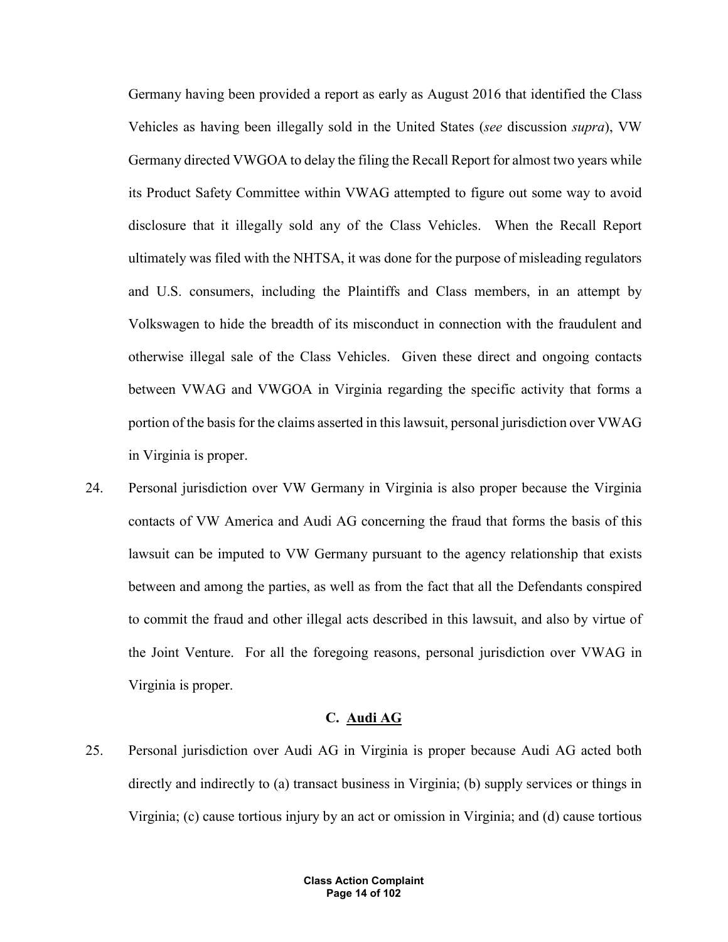Germany having been provided a report as early as August 2016 that identified the Class Vehicles as having been illegally sold in the United States (*see* discussion *supra*), VW Germany directed VWGOA to delay the filing the Recall Report for almost two years while its Product Safety Committee within VWAG attempted to figure out some way to avoid disclosure that it illegally sold any of the Class Vehicles. When the Recall Report ultimately was filed with the NHTSA, it was done for the purpose of misleading regulators and U.S. consumers, including the Plaintiffs and Class members, in an attempt by Volkswagen to hide the breadth of its misconduct in connection with the fraudulent and otherwise illegal sale of the Class Vehicles. Given these direct and ongoing contacts between VWAG and VWGOA in Virginia regarding the specific activity that forms a portion of the basis for the claims asserted in this lawsuit, personal jurisdiction over VWAG in Virginia is proper.

24. Personal jurisdiction over VW Germany in Virginia is also proper because the Virginia contacts of VW America and Audi AG concerning the fraud that forms the basis of this lawsuit can be imputed to VW Germany pursuant to the agency relationship that exists between and among the parties, as well as from the fact that all the Defendants conspired to commit the fraud and other illegal acts described in this lawsuit, and also by virtue of the Joint Venture. For all the foregoing reasons, personal jurisdiction over VWAG in Virginia is proper.

## **C. Audi AG**

25. Personal jurisdiction over Audi AG in Virginia is proper because Audi AG acted both directly and indirectly to (a) transact business in Virginia; (b) supply services or things in Virginia; (c) cause tortious injury by an act or omission in Virginia; and (d) cause tortious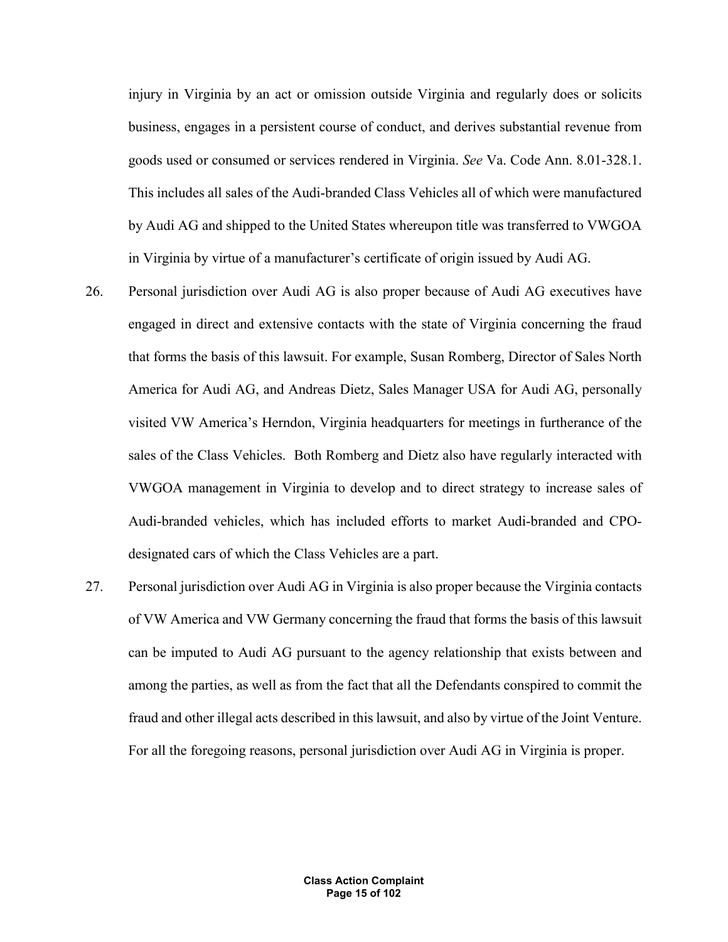injury in Virginia by an act or omission outside Virginia and regularly does or solicits business, engages in a persistent course of conduct, and derives substantial revenue from goods used or consumed or services rendered in Virginia. *See* Va. Code Ann. 8.01-328.1. This includes all sales of the Audi-branded Class Vehicles all of which were manufactured by Audi AG and shipped to the United States whereupon title was transferred to VWGOA in Virginia by virtue of a manufacturer's certificate of origin issued by Audi AG.

- 26. Personal jurisdiction over Audi AG is also proper because of Audi AG executives have engaged in direct and extensive contacts with the state of Virginia concerning the fraud that forms the basis of this lawsuit. For example, Susan Romberg, Director of Sales North America for Audi AG, and Andreas Dietz, Sales Manager USA for Audi AG, personally visited VW America's Herndon, Virginia headquarters for meetings in furtherance of the sales of the Class Vehicles. Both Romberg and Dietz also have regularly interacted with VWGOA management in Virginia to develop and to direct strategy to increase sales of Audi-branded vehicles, which has included efforts to market Audi-branded and CPOdesignated cars of which the Class Vehicles are a part.
- 27. Personal jurisdiction over Audi AG in Virginia is also proper because the Virginia contacts of VW America and VW Germany concerning the fraud that forms the basis of this lawsuit can be imputed to Audi AG pursuant to the agency relationship that exists between and among the parties, as well as from the fact that all the Defendants conspired to commit the fraud and other illegal acts described in this lawsuit, and also by virtue of the Joint Venture. For all the foregoing reasons, personal jurisdiction over Audi AG in Virginia is proper.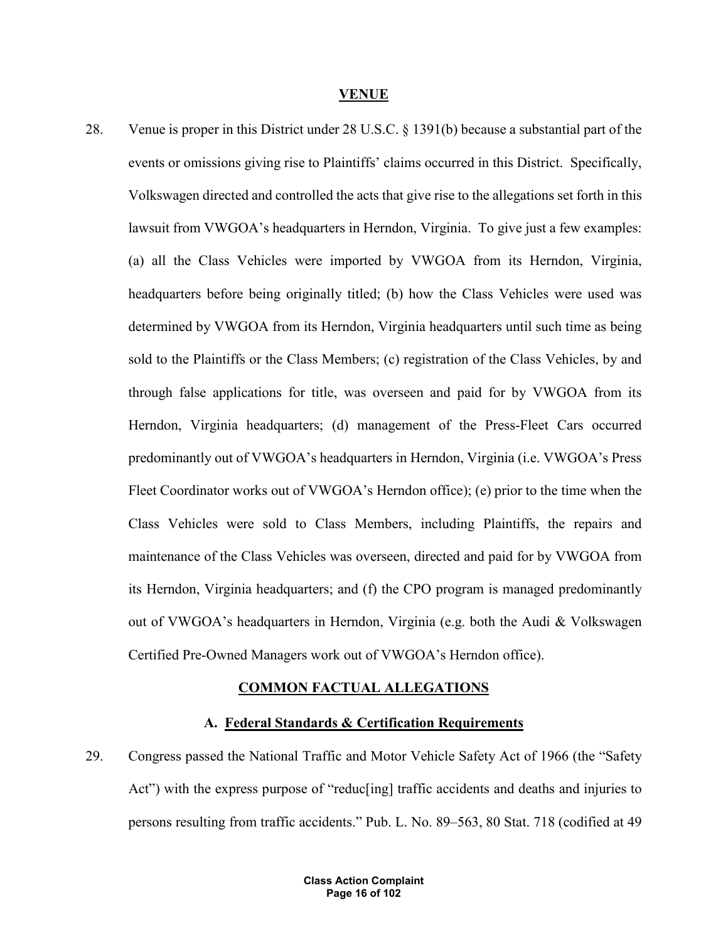#### **VENUE**

28. Venue is proper in this District under 28 U.S.C. § 1391(b) because a substantial part of the events or omissions giving rise to Plaintiffs' claims occurred in this District. Specifically, Volkswagen directed and controlled the acts that give rise to the allegations set forth in this lawsuit from VWGOA's headquarters in Herndon, Virginia. To give just a few examples: (a) all the Class Vehicles were imported by VWGOA from its Herndon, Virginia, headquarters before being originally titled; (b) how the Class Vehicles were used was determined by VWGOA from its Herndon, Virginia headquarters until such time as being sold to the Plaintiffs or the Class Members; (c) registration of the Class Vehicles, by and through false applications for title, was overseen and paid for by VWGOA from its Herndon, Virginia headquarters; (d) management of the Press-Fleet Cars occurred predominantly out of VWGOA's headquarters in Herndon, Virginia (i.e. VWGOA's Press Fleet Coordinator works out of VWGOA's Herndon office); (e) prior to the time when the Class Vehicles were sold to Class Members, including Plaintiffs, the repairs and maintenance of the Class Vehicles was overseen, directed and paid for by VWGOA from its Herndon, Virginia headquarters; and (f) the CPO program is managed predominantly out of VWGOA's headquarters in Herndon, Virginia (e.g. both the Audi & Volkswagen Certified Pre-Owned Managers work out of VWGOA's Herndon office).

## **COMMON FACTUAL ALLEGATIONS**

#### **A. Federal Standards & Certification Requirements**

29. Congress passed the National Traffic and Motor Vehicle Safety Act of 1966 (the "Safety Act") with the express purpose of "reduc[ing] traffic accidents and deaths and injuries to persons resulting from traffic accidents." Pub. L. No. 89–563, 80 Stat. 718 (codified at 49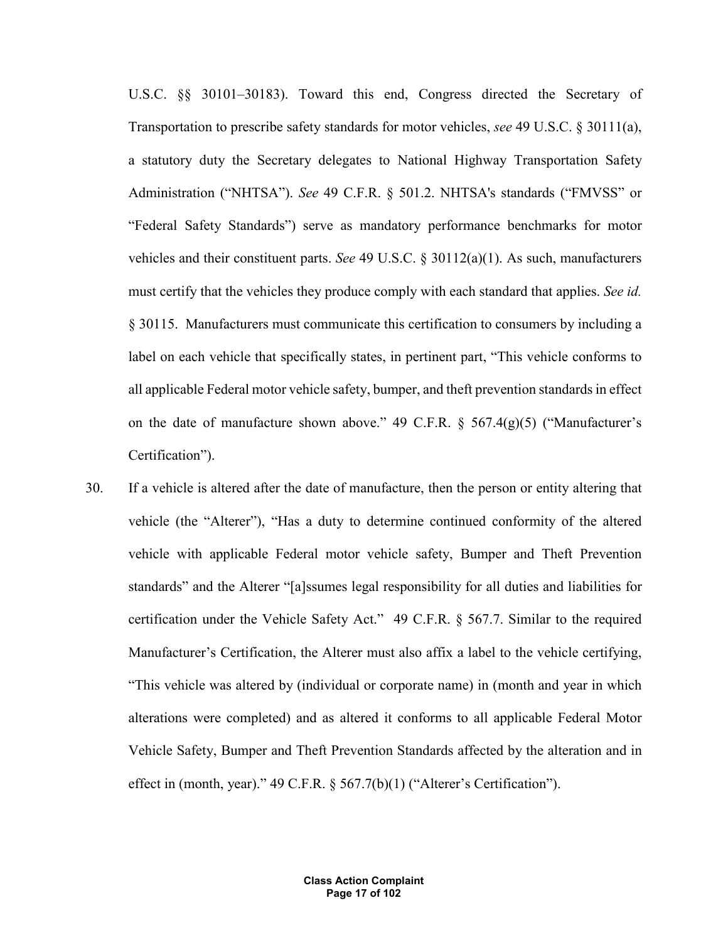U.S.C. §§ 30101–30183). Toward this end, Congress directed the Secretary of Transportation to prescribe safety standards for motor vehicles, *see* 49 U.S.C. § 30111(a), a statutory duty the Secretary delegates to National Highway Transportation Safety Administration ("NHTSA"). *See* 49 C.F.R. § 501.2. NHTSA's standards ("FMVSS" or "Federal Safety Standards") serve as mandatory performance benchmarks for motor vehicles and their constituent parts. *See* 49 U.S.C. § 30112(a)(1). As such, manufacturers must certify that the vehicles they produce comply with each standard that applies. *See id.* § 30115. Manufacturers must communicate this certification to consumers by including a label on each vehicle that specifically states, in pertinent part, "This vehicle conforms to all applicable Federal motor vehicle safety, bumper, and theft prevention standards in effect on the date of manufacture shown above." 49 C.F.R.  $\S$  567.4(g)(5) ("Manufacturer's Certification").

30. If a vehicle is altered after the date of manufacture, then the person or entity altering that vehicle (the "Alterer"), "Has a duty to determine continued conformity of the altered vehicle with applicable Federal motor vehicle safety, Bumper and Theft Prevention standards" and the Alterer "[a]ssumes legal responsibility for all duties and liabilities for certification under the Vehicle Safety Act." 49 C.F.R. § 567.7. Similar to the required Manufacturer's Certification, the Alterer must also affix a label to the vehicle certifying, "This vehicle was altered by (individual or corporate name) in (month and year in which alterations were completed) and as altered it conforms to all applicable Federal Motor Vehicle Safety, Bumper and Theft Prevention Standards affected by the alteration and in effect in (month, year)." 49 C.F.R. § 567.7(b)(1) ("Alterer's Certification").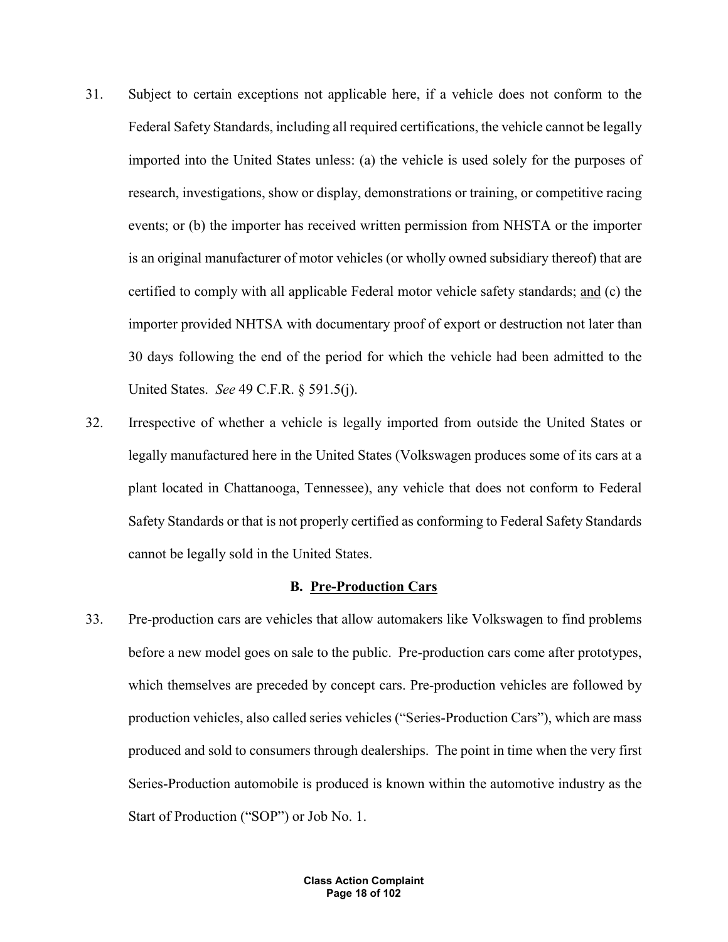- 31. Subject to certain exceptions not applicable here, if a vehicle does not conform to the Federal Safety Standards, including all required certifications, the vehicle cannot be legally imported into the United States unless: (a) the vehicle is used solely for the purposes of research, investigations, show or display, demonstrations or training, or competitive racing events; or (b) the importer has received written permission from NHSTA or the importer is an original manufacturer of motor vehicles (or wholly owned subsidiary thereof) that are certified to comply with all applicable Federal motor vehicle safety standards; and (c) the importer provided NHTSA with documentary proof of export or destruction not later than 30 days following the end of the period for which the vehicle had been admitted to the United States. *See* 49 C.F.R. § 591.5(j).
- 32. Irrespective of whether a vehicle is legally imported from outside the United States or legally manufactured here in the United States (Volkswagen produces some of its cars at a plant located in Chattanooga, Tennessee), any vehicle that does not conform to Federal Safety Standards or that is not properly certified as conforming to Federal Safety Standards cannot be legally sold in the United States.

## **B. Pre-Production Cars**

33. Pre-production cars are vehicles that allow automakers like Volkswagen to find problems before a new model goes on sale to the public. Pre-production cars come after prototypes, which themselves are preceded by concept cars. Pre-production vehicles are followed by production vehicles, also called series vehicles ("Series-Production Cars"), which are mass produced and sold to consumers through dealerships. The point in time when the very first Series-Production automobile is produced is known within the automotive industry as the Start of Production ("SOP") or Job No. 1.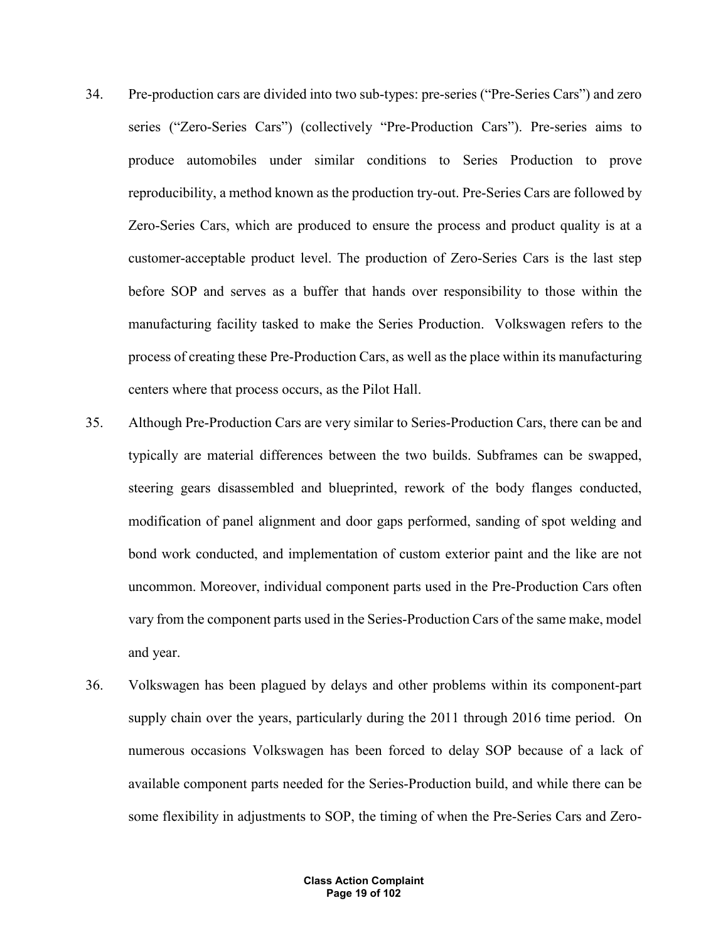- 34. Pre-production cars are divided into two sub-types: pre-series ("Pre-Series Cars") and zero series ("Zero-Series Cars") (collectively "Pre-Production Cars"). Pre-series aims to produce automobiles under similar conditions to Series Production to prove reproducibility, a method known as the production try-out. Pre-Series Cars are followed by Zero-Series Cars, which are produced to ensure the process and product quality is at a customer-acceptable product level. The production of Zero-Series Cars is the last step before SOP and serves as a buffer that hands over responsibility to those within the manufacturing facility tasked to make the Series Production. Volkswagen refers to the process of creating these Pre-Production Cars, as well as the place within its manufacturing centers where that process occurs, as the Pilot Hall.
- 35. Although Pre-Production Cars are very similar to Series-Production Cars, there can be and typically are material differences between the two builds. Subframes can be swapped, steering gears disassembled and blueprinted, rework of the body flanges conducted, modification of panel alignment and door gaps performed, sanding of spot welding and bond work conducted, and implementation of custom exterior paint and the like are not uncommon. Moreover, individual component parts used in the Pre-Production Cars often vary from the component parts used in the Series-Production Cars of the same make, model and year.
- 36. Volkswagen has been plagued by delays and other problems within its component-part supply chain over the years, particularly during the 2011 through 2016 time period. On numerous occasions Volkswagen has been forced to delay SOP because of a lack of available component parts needed for the Series-Production build, and while there can be some flexibility in adjustments to SOP, the timing of when the Pre-Series Cars and Zero-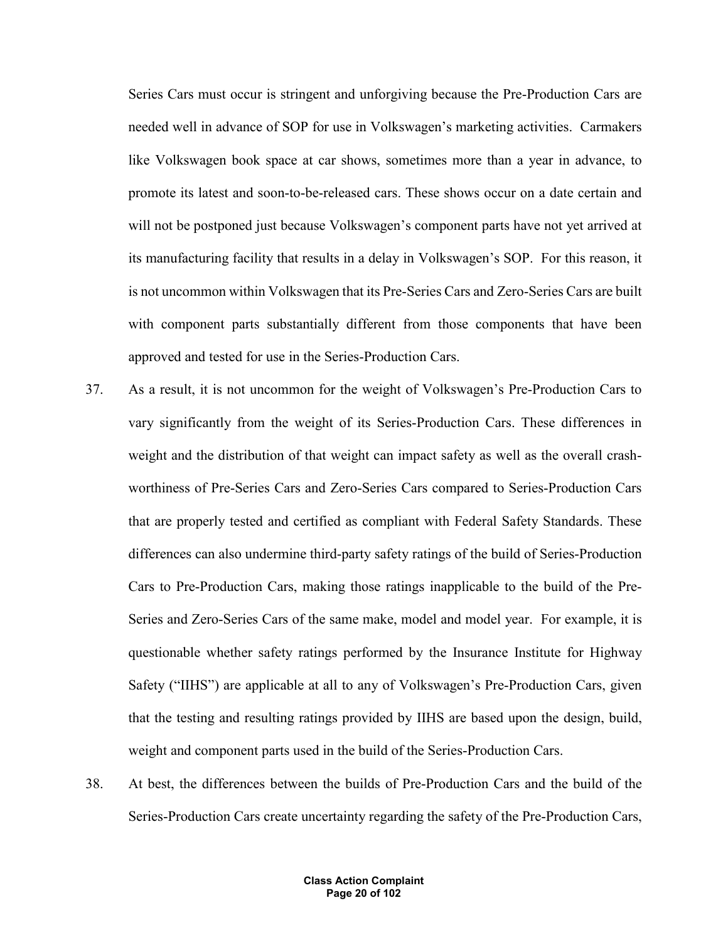Series Cars must occur is stringent and unforgiving because the Pre-Production Cars are needed well in advance of SOP for use in Volkswagen's marketing activities. Carmakers like Volkswagen book space at car shows, sometimes more than a year in advance, to promote its latest and soon-to-be-released cars. These shows occur on a date certain and will not be postponed just because Volkswagen's component parts have not yet arrived at its manufacturing facility that results in a delay in Volkswagen's SOP. For this reason, it is not uncommon within Volkswagen that its Pre-Series Cars and Zero-Series Cars are built with component parts substantially different from those components that have been approved and tested for use in the Series-Production Cars.

- 37. As a result, it is not uncommon for the weight of Volkswagen's Pre-Production Cars to vary significantly from the weight of its Series-Production Cars. These differences in weight and the distribution of that weight can impact safety as well as the overall crashworthiness of Pre-Series Cars and Zero-Series Cars compared to Series-Production Cars that are properly tested and certified as compliant with Federal Safety Standards. These differences can also undermine third-party safety ratings of the build of Series-Production Cars to Pre-Production Cars, making those ratings inapplicable to the build of the Pre-Series and Zero-Series Cars of the same make, model and model year. For example, it is questionable whether safety ratings performed by the Insurance Institute for Highway Safety ("IIHS") are applicable at all to any of Volkswagen's Pre-Production Cars, given that the testing and resulting ratings provided by IIHS are based upon the design, build, weight and component parts used in the build of the Series-Production Cars.
- 38. At best, the differences between the builds of Pre-Production Cars and the build of the Series-Production Cars create uncertainty regarding the safety of the Pre-Production Cars,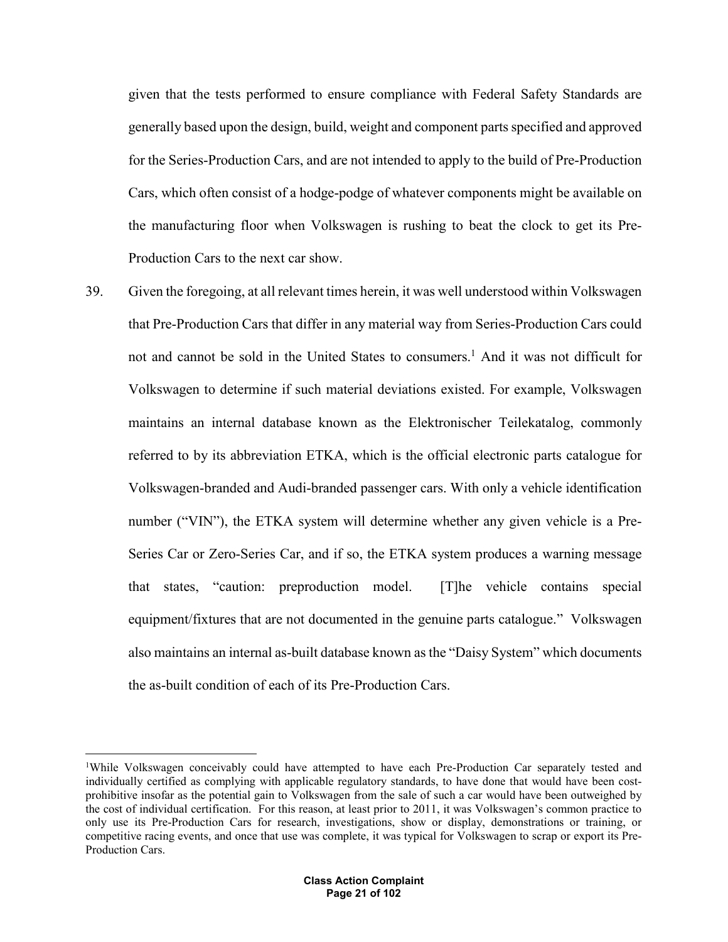given that the tests performed to ensure compliance with Federal Safety Standards are generally based upon the design, build, weight and component parts specified and approved for the Series-Production Cars, and are not intended to apply to the build of Pre-Production Cars, which often consist of a hodge-podge of whatever components might be available on the manufacturing floor when Volkswagen is rushing to beat the clock to get its Pre-Production Cars to the next car show.

39. Given the foregoing, at all relevant times herein, it was well understood within Volkswagen that Pre-Production Cars that differ in any material way from Series-Production Cars could not and cannot be sold in the United States to consumers.<sup>1</sup> And it was not difficult for Volkswagen to determine if such material deviations existed. For example, Volkswagen maintains an internal database known as the Elektronischer Teilekatalog, commonly referred to by its abbreviation ETKA, which is the official electronic parts catalogue for Volkswagen-branded and Audi-branded passenger cars. With only a vehicle identification number ("VIN"), the ETKA system will determine whether any given vehicle is a Pre-Series Car or Zero-Series Car, and if so, the ETKA system produces a warning message that states, "caution: preproduction model. [T]he vehicle contains special equipment/fixtures that are not documented in the genuine parts catalogue." Volkswagen also maintains an internal as-built database known as the "Daisy System" which documents the as-built condition of each of its Pre-Production Cars.

 $\frac{1}{1}$ While Volkswagen conceivably could have attempted to have each Pre-Production Car separately tested and individually certified as complying with applicable regulatory standards, to have done that would have been costprohibitive insofar as the potential gain to Volkswagen from the sale of such a car would have been outweighed by the cost of individual certification. For this reason, at least prior to 2011, it was Volkswagen's common practice to only use its Pre-Production Cars for research, investigations, show or display, demonstrations or training, or competitive racing events, and once that use was complete, it was typical for Volkswagen to scrap or export its Pre-Production Cars.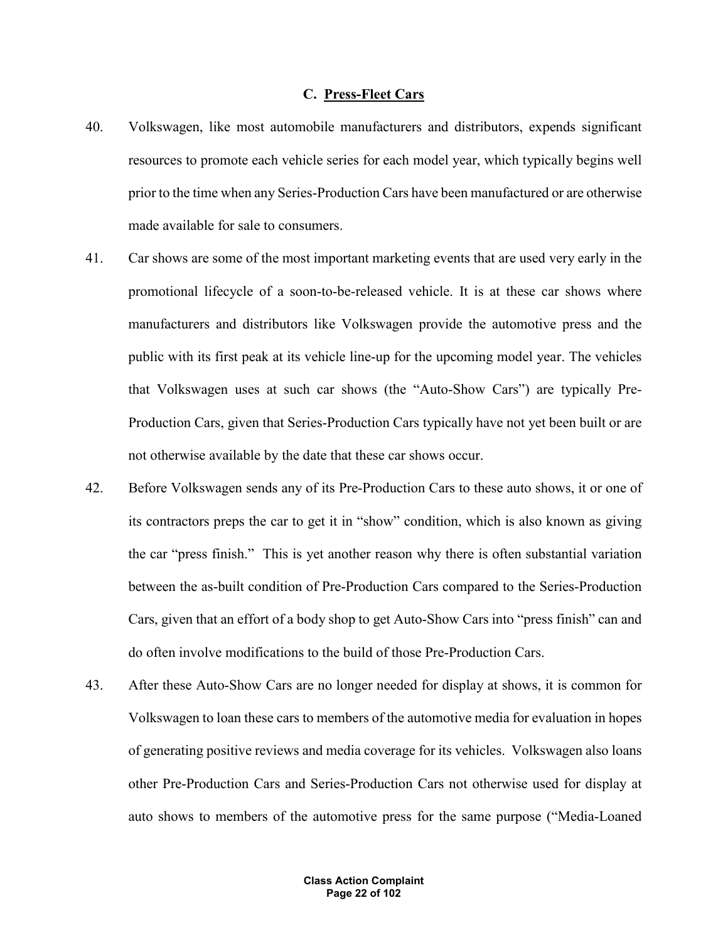## **C. Press-Fleet Cars**

- 40. Volkswagen, like most automobile manufacturers and distributors, expends significant resources to promote each vehicle series for each model year, which typically begins well prior to the time when any Series-Production Cars have been manufactured or are otherwise made available for sale to consumers.
- 41. Car shows are some of the most important marketing events that are used very early in the promotional lifecycle of a soon-to-be-released vehicle. It is at these car shows where manufacturers and distributors like Volkswagen provide the automotive press and the public with its first peak at its vehicle line-up for the upcoming model year. The vehicles that Volkswagen uses at such car shows (the "Auto-Show Cars") are typically Pre-Production Cars, given that Series-Production Cars typically have not yet been built or are not otherwise available by the date that these car shows occur.
- 42. Before Volkswagen sends any of its Pre-Production Cars to these auto shows, it or one of its contractors preps the car to get it in "show" condition, which is also known as giving the car "press finish." This is yet another reason why there is often substantial variation between the as-built condition of Pre-Production Cars compared to the Series-Production Cars, given that an effort of a body shop to get Auto-Show Cars into "press finish" can and do often involve modifications to the build of those Pre-Production Cars.
- 43. After these Auto-Show Cars are no longer needed for display at shows, it is common for Volkswagen to loan these cars to members of the automotive media for evaluation in hopes of generating positive reviews and media coverage for its vehicles. Volkswagen also loans other Pre-Production Cars and Series-Production Cars not otherwise used for display at auto shows to members of the automotive press for the same purpose ("Media-Loaned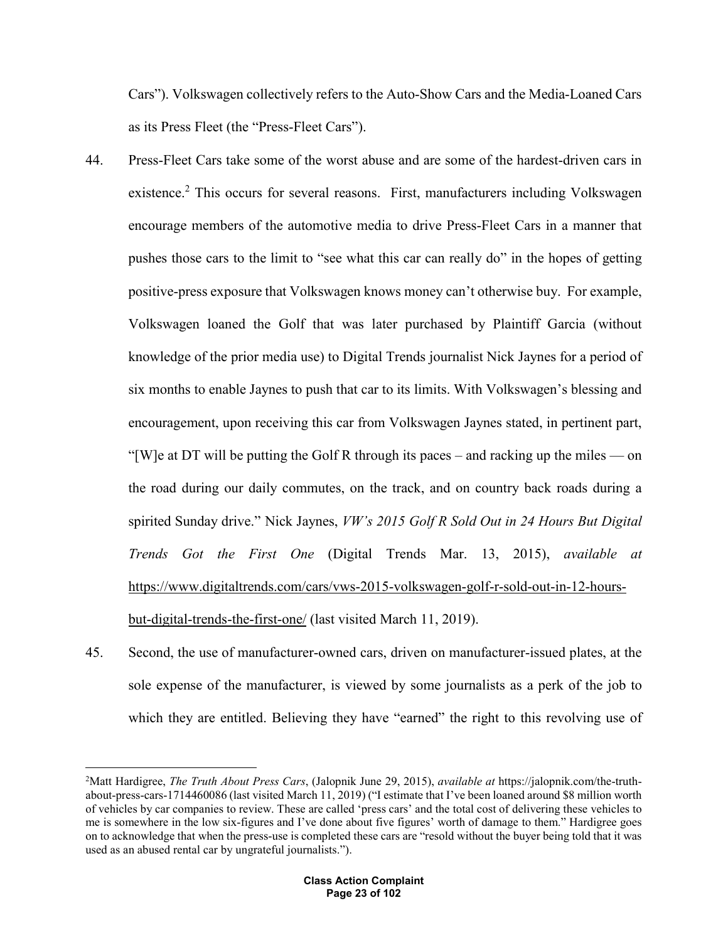Cars"). Volkswagen collectively refers to the Auto-Show Cars and the Media-Loaned Cars as its Press Fleet (the "Press-Fleet Cars").

- 44. Press-Fleet Cars take some of the worst abuse and are some of the hardest-driven cars in existence.<sup>2</sup> This occurs for several reasons. First, manufacturers including Volkswagen encourage members of the automotive media to drive Press-Fleet Cars in a manner that pushes those cars to the limit to "see what this car can really do" in the hopes of getting positive-press exposure that Volkswagen knows money can't otherwise buy. For example, Volkswagen loaned the Golf that was later purchased by Plaintiff Garcia (without knowledge of the prior media use) to Digital Trends journalist Nick Jaynes for a period of six months to enable Jaynes to push that car to its limits. With Volkswagen's blessing and encouragement, upon receiving this car from Volkswagen Jaynes stated, in pertinent part, "[W]e at DT will be putting the Golf R through its paces – and racking up the miles — on the road during our daily commutes, on the track, and on country back roads during a spirited Sunday drive." Nick Jaynes, *VW's 2015 Golf R Sold Out in 24 Hours But Digital Trends Got the First One* (Digital Trends Mar. 13, 2015), *available at* https://www.digitaltrends.com/cars/vws-2015-volkswagen-golf-r-sold-out-in-12-hoursbut-digital-trends-the-first-one/ (last visited March 11, 2019).
- 45. Second, the use of manufacturer-owned cars, driven on manufacturer-issued plates, at the sole expense of the manufacturer, is viewed by some journalists as a perk of the job to which they are entitled. Believing they have "earned" the right to this revolving use of

 $\frac{1}{2}$ Matt Hardigree, *The Truth About Press Cars*, (Jalopnik June 29, 2015), *available at* https://jalopnik.com/the-truthabout-press-cars-1714460086 (last visited March 11, 2019) ("I estimate that I've been loaned around \$8 million worth of vehicles by car companies to review. These are called 'press cars' and the total cost of delivering these vehicles to me is somewhere in the low six-figures and I've done about five figures' worth of damage to them." Hardigree goes on to acknowledge that when the press-use is completed these cars are "resold without the buyer being told that it was used as an abused rental car by ungrateful journalists.").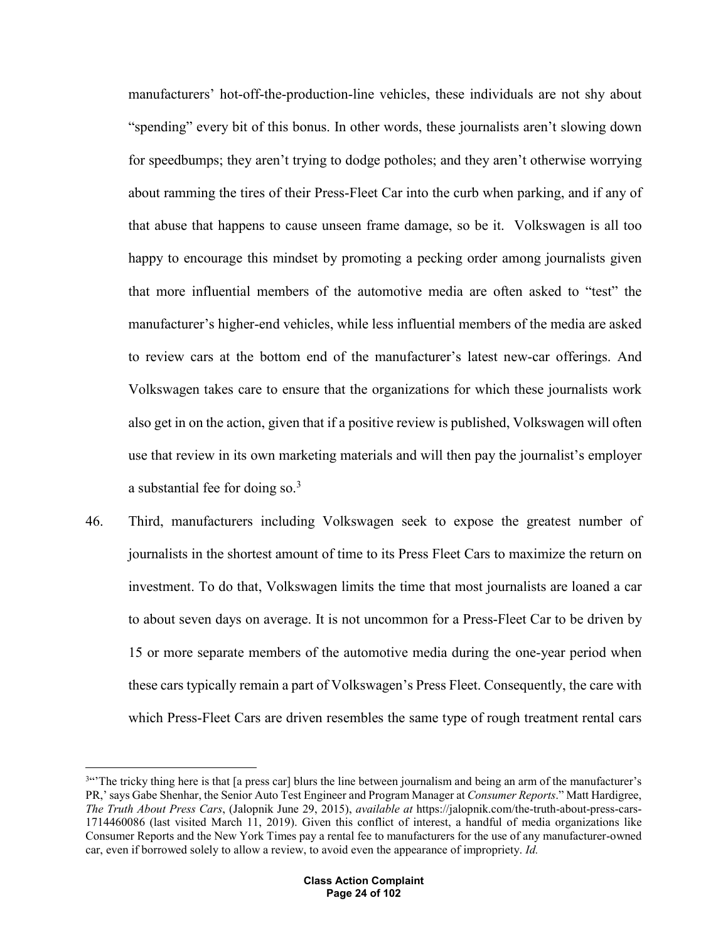manufacturers' hot-off-the-production-line vehicles, these individuals are not shy about "spending" every bit of this bonus. In other words, these journalists aren't slowing down for speedbumps; they aren't trying to dodge potholes; and they aren't otherwise worrying about ramming the tires of their Press-Fleet Car into the curb when parking, and if any of that abuse that happens to cause unseen frame damage, so be it. Volkswagen is all too happy to encourage this mindset by promoting a pecking order among journalists given that more influential members of the automotive media are often asked to "test" the manufacturer's higher-end vehicles, while less influential members of the media are asked to review cars at the bottom end of the manufacturer's latest new-car offerings. And Volkswagen takes care to ensure that the organizations for which these journalists work also get in on the action, given that if a positive review is published, Volkswagen will often use that review in its own marketing materials and will then pay the journalist's employer a substantial fee for doing so.<sup>3</sup>

46. Third, manufacturers including Volkswagen seek to expose the greatest number of journalists in the shortest amount of time to its Press Fleet Cars to maximize the return on investment. To do that, Volkswagen limits the time that most journalists are loaned a car to about seven days on average. It is not uncommon for a Press-Fleet Car to be driven by 15 or more separate members of the automotive media during the one-year period when these cars typically remain a part of Volkswagen's Press Fleet. Consequently, the care with which Press-Fleet Cars are driven resembles the same type of rough treatment rental cars

 $\frac{1}{3}$ <sup>3"</sup>The tricky thing here is that [a press car] blurs the line between journalism and being an arm of the manufacturer's PR,' says Gabe Shenhar, the Senior Auto Test Engineer and Program Manager at *Consumer Reports*." Matt Hardigree, *The Truth About Press Cars*, (Jalopnik June 29, 2015), *available at* https://jalopnik.com/the-truth-about-press-cars-1714460086 (last visited March 11, 2019). Given this conflict of interest, a handful of media organizations like Consumer Reports and the New York Times pay a rental fee to manufacturers for the use of any manufacturer-owned car, even if borrowed solely to allow a review, to avoid even the appearance of impropriety. *Id.*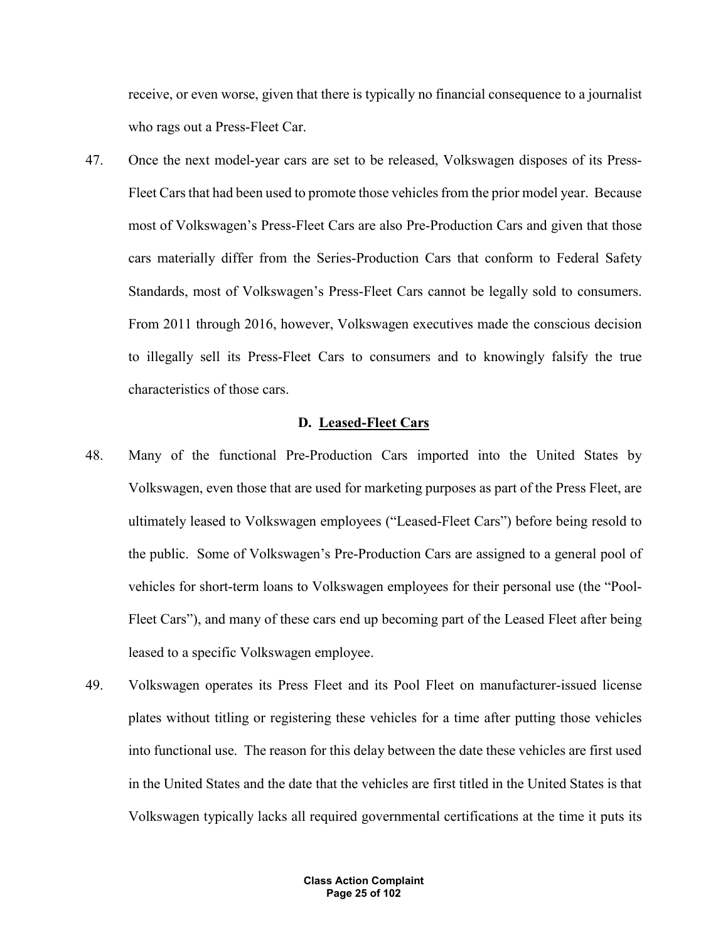receive, or even worse, given that there is typically no financial consequence to a journalist who rags out a Press-Fleet Car.

47. Once the next model-year cars are set to be released, Volkswagen disposes of its Press-Fleet Cars that had been used to promote those vehicles from the prior model year. Because most of Volkswagen's Press-Fleet Cars are also Pre-Production Cars and given that those cars materially differ from the Series-Production Cars that conform to Federal Safety Standards, most of Volkswagen's Press-Fleet Cars cannot be legally sold to consumers. From 2011 through 2016, however, Volkswagen executives made the conscious decision to illegally sell its Press-Fleet Cars to consumers and to knowingly falsify the true characteristics of those cars.

#### **D. Leased-Fleet Cars**

- 48. Many of the functional Pre-Production Cars imported into the United States by Volkswagen, even those that are used for marketing purposes as part of the Press Fleet, are ultimately leased to Volkswagen employees ("Leased-Fleet Cars") before being resold to the public. Some of Volkswagen's Pre-Production Cars are assigned to a general pool of vehicles for short-term loans to Volkswagen employees for their personal use (the "Pool-Fleet Cars"), and many of these cars end up becoming part of the Leased Fleet after being leased to a specific Volkswagen employee.
- 49. Volkswagen operates its Press Fleet and its Pool Fleet on manufacturer-issued license plates without titling or registering these vehicles for a time after putting those vehicles into functional use. The reason for this delay between the date these vehicles are first used in the United States and the date that the vehicles are first titled in the United States is that Volkswagen typically lacks all required governmental certifications at the time it puts its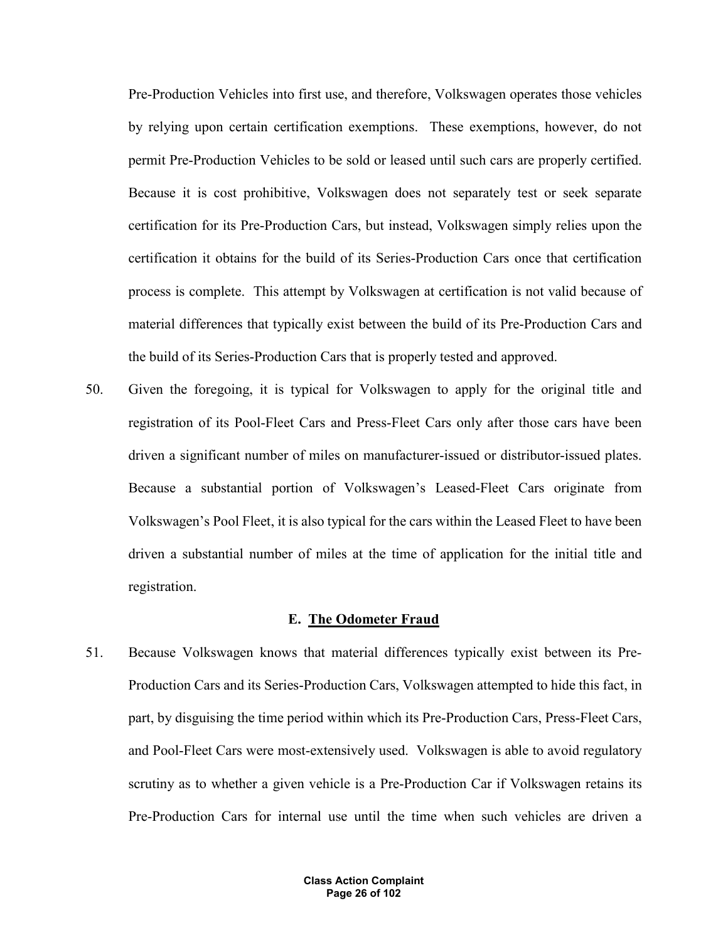Pre-Production Vehicles into first use, and therefore, Volkswagen operates those vehicles by relying upon certain certification exemptions. These exemptions, however, do not permit Pre-Production Vehicles to be sold or leased until such cars are properly certified. Because it is cost prohibitive, Volkswagen does not separately test or seek separate certification for its Pre-Production Cars, but instead, Volkswagen simply relies upon the certification it obtains for the build of its Series-Production Cars once that certification process is complete. This attempt by Volkswagen at certification is not valid because of material differences that typically exist between the build of its Pre-Production Cars and the build of its Series-Production Cars that is properly tested and approved.

50. Given the foregoing, it is typical for Volkswagen to apply for the original title and registration of its Pool-Fleet Cars and Press-Fleet Cars only after those cars have been driven a significant number of miles on manufacturer-issued or distributor-issued plates. Because a substantial portion of Volkswagen's Leased-Fleet Cars originate from Volkswagen's Pool Fleet, it is also typical for the cars within the Leased Fleet to have been driven a substantial number of miles at the time of application for the initial title and registration.

#### **E. The Odometer Fraud**

51. Because Volkswagen knows that material differences typically exist between its Pre-Production Cars and its Series-Production Cars, Volkswagen attempted to hide this fact, in part, by disguising the time period within which its Pre-Production Cars, Press-Fleet Cars, and Pool-Fleet Cars were most-extensively used. Volkswagen is able to avoid regulatory scrutiny as to whether a given vehicle is a Pre-Production Car if Volkswagen retains its Pre-Production Cars for internal use until the time when such vehicles are driven a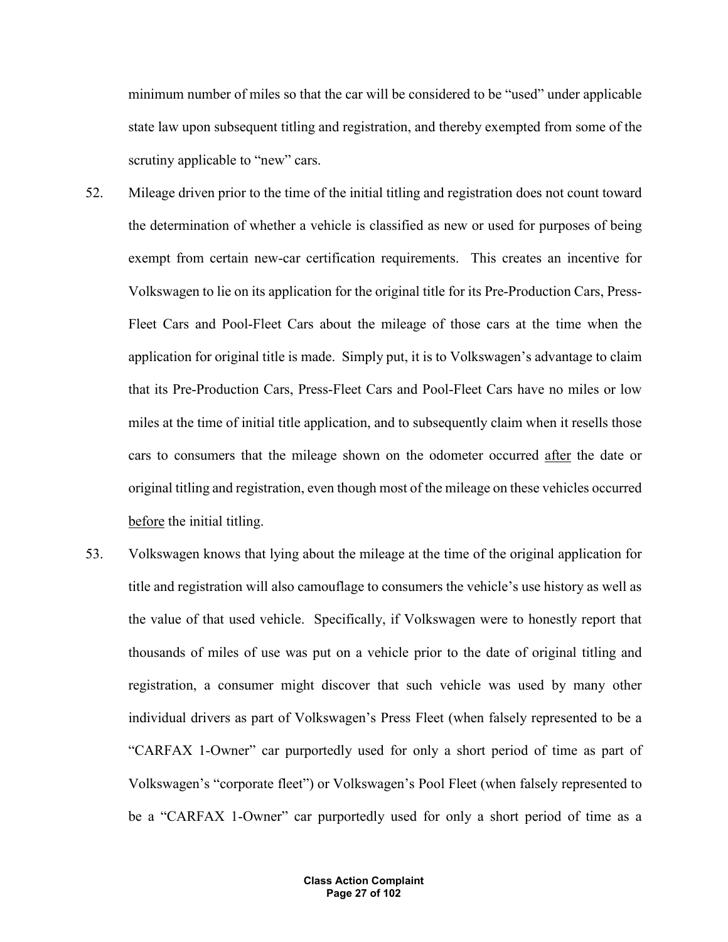minimum number of miles so that the car will be considered to be "used" under applicable state law upon subsequent titling and registration, and thereby exempted from some of the scrutiny applicable to "new" cars.

- 52. Mileage driven prior to the time of the initial titling and registration does not count toward the determination of whether a vehicle is classified as new or used for purposes of being exempt from certain new-car certification requirements. This creates an incentive for Volkswagen to lie on its application for the original title for its Pre-Production Cars, Press-Fleet Cars and Pool-Fleet Cars about the mileage of those cars at the time when the application for original title is made. Simply put, it is to Volkswagen's advantage to claim that its Pre-Production Cars, Press-Fleet Cars and Pool-Fleet Cars have no miles or low miles at the time of initial title application, and to subsequently claim when it resells those cars to consumers that the mileage shown on the odometer occurred after the date or original titling and registration, even though most of the mileage on these vehicles occurred before the initial titling.
- 53. Volkswagen knows that lying about the mileage at the time of the original application for title and registration will also camouflage to consumers the vehicle's use history as well as the value of that used vehicle. Specifically, if Volkswagen were to honestly report that thousands of miles of use was put on a vehicle prior to the date of original titling and registration, a consumer might discover that such vehicle was used by many other individual drivers as part of Volkswagen's Press Fleet (when falsely represented to be a "CARFAX 1-Owner" car purportedly used for only a short period of time as part of Volkswagen's "corporate fleet") or Volkswagen's Pool Fleet (when falsely represented to be a "CARFAX 1-Owner" car purportedly used for only a short period of time as a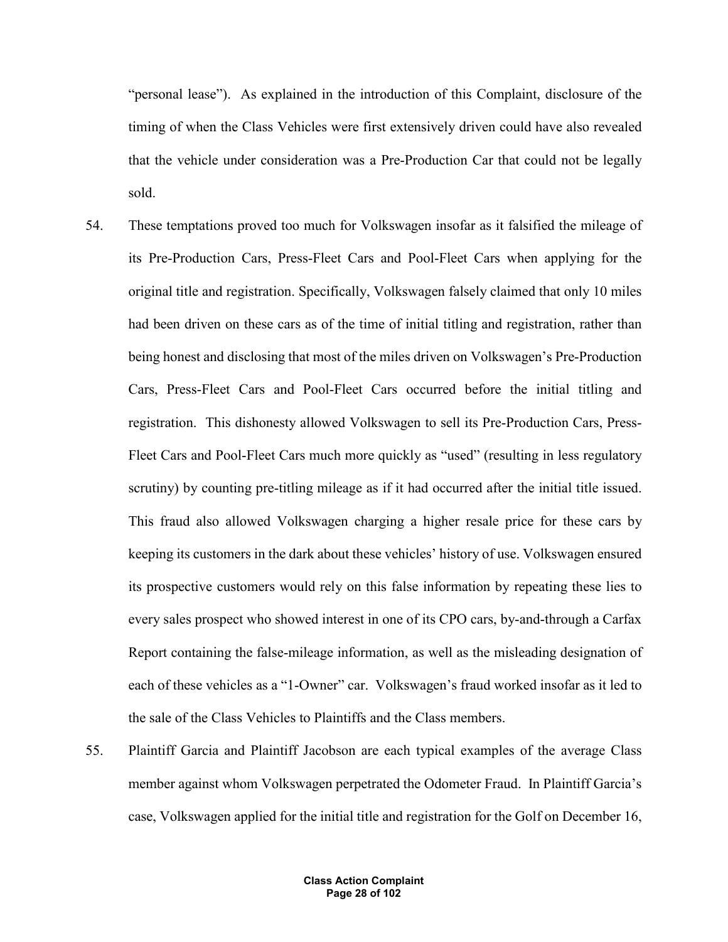"personal lease"). As explained in the introduction of this Complaint, disclosure of the timing of when the Class Vehicles were first extensively driven could have also revealed that the vehicle under consideration was a Pre-Production Car that could not be legally sold.

- 54. These temptations proved too much for Volkswagen insofar as it falsified the mileage of its Pre-Production Cars, Press-Fleet Cars and Pool-Fleet Cars when applying for the original title and registration. Specifically, Volkswagen falsely claimed that only 10 miles had been driven on these cars as of the time of initial titling and registration, rather than being honest and disclosing that most of the miles driven on Volkswagen's Pre-Production Cars, Press-Fleet Cars and Pool-Fleet Cars occurred before the initial titling and registration. This dishonesty allowed Volkswagen to sell its Pre-Production Cars, Press-Fleet Cars and Pool-Fleet Cars much more quickly as "used" (resulting in less regulatory scrutiny) by counting pre-titling mileage as if it had occurred after the initial title issued. This fraud also allowed Volkswagen charging a higher resale price for these cars by keeping its customers in the dark about these vehicles' history of use. Volkswagen ensured its prospective customers would rely on this false information by repeating these lies to every sales prospect who showed interest in one of its CPO cars, by-and-through a Carfax Report containing the false-mileage information, as well as the misleading designation of each of these vehicles as a "1-Owner" car. Volkswagen's fraud worked insofar as it led to the sale of the Class Vehicles to Plaintiffs and the Class members.
- 55. Plaintiff Garcia and Plaintiff Jacobson are each typical examples of the average Class member against whom Volkswagen perpetrated the Odometer Fraud. In Plaintiff Garcia's case, Volkswagen applied for the initial title and registration for the Golf on December 16,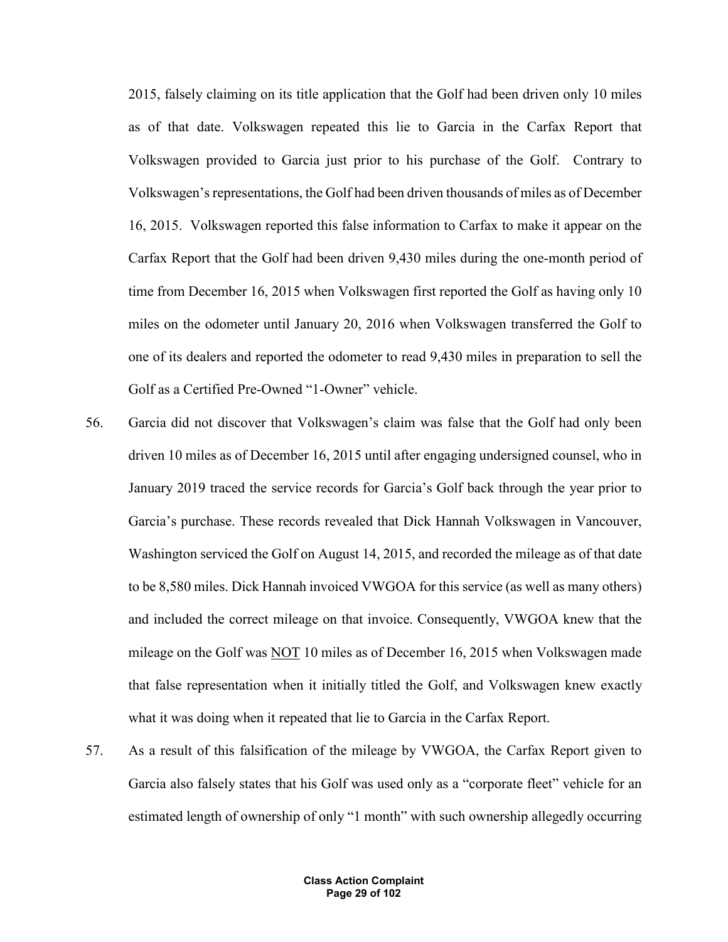2015, falsely claiming on its title application that the Golf had been driven only 10 miles as of that date. Volkswagen repeated this lie to Garcia in the Carfax Report that Volkswagen provided to Garcia just prior to his purchase of the Golf. Contrary to Volkswagen's representations, the Golf had been driven thousands of miles as of December 16, 2015. Volkswagen reported this false information to Carfax to make it appear on the Carfax Report that the Golf had been driven 9,430 miles during the one-month period of time from December 16, 2015 when Volkswagen first reported the Golf as having only 10 miles on the odometer until January 20, 2016 when Volkswagen transferred the Golf to one of its dealers and reported the odometer to read 9,430 miles in preparation to sell the Golf as a Certified Pre-Owned "1-Owner" vehicle.

- 56. Garcia did not discover that Volkswagen's claim was false that the Golf had only been driven 10 miles as of December 16, 2015 until after engaging undersigned counsel, who in January 2019 traced the service records for Garcia's Golf back through the year prior to Garcia's purchase. These records revealed that Dick Hannah Volkswagen in Vancouver, Washington serviced the Golf on August 14, 2015, and recorded the mileage as of that date to be 8,580 miles. Dick Hannah invoiced VWGOA for this service (as well as many others) and included the correct mileage on that invoice. Consequently, VWGOA knew that the mileage on the Golf was NOT 10 miles as of December 16, 2015 when Volkswagen made that false representation when it initially titled the Golf, and Volkswagen knew exactly what it was doing when it repeated that lie to Garcia in the Carfax Report.
- 57. As a result of this falsification of the mileage by VWGOA, the Carfax Report given to Garcia also falsely states that his Golf was used only as a "corporate fleet" vehicle for an estimated length of ownership of only "1 month" with such ownership allegedly occurring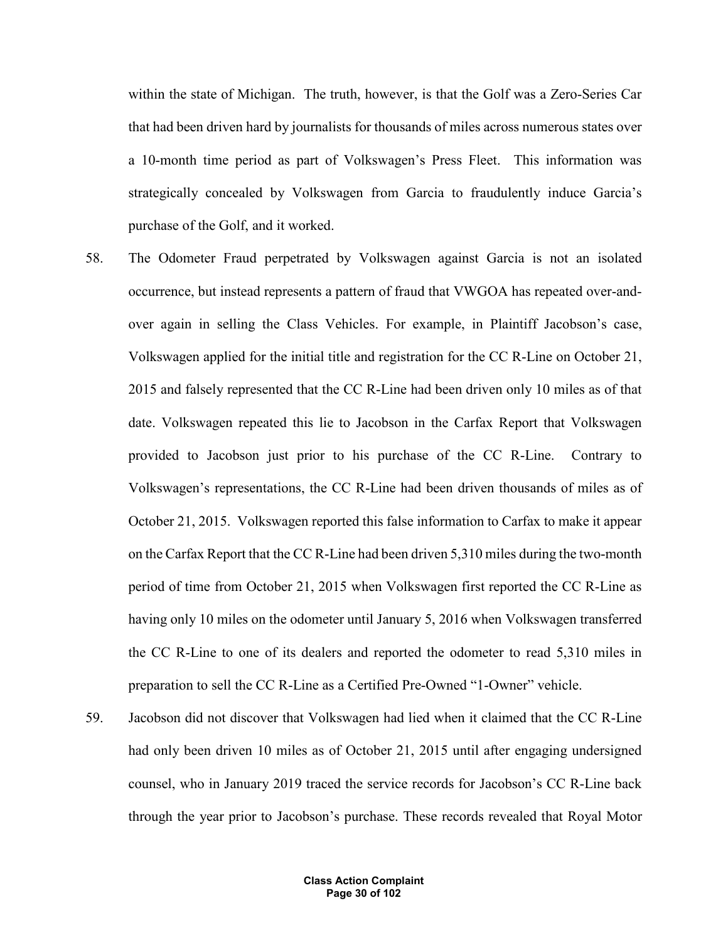within the state of Michigan. The truth, however, is that the Golf was a Zero-Series Car that had been driven hard by journalists for thousands of miles across numerous states over a 10-month time period as part of Volkswagen's Press Fleet. This information was strategically concealed by Volkswagen from Garcia to fraudulently induce Garcia's purchase of the Golf, and it worked.

- 58. The Odometer Fraud perpetrated by Volkswagen against Garcia is not an isolated occurrence, but instead represents a pattern of fraud that VWGOA has repeated over-andover again in selling the Class Vehicles. For example, in Plaintiff Jacobson's case, Volkswagen applied for the initial title and registration for the CC R-Line on October 21, 2015 and falsely represented that the CC R-Line had been driven only 10 miles as of that date. Volkswagen repeated this lie to Jacobson in the Carfax Report that Volkswagen provided to Jacobson just prior to his purchase of the CC R-Line. Contrary to Volkswagen's representations, the CC R-Line had been driven thousands of miles as of October 21, 2015. Volkswagen reported this false information to Carfax to make it appear on the Carfax Report that the CC R-Line had been driven 5,310 miles during the two-month period of time from October 21, 2015 when Volkswagen first reported the CC R-Line as having only 10 miles on the odometer until January 5, 2016 when Volkswagen transferred the CC R-Line to one of its dealers and reported the odometer to read 5,310 miles in preparation to sell the CC R-Line as a Certified Pre-Owned "1-Owner" vehicle.
- 59. Jacobson did not discover that Volkswagen had lied when it claimed that the CC R-Line had only been driven 10 miles as of October 21, 2015 until after engaging undersigned counsel, who in January 2019 traced the service records for Jacobson's CC R-Line back through the year prior to Jacobson's purchase. These records revealed that Royal Motor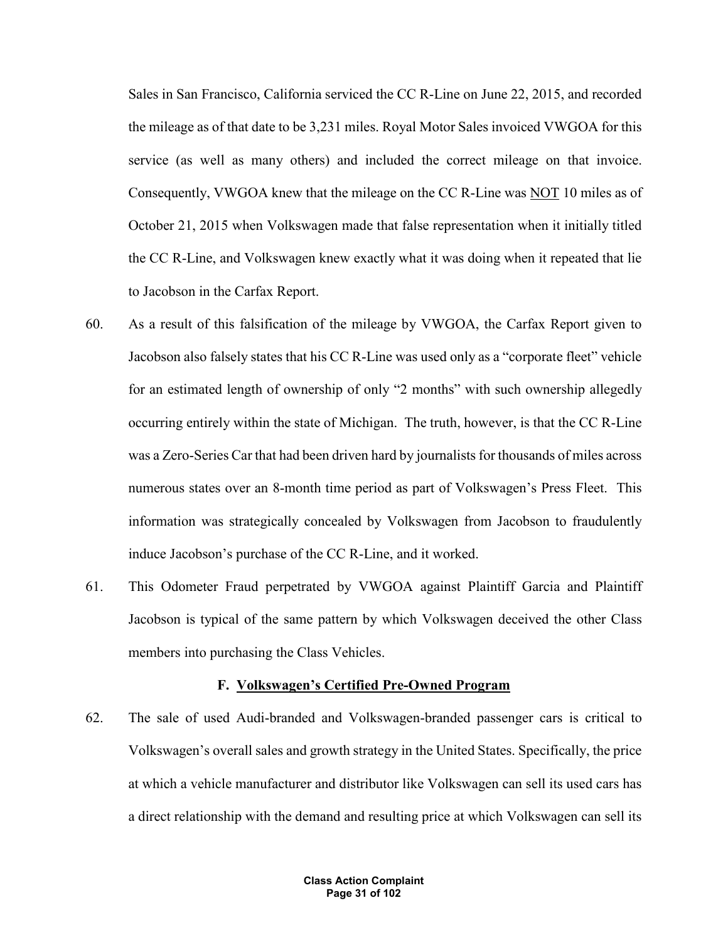Sales in San Francisco, California serviced the CC R-Line on June 22, 2015, and recorded the mileage as of that date to be 3,231 miles. Royal Motor Sales invoiced VWGOA for this service (as well as many others) and included the correct mileage on that invoice. Consequently, VWGOA knew that the mileage on the CC R-Line was NOT 10 miles as of October 21, 2015 when Volkswagen made that false representation when it initially titled the CC R-Line, and Volkswagen knew exactly what it was doing when it repeated that lie to Jacobson in the Carfax Report.

- 60. As a result of this falsification of the mileage by VWGOA, the Carfax Report given to Jacobson also falsely states that his CC R-Line was used only as a "corporate fleet" vehicle for an estimated length of ownership of only "2 months" with such ownership allegedly occurring entirely within the state of Michigan. The truth, however, is that the CC R-Line was a Zero-Series Car that had been driven hard by journalists for thousands of miles across numerous states over an 8-month time period as part of Volkswagen's Press Fleet. This information was strategically concealed by Volkswagen from Jacobson to fraudulently induce Jacobson's purchase of the CC R-Line, and it worked.
- 61. This Odometer Fraud perpetrated by VWGOA against Plaintiff Garcia and Plaintiff Jacobson is typical of the same pattern by which Volkswagen deceived the other Class members into purchasing the Class Vehicles.

#### **F. Volkswagen's Certified Pre-Owned Program**

62. The sale of used Audi-branded and Volkswagen-branded passenger cars is critical to Volkswagen's overall sales and growth strategy in the United States. Specifically, the price at which a vehicle manufacturer and distributor like Volkswagen can sell its used cars has a direct relationship with the demand and resulting price at which Volkswagen can sell its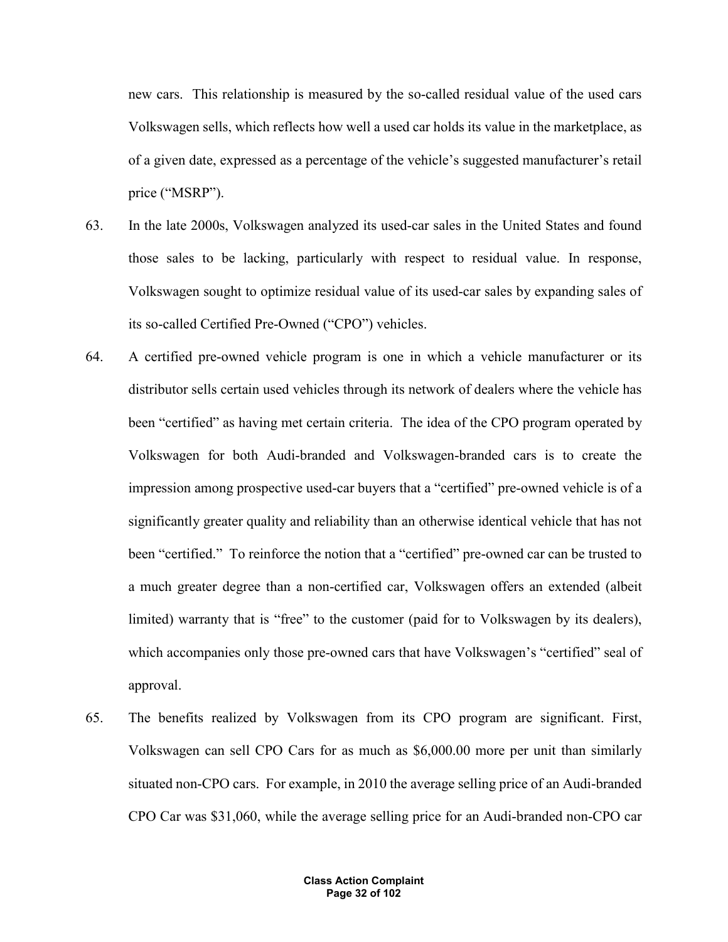new cars. This relationship is measured by the so-called residual value of the used cars Volkswagen sells, which reflects how well a used car holds its value in the marketplace, as of a given date, expressed as a percentage of the vehicle's suggested manufacturer's retail price ("MSRP").

- 63. In the late 2000s, Volkswagen analyzed its used-car sales in the United States and found those sales to be lacking, particularly with respect to residual value. In response, Volkswagen sought to optimize residual value of its used-car sales by expanding sales of its so-called Certified Pre-Owned ("CPO") vehicles.
- 64. A certified pre-owned vehicle program is one in which a vehicle manufacturer or its distributor sells certain used vehicles through its network of dealers where the vehicle has been "certified" as having met certain criteria. The idea of the CPO program operated by Volkswagen for both Audi-branded and Volkswagen-branded cars is to create the impression among prospective used-car buyers that a "certified" pre-owned vehicle is of a significantly greater quality and reliability than an otherwise identical vehicle that has not been "certified." To reinforce the notion that a "certified" pre-owned car can be trusted to a much greater degree than a non-certified car, Volkswagen offers an extended (albeit limited) warranty that is "free" to the customer (paid for to Volkswagen by its dealers), which accompanies only those pre-owned cars that have Volkswagen's "certified" seal of approval.
- 65. The benefits realized by Volkswagen from its CPO program are significant. First, Volkswagen can sell CPO Cars for as much as \$6,000.00 more per unit than similarly situated non-CPO cars. For example, in 2010 the average selling price of an Audi-branded CPO Car was \$31,060, while the average selling price for an Audi-branded non-CPO car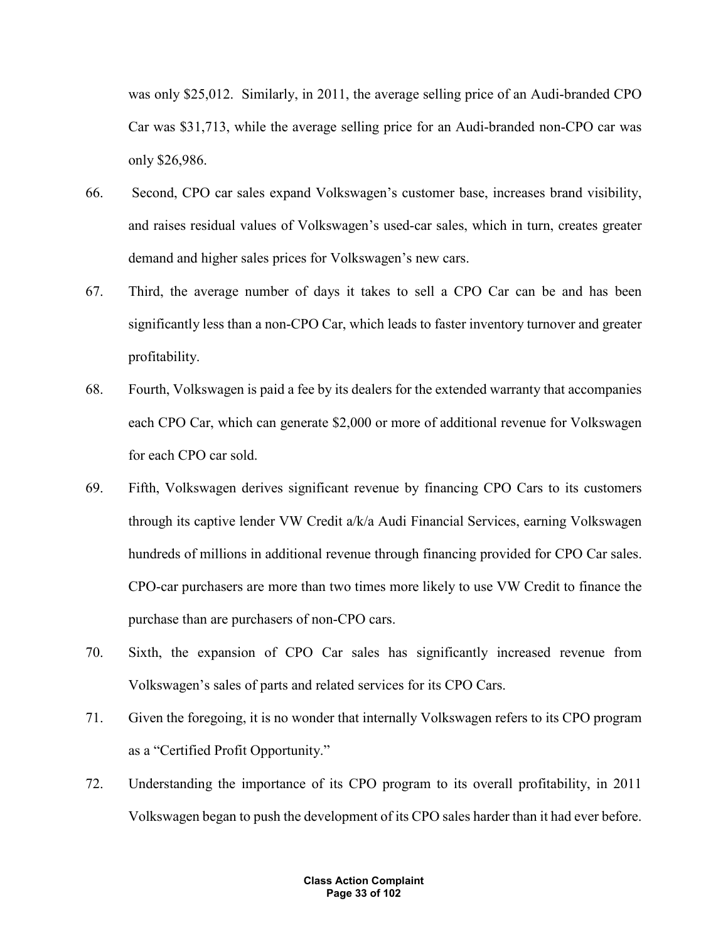was only \$25,012. Similarly, in 2011, the average selling price of an Audi-branded CPO Car was \$31,713, while the average selling price for an Audi-branded non-CPO car was only \$26,986.

- 66. Second, CPO car sales expand Volkswagen's customer base, increases brand visibility, and raises residual values of Volkswagen's used-car sales, which in turn, creates greater demand and higher sales prices for Volkswagen's new cars.
- 67. Third, the average number of days it takes to sell a CPO Car can be and has been significantly less than a non-CPO Car, which leads to faster inventory turnover and greater profitability.
- 68. Fourth, Volkswagen is paid a fee by its dealers for the extended warranty that accompanies each CPO Car, which can generate \$2,000 or more of additional revenue for Volkswagen for each CPO car sold.
- 69. Fifth, Volkswagen derives significant revenue by financing CPO Cars to its customers through its captive lender VW Credit a/k/a Audi Financial Services, earning Volkswagen hundreds of millions in additional revenue through financing provided for CPO Car sales. CPO-car purchasers are more than two times more likely to use VW Credit to finance the purchase than are purchasers of non-CPO cars.
- 70. Sixth, the expansion of CPO Car sales has significantly increased revenue from Volkswagen's sales of parts and related services for its CPO Cars.
- 71. Given the foregoing, it is no wonder that internally Volkswagen refers to its CPO program as a "Certified Profit Opportunity."
- 72. Understanding the importance of its CPO program to its overall profitability, in 2011 Volkswagen began to push the development of its CPO sales harder than it had ever before.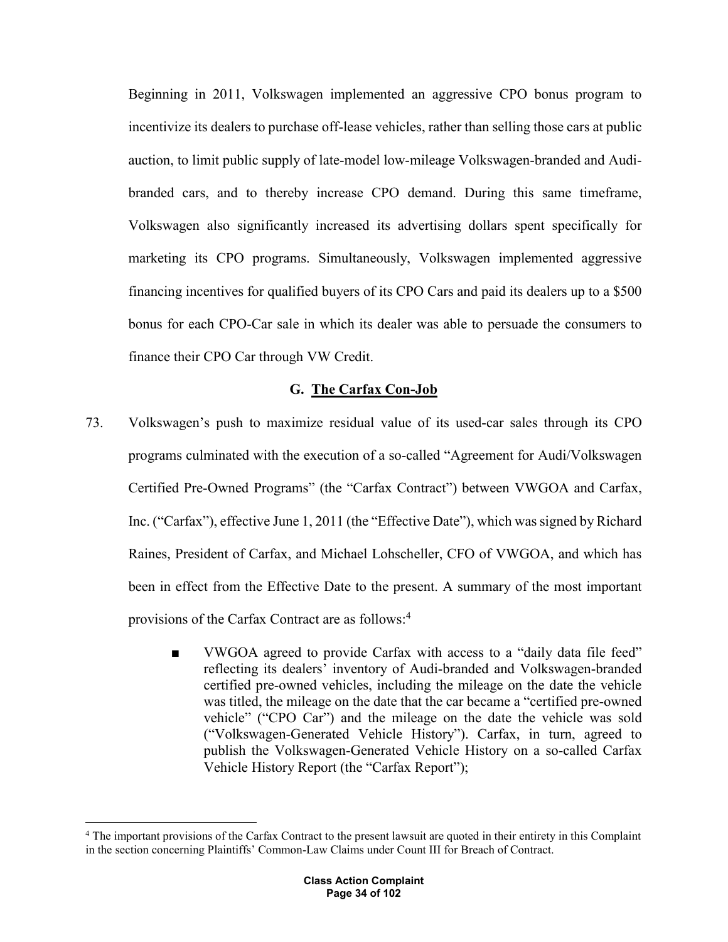Beginning in 2011, Volkswagen implemented an aggressive CPO bonus program to incentivize its dealers to purchase off-lease vehicles, rather than selling those cars at public auction, to limit public supply of late-model low-mileage Volkswagen-branded and Audibranded cars, and to thereby increase CPO demand. During this same timeframe, Volkswagen also significantly increased its advertising dollars spent specifically for marketing its CPO programs. Simultaneously, Volkswagen implemented aggressive financing incentives for qualified buyers of its CPO Cars and paid its dealers up to a \$500 bonus for each CPO-Car sale in which its dealer was able to persuade the consumers to finance their CPO Car through VW Credit.

## **G. The Carfax Con-Job**

- 73. Volkswagen's push to maximize residual value of its used-car sales through its CPO programs culminated with the execution of a so-called "Agreement for Audi/Volkswagen Certified Pre-Owned Programs" (the "Carfax Contract") between VWGOA and Carfax, Inc. ("Carfax"), effective June 1, 2011 (the "Effective Date"), which was signed by Richard Raines, President of Carfax, and Michael Lohscheller, CFO of VWGOA, and which has been in effect from the Effective Date to the present. A summary of the most important provisions of the Carfax Contract are as follows:<sup>4</sup>
	- VWGOA agreed to provide Carfax with access to a "daily data file feed" reflecting its dealers' inventory of Audi-branded and Volkswagen-branded certified pre-owned vehicles, including the mileage on the date the vehicle was titled, the mileage on the date that the car became a "certified pre-owned vehicle" ("CPO Car") and the mileage on the date the vehicle was sold ("Volkswagen-Generated Vehicle History"). Carfax, in turn, agreed to publish the Volkswagen-Generated Vehicle History on a so-called Carfax Vehicle History Report (the "Carfax Report");

<sup>&</sup>lt;sup>4</sup> The important provisions of the Carfax Contract to the present lawsuit are quoted in their entirety in this Complaint in the section concerning Plaintiffs' Common-Law Claims under Count III for Breach of Contract.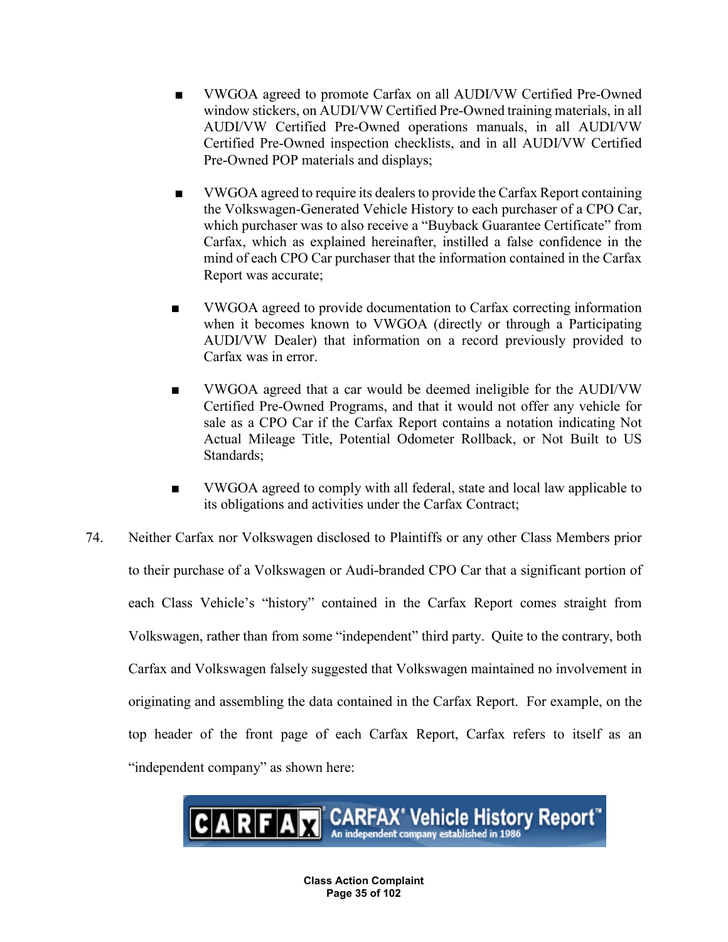- VWGOA agreed to promote Carfax on all AUDI/VW Certified Pre-Owned window stickers, on AUDI/VW Certified Pre-Owned training materials, in all AUDI/VW Certified Pre-Owned operations manuals, in all AUDI/VW Certified Pre-Owned inspection checklists, and in all AUDI/VW Certified Pre-Owned POP materials and displays;
- VWGOA agreed to require its dealers to provide the Carfax Report containing the Volkswagen-Generated Vehicle History to each purchaser of a CPO Car, which purchaser was to also receive a "Buyback Guarantee Certificate" from Carfax, which as explained hereinafter, instilled a false confidence in the mind of each CPO Car purchaser that the information contained in the Carfax Report was accurate;
- VWGOA agreed to provide documentation to Carfax correcting information when it becomes known to VWGOA (directly or through a Participating AUDI/VW Dealer) that information on a record previously provided to Carfax was in error.
- VWGOA agreed that a car would be deemed ineligible for the AUDI/VW Certified Pre-Owned Programs, and that it would not offer any vehicle for sale as a CPO Car if the Carfax Report contains a notation indicating Not Actual Mileage Title, Potential Odometer Rollback, or Not Built to US Standards;
- VWGOA agreed to comply with all federal, state and local law applicable to its obligations and activities under the Carfax Contract;
- 74. Neither Carfax nor Volkswagen disclosed to Plaintiffs or any other Class Members prior to their purchase of a Volkswagen or Audi-branded CPO Car that a significant portion of each Class Vehicle's "history" contained in the Carfax Report comes straight from Volkswagen, rather than from some "independent" third party. Quite to the contrary, both Carfax and Volkswagen falsely suggested that Volkswagen maintained no involvement in originating and assembling the data contained in the Carfax Report. For example, on the top header of the front page of each Carfax Report, Carfax refers to itself as an "independent company" as shown here:

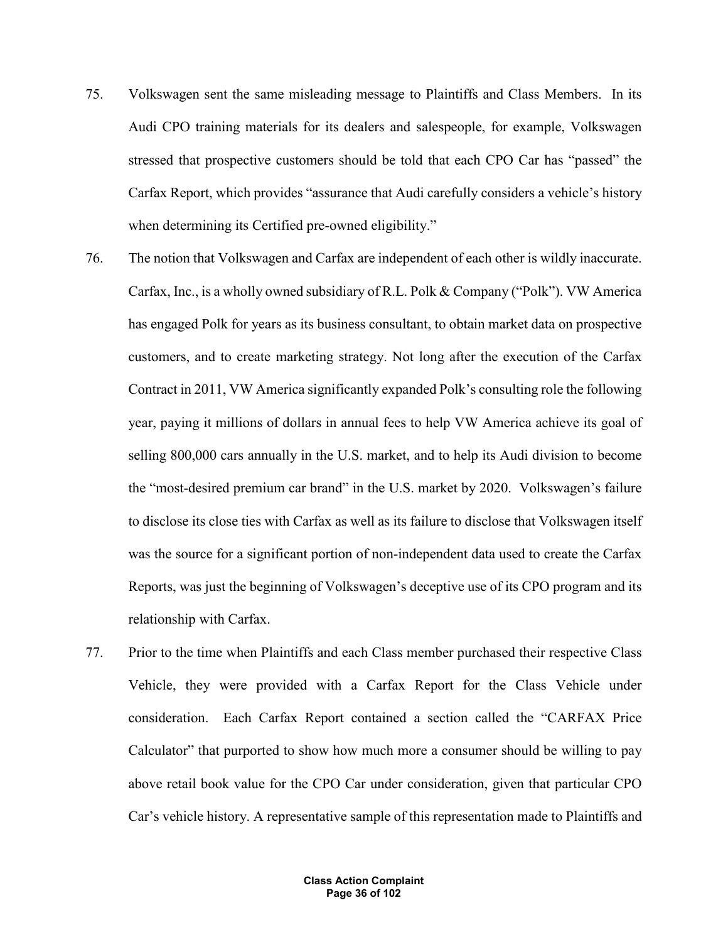- 75. Volkswagen sent the same misleading message to Plaintiffs and Class Members. In its Audi CPO training materials for its dealers and salespeople, for example, Volkswagen stressed that prospective customers should be told that each CPO Car has "passed" the Carfax Report, which provides "assurance that Audi carefully considers a vehicle's history when determining its Certified pre-owned eligibility."
- 76. The notion that Volkswagen and Carfax are independent of each other is wildly inaccurate. Carfax, Inc., is a wholly owned subsidiary of R.L. Polk & Company ("Polk"). VW America has engaged Polk for years as its business consultant, to obtain market data on prospective customers, and to create marketing strategy. Not long after the execution of the Carfax Contract in 2011, VW America significantly expanded Polk's consulting role the following year, paying it millions of dollars in annual fees to help VW America achieve its goal of selling 800,000 cars annually in the U.S. market, and to help its Audi division to become the "most-desired premium car brand" in the U.S. market by 2020. Volkswagen's failure to disclose its close ties with Carfax as well as its failure to disclose that Volkswagen itself was the source for a significant portion of non-independent data used to create the Carfax Reports, was just the beginning of Volkswagen's deceptive use of its CPO program and its relationship with Carfax.
- 77. Prior to the time when Plaintiffs and each Class member purchased their respective Class Vehicle, they were provided with a Carfax Report for the Class Vehicle under consideration. Each Carfax Report contained a section called the "CARFAX Price Calculator" that purported to show how much more a consumer should be willing to pay above retail book value for the CPO Car under consideration, given that particular CPO Car's vehicle history. A representative sample of this representation made to Plaintiffs and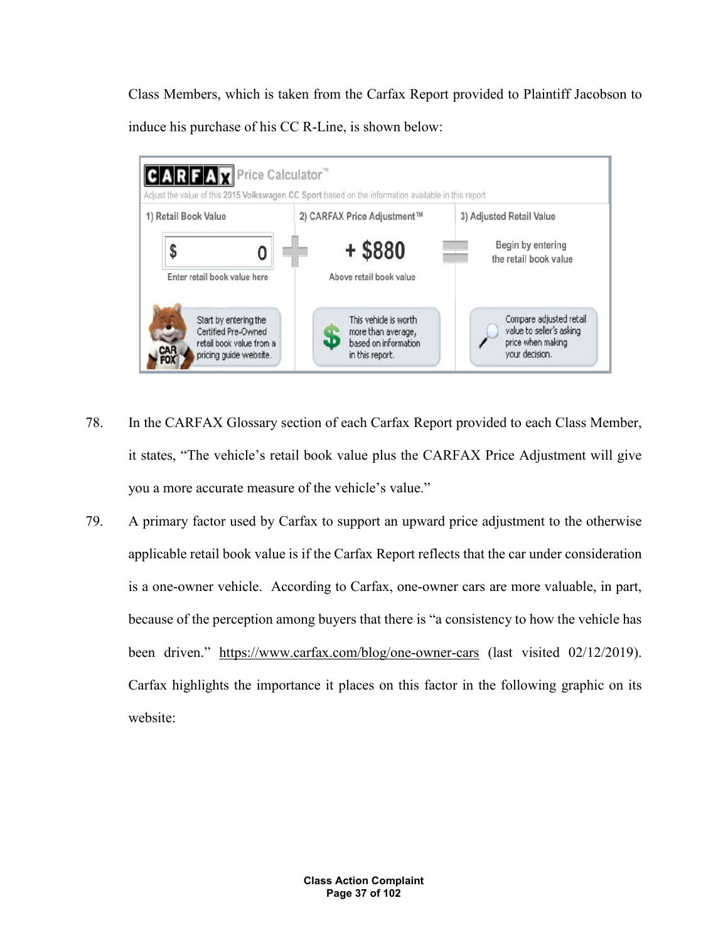Class Members, which is taken from the Carfax Report provided to Plaintiff Jacobson to induce his purchase of his CC R-Line, is shown below:



- 78. In the CARFAX Glossary section of each Carfax Report provided to each Class Member, it states, "The vehicle's retail book value plus the CARFAX Price Adjustment will give you a more accurate measure of the vehicle's value."
- 79. A primary factor used by Carfax to support an upward price adjustment to the otherwise applicable retail book value is if the Carfax Report reflects that the car under consideration is a one-owner vehicle. According to Carfax, one-owner cars are more valuable, in part, because of the perception among buyers that there is "a consistency to how the vehicle has been driven." https://www.carfax.com/blog/one-owner-cars (last visited 02/12/2019). Carfax highlights the importance it places on this factor in the following graphic on its website: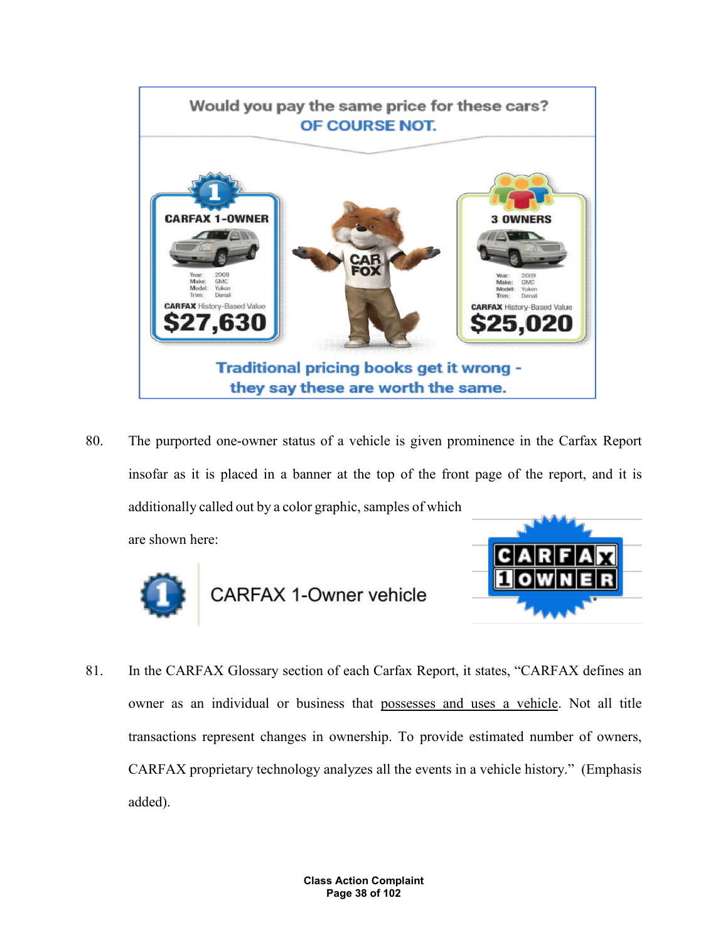

80. The purported one-owner status of a vehicle is given prominence in the Carfax Report insofar as it is placed in a banner at the top of the front page of the report, and it is additionally called out by a color graphic, samples of which are shown here:





81. In the CARFAX Glossary section of each Carfax Report, it states, "CARFAX defines an owner as an individual or business that possesses and uses a vehicle. Not all title transactions represent changes in ownership. To provide estimated number of owners, CARFAX proprietary technology analyzes all the events in a vehicle history." (Emphasis added).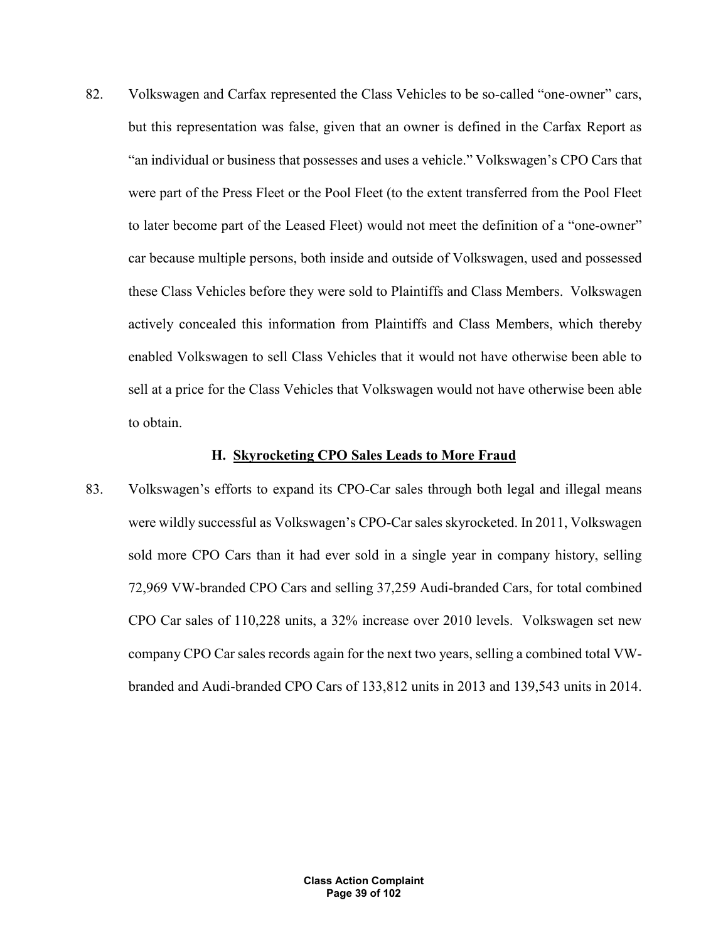82. Volkswagen and Carfax represented the Class Vehicles to be so-called "one-owner" cars, but this representation was false, given that an owner is defined in the Carfax Report as "an individual or business that possesses and uses a vehicle." Volkswagen's CPO Cars that were part of the Press Fleet or the Pool Fleet (to the extent transferred from the Pool Fleet to later become part of the Leased Fleet) would not meet the definition of a "one-owner" car because multiple persons, both inside and outside of Volkswagen, used and possessed these Class Vehicles before they were sold to Plaintiffs and Class Members. Volkswagen actively concealed this information from Plaintiffs and Class Members, which thereby enabled Volkswagen to sell Class Vehicles that it would not have otherwise been able to sell at a price for the Class Vehicles that Volkswagen would not have otherwise been able to obtain.

#### **H. Skyrocketing CPO Sales Leads to More Fraud**

83. Volkswagen's efforts to expand its CPO-Car sales through both legal and illegal means were wildly successful as Volkswagen's CPO-Car sales skyrocketed. In 2011, Volkswagen sold more CPO Cars than it had ever sold in a single year in company history, selling 72,969 VW-branded CPO Cars and selling 37,259 Audi-branded Cars, for total combined CPO Car sales of 110,228 units, a 32% increase over 2010 levels. Volkswagen set new company CPO Car sales records again for the next two years, selling a combined total VWbranded and Audi-branded CPO Cars of 133,812 units in 2013 and 139,543 units in 2014.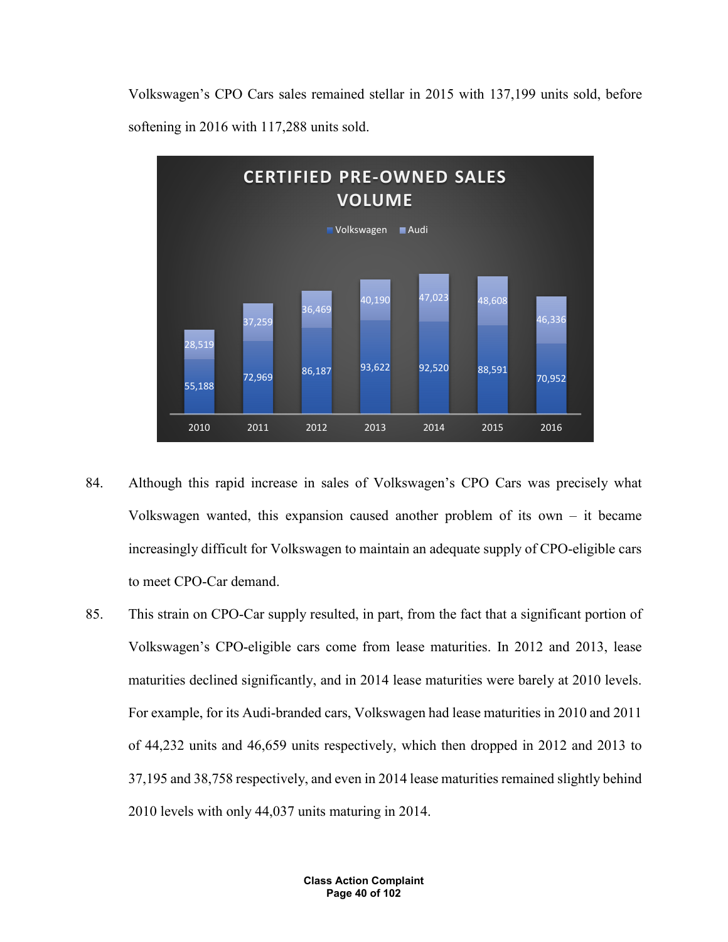Volkswagen's CPO Cars sales remained stellar in 2015 with 137,199 units sold, before softening in 2016 with 117,288 units sold.



- 84. Although this rapid increase in sales of Volkswagen's CPO Cars was precisely what Volkswagen wanted, this expansion caused another problem of its own – it became increasingly difficult for Volkswagen to maintain an adequate supply of CPO-eligible cars to meet CPO-Car demand.
- 85. This strain on CPO-Car supply resulted, in part, from the fact that a significant portion of Volkswagen's CPO-eligible cars come from lease maturities. In 2012 and 2013, lease maturities declined significantly, and in 2014 lease maturities were barely at 2010 levels. For example, for its Audi-branded cars, Volkswagen had lease maturities in 2010 and 2011 of 44,232 units and 46,659 units respectively, which then dropped in 2012 and 2013 to 37,195 and 38,758 respectively, and even in 2014 lease maturities remained slightly behind 2010 levels with only 44,037 units maturing in 2014.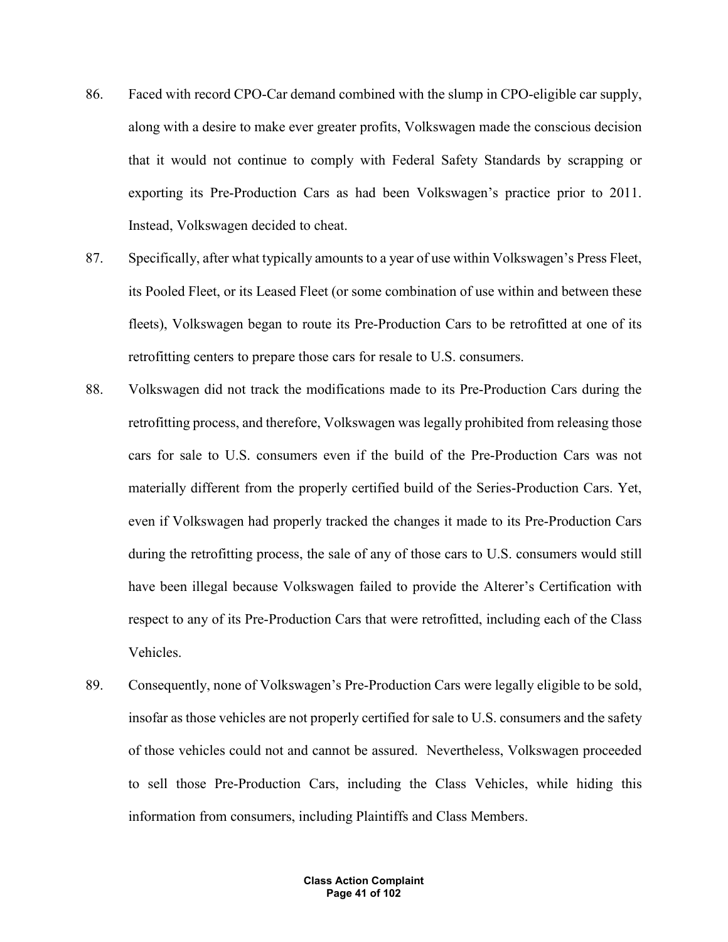- 86. Faced with record CPO-Car demand combined with the slump in CPO-eligible car supply, along with a desire to make ever greater profits, Volkswagen made the conscious decision that it would not continue to comply with Federal Safety Standards by scrapping or exporting its Pre-Production Cars as had been Volkswagen's practice prior to 2011. Instead, Volkswagen decided to cheat.
- 87. Specifically, after what typically amounts to a year of use within Volkswagen's Press Fleet, its Pooled Fleet, or its Leased Fleet (or some combination of use within and between these fleets), Volkswagen began to route its Pre-Production Cars to be retrofitted at one of its retrofitting centers to prepare those cars for resale to U.S. consumers.
- 88. Volkswagen did not track the modifications made to its Pre-Production Cars during the retrofitting process, and therefore, Volkswagen was legally prohibited from releasing those cars for sale to U.S. consumers even if the build of the Pre-Production Cars was not materially different from the properly certified build of the Series-Production Cars. Yet, even if Volkswagen had properly tracked the changes it made to its Pre-Production Cars during the retrofitting process, the sale of any of those cars to U.S. consumers would still have been illegal because Volkswagen failed to provide the Alterer's Certification with respect to any of its Pre-Production Cars that were retrofitted, including each of the Class Vehicles.
- 89. Consequently, none of Volkswagen's Pre-Production Cars were legally eligible to be sold, insofar as those vehicles are not properly certified for sale to U.S. consumers and the safety of those vehicles could not and cannot be assured. Nevertheless, Volkswagen proceeded to sell those Pre-Production Cars, including the Class Vehicles, while hiding this information from consumers, including Plaintiffs and Class Members.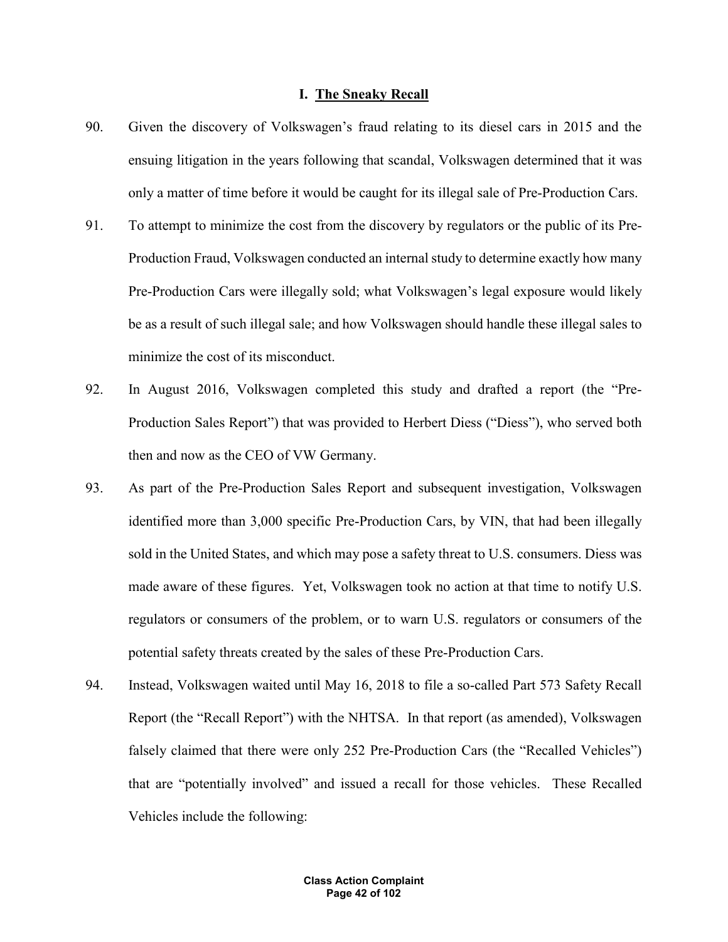#### **I. The Sneaky Recall**

- 90. Given the discovery of Volkswagen's fraud relating to its diesel cars in 2015 and the ensuing litigation in the years following that scandal, Volkswagen determined that it was only a matter of time before it would be caught for its illegal sale of Pre-Production Cars.
- 91. To attempt to minimize the cost from the discovery by regulators or the public of its Pre-Production Fraud, Volkswagen conducted an internal study to determine exactly how many Pre-Production Cars were illegally sold; what Volkswagen's legal exposure would likely be as a result of such illegal sale; and how Volkswagen should handle these illegal sales to minimize the cost of its misconduct.
- 92. In August 2016, Volkswagen completed this study and drafted a report (the "Pre-Production Sales Report") that was provided to Herbert Diess ("Diess"), who served both then and now as the CEO of VW Germany.
- 93. As part of the Pre-Production Sales Report and subsequent investigation, Volkswagen identified more than 3,000 specific Pre-Production Cars, by VIN, that had been illegally sold in the United States, and which may pose a safety threat to U.S. consumers. Diess was made aware of these figures. Yet, Volkswagen took no action at that time to notify U.S. regulators or consumers of the problem, or to warn U.S. regulators or consumers of the potential safety threats created by the sales of these Pre-Production Cars.
- 94. Instead, Volkswagen waited until May 16, 2018 to file a so-called Part 573 Safety Recall Report (the "Recall Report") with the NHTSA. In that report (as amended), Volkswagen falsely claimed that there were only 252 Pre-Production Cars (the "Recalled Vehicles") that are "potentially involved" and issued a recall for those vehicles. These Recalled Vehicles include the following: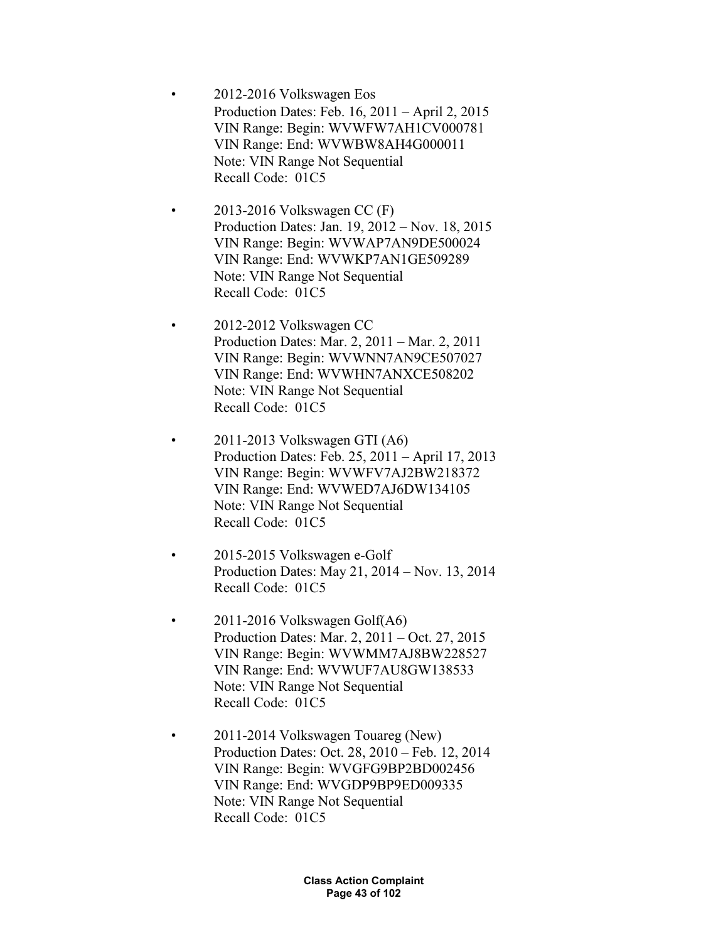- 2012-2016 Volkswagen Eos Production Dates: Feb. 16, 2011 – April 2, 2015 VIN Range: Begin: WVWFW7AH1CV000781 VIN Range: End: WVWBW8AH4G000011 Note: VIN Range Not Sequential Recall Code: 01C5
- 2013-2016 Volkswagen CC (F) Production Dates: Jan. 19, 2012 – Nov. 18, 2015 VIN Range: Begin: WVWAP7AN9DE500024 VIN Range: End: WVWKP7AN1GE509289 Note: VIN Range Not Sequential Recall Code: 01C5
- 2012-2012 Volkswagen CC Production Dates: Mar. 2, 2011 – Mar. 2, 2011 VIN Range: Begin: WVWNN7AN9CE507027 VIN Range: End: WVWHN7ANXCE508202 Note: VIN Range Not Sequential Recall Code: 01C5
- 2011-2013 Volkswagen GTI (A6) Production Dates: Feb. 25, 2011 – April 17, 2013 VIN Range: Begin: WVWFV7AJ2BW218372 VIN Range: End: WVWED7AJ6DW134105 Note: VIN Range Not Sequential Recall Code: 01C5
- 2015-2015 Volkswagen e-Golf Production Dates: May 21, 2014 – Nov. 13, 2014 Recall Code: 01C5
- 2011-2016 Volkswagen Golf(A6) Production Dates: Mar. 2, 2011 – Oct. 27, 2015 VIN Range: Begin: WVWMM7AJ8BW228527 VIN Range: End: WVWUF7AU8GW138533 Note: VIN Range Not Sequential Recall Code: 01C5
- 2011-2014 Volkswagen Touareg (New) Production Dates: Oct. 28, 2010 – Feb. 12, 2014 VIN Range: Begin: WVGFG9BP2BD002456 VIN Range: End: WVGDP9BP9ED009335 Note: VIN Range Not Sequential Recall Code: 01C5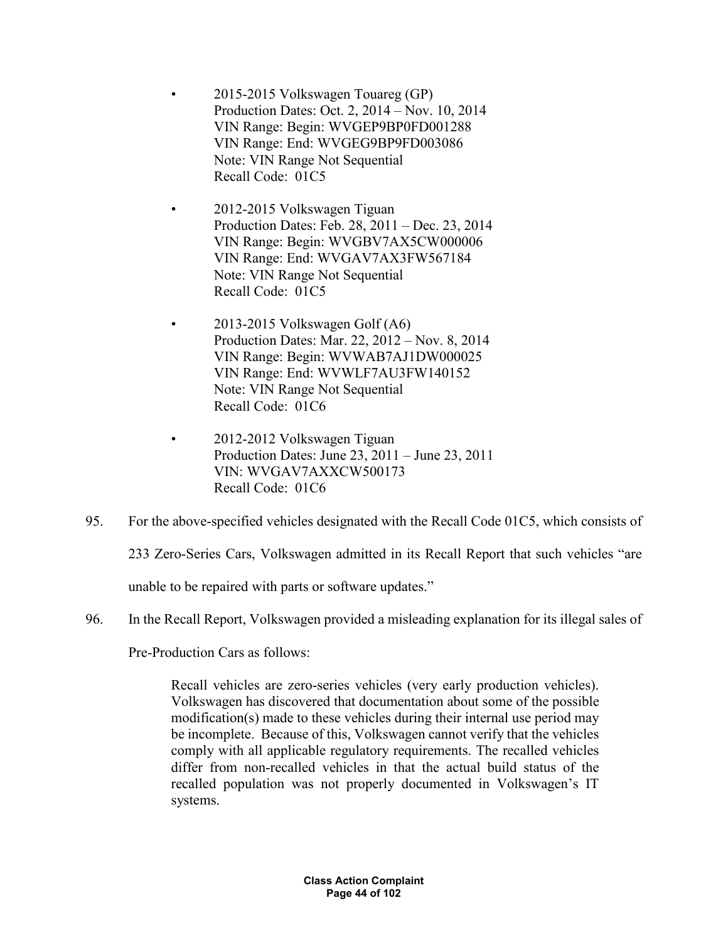- 2015-2015 Volkswagen Touareg (GP) Production Dates: Oct. 2, 2014 – Nov. 10, 2014 VIN Range: Begin: WVGEP9BP0FD001288 VIN Range: End: WVGEG9BP9FD003086 Note: VIN Range Not Sequential Recall Code: 01C5
- 2012-2015 Volkswagen Tiguan Production Dates: Feb. 28, 2011 – Dec. 23, 2014 VIN Range: Begin: WVGBV7AX5CW000006 VIN Range: End: WVGAV7AX3FW567184 Note: VIN Range Not Sequential Recall Code: 01C5
- 2013-2015 Volkswagen Golf (A6) Production Dates: Mar. 22, 2012 – Nov. 8, 2014 VIN Range: Begin: WVWAB7AJ1DW000025 VIN Range: End: WVWLF7AU3FW140152 Note: VIN Range Not Sequential Recall Code: 01C6
- 2012-2012 Volkswagen Tiguan Production Dates: June 23, 2011 – June 23, 2011 VIN: WVGAV7AXXCW500173 Recall Code: 01C6
- 95. For the above-specified vehicles designated with the Recall Code 01C5, which consists of

233 Zero-Series Cars, Volkswagen admitted in its Recall Report that such vehicles "are

unable to be repaired with parts or software updates."

96. In the Recall Report, Volkswagen provided a misleading explanation for its illegal sales of

Pre-Production Cars as follows:

Recall vehicles are zero-series vehicles (very early production vehicles). Volkswagen has discovered that documentation about some of the possible modification(s) made to these vehicles during their internal use period may be incomplete. Because of this, Volkswagen cannot verify that the vehicles comply with all applicable regulatory requirements. The recalled vehicles differ from non-recalled vehicles in that the actual build status of the recalled population was not properly documented in Volkswagen's IT systems.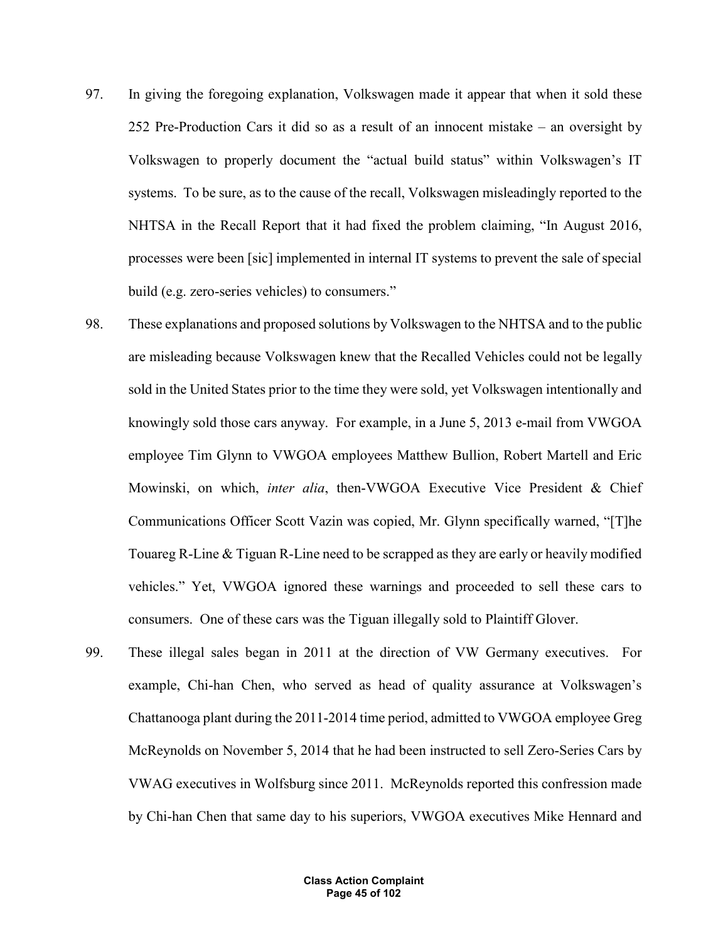- 97. In giving the foregoing explanation, Volkswagen made it appear that when it sold these 252 Pre-Production Cars it did so as a result of an innocent mistake – an oversight by Volkswagen to properly document the "actual build status" within Volkswagen's IT systems. To be sure, as to the cause of the recall, Volkswagen misleadingly reported to the NHTSA in the Recall Report that it had fixed the problem claiming, "In August 2016, processes were been [sic] implemented in internal IT systems to prevent the sale of special build (e.g. zero-series vehicles) to consumers."
- 98. These explanations and proposed solutions by Volkswagen to the NHTSA and to the public are misleading because Volkswagen knew that the Recalled Vehicles could not be legally sold in the United States prior to the time they were sold, yet Volkswagen intentionally and knowingly sold those cars anyway. For example, in a June 5, 2013 e-mail from VWGOA employee Tim Glynn to VWGOA employees Matthew Bullion, Robert Martell and Eric Mowinski, on which, *inter alia*, then-VWGOA Executive Vice President & Chief Communications Officer Scott Vazin was copied, Mr. Glynn specifically warned, "[T]he Touareg R-Line & Tiguan R-Line need to be scrapped as they are early or heavily modified vehicles." Yet, VWGOA ignored these warnings and proceeded to sell these cars to consumers. One of these cars was the Tiguan illegally sold to Plaintiff Glover.
- 99. These illegal sales began in 2011 at the direction of VW Germany executives. For example, Chi-han Chen, who served as head of quality assurance at Volkswagen's Chattanooga plant during the 2011-2014 time period, admitted to VWGOA employee Greg McReynolds on November 5, 2014 that he had been instructed to sell Zero-Series Cars by VWAG executives in Wolfsburg since 2011. McReynolds reported this confression made by Chi-han Chen that same day to his superiors, VWGOA executives Mike Hennard and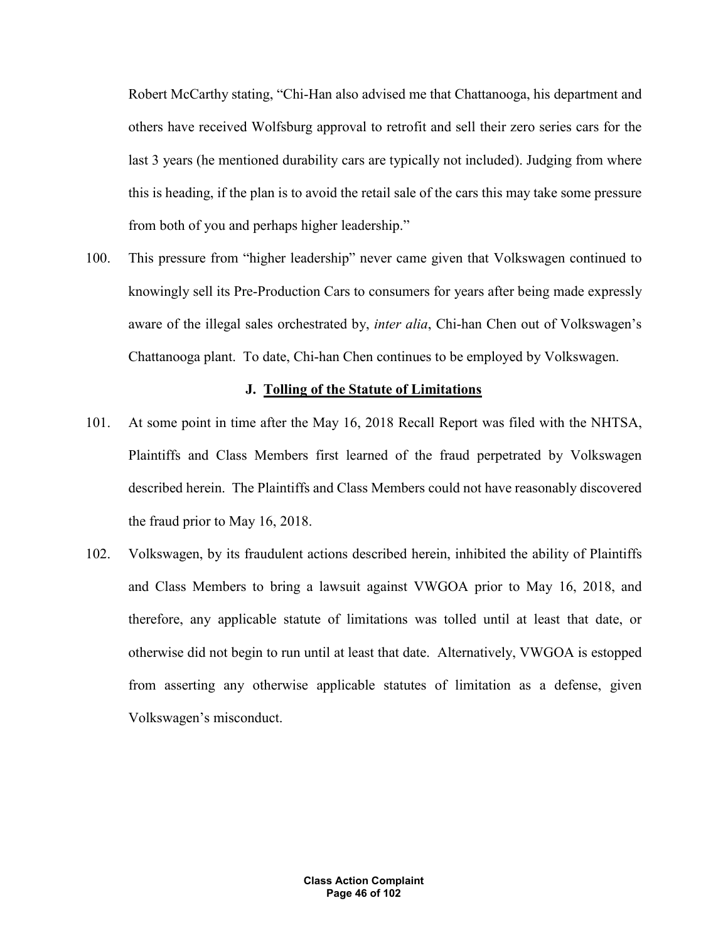Robert McCarthy stating, "Chi-Han also advised me that Chattanooga, his department and others have received Wolfsburg approval to retrofit and sell their zero series cars for the last 3 years (he mentioned durability cars are typically not included). Judging from where this is heading, if the plan is to avoid the retail sale of the cars this may take some pressure from both of you and perhaps higher leadership."

100. This pressure from "higher leadership" never came given that Volkswagen continued to knowingly sell its Pre-Production Cars to consumers for years after being made expressly aware of the illegal sales orchestrated by, *inter alia*, Chi-han Chen out of Volkswagen's Chattanooga plant. To date, Chi-han Chen continues to be employed by Volkswagen.

#### **J. Tolling of the Statute of Limitations**

- 101. At some point in time after the May 16, 2018 Recall Report was filed with the NHTSA, Plaintiffs and Class Members first learned of the fraud perpetrated by Volkswagen described herein. The Plaintiffs and Class Members could not have reasonably discovered the fraud prior to May 16, 2018.
- 102. Volkswagen, by its fraudulent actions described herein, inhibited the ability of Plaintiffs and Class Members to bring a lawsuit against VWGOA prior to May 16, 2018, and therefore, any applicable statute of limitations was tolled until at least that date, or otherwise did not begin to run until at least that date. Alternatively, VWGOA is estopped from asserting any otherwise applicable statutes of limitation as a defense, given Volkswagen's misconduct.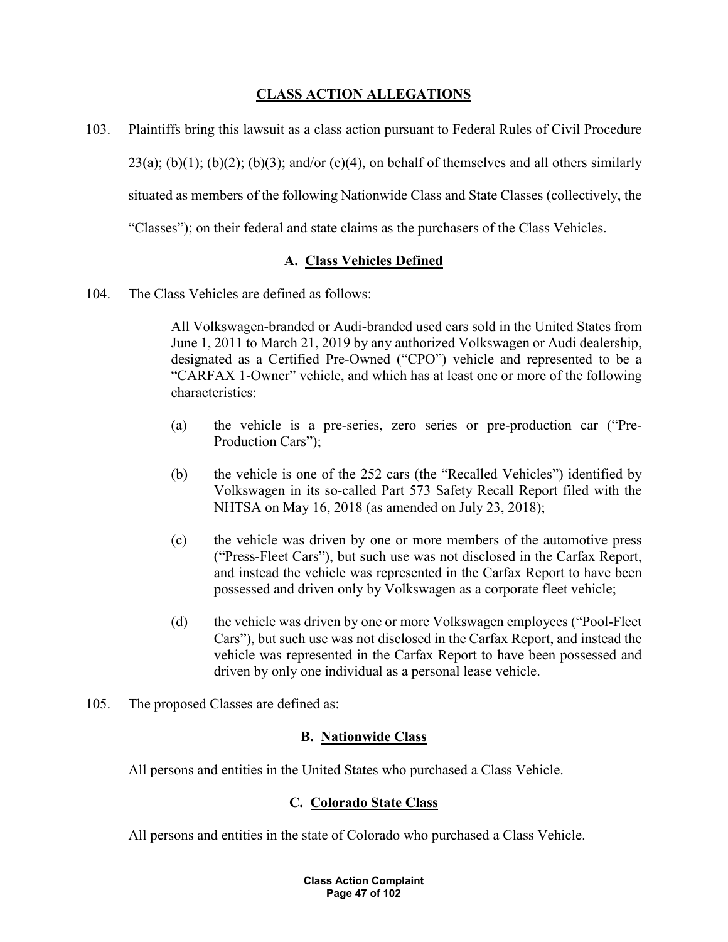# **CLASS ACTION ALLEGATIONS**

103. Plaintiffs bring this lawsuit as a class action pursuant to Federal Rules of Civil Procedure

 $23(a)$ ; (b)(1); (b)(2); (b)(3); and/or (c)(4), on behalf of themselves and all others similarly situated as members of the following Nationwide Class and State Classes (collectively, the "Classes"); on their federal and state claims as the purchasers of the Class Vehicles.

# **A. Class Vehicles Defined**

104. The Class Vehicles are defined as follows:

All Volkswagen-branded or Audi-branded used cars sold in the United States from June 1, 2011 to March 21, 2019 by any authorized Volkswagen or Audi dealership, designated as a Certified Pre-Owned ("CPO") vehicle and represented to be a "CARFAX 1-Owner" vehicle, and which has at least one or more of the following characteristics:

- (a) the vehicle is a pre-series, zero series or pre-production car ("Pre-Production Cars");
- (b) the vehicle is one of the 252 cars (the "Recalled Vehicles") identified by Volkswagen in its so-called Part 573 Safety Recall Report filed with the NHTSA on May 16, 2018 (as amended on July 23, 2018);
- (c) the vehicle was driven by one or more members of the automotive press ("Press-Fleet Cars"), but such use was not disclosed in the Carfax Report, and instead the vehicle was represented in the Carfax Report to have been possessed and driven only by Volkswagen as a corporate fleet vehicle;
- (d) the vehicle was driven by one or more Volkswagen employees ("Pool-Fleet Cars"), but such use was not disclosed in the Carfax Report, and instead the vehicle was represented in the Carfax Report to have been possessed and driven by only one individual as a personal lease vehicle.
- 105. The proposed Classes are defined as:

# **B. Nationwide Class**

All persons and entities in the United States who purchased a Class Vehicle.

# **C. Colorado State Class**

All persons and entities in the state of Colorado who purchased a Class Vehicle.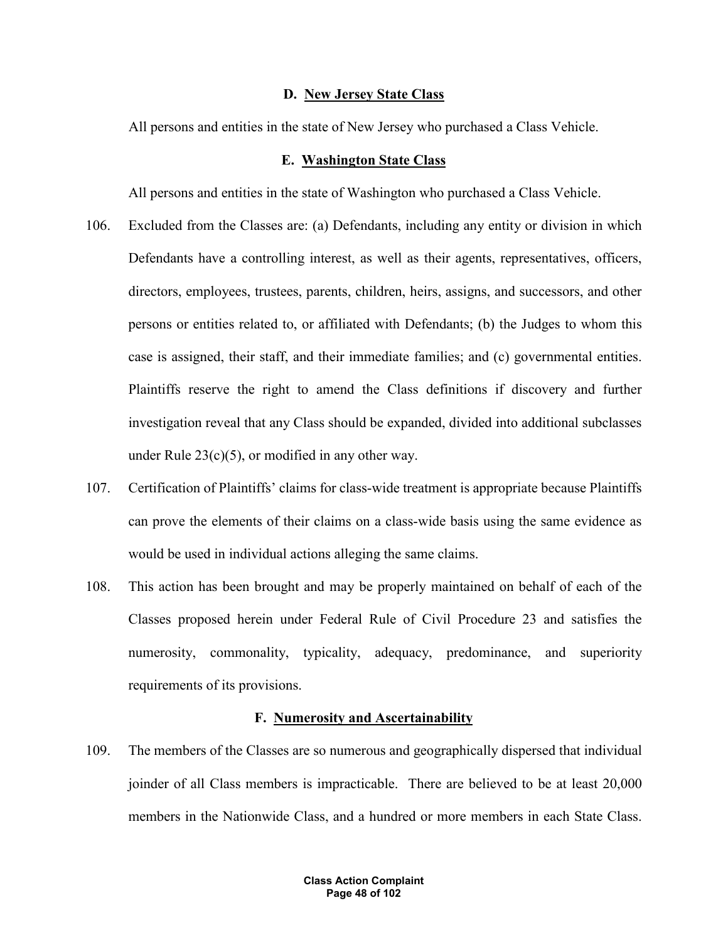#### **D. New Jersey State Class**

All persons and entities in the state of New Jersey who purchased a Class Vehicle.

#### **E. Washington State Class**

All persons and entities in the state of Washington who purchased a Class Vehicle.

- 106. Excluded from the Classes are: (a) Defendants, including any entity or division in which Defendants have a controlling interest, as well as their agents, representatives, officers, directors, employees, trustees, parents, children, heirs, assigns, and successors, and other persons or entities related to, or affiliated with Defendants; (b) the Judges to whom this case is assigned, their staff, and their immediate families; and (c) governmental entities. Plaintiffs reserve the right to amend the Class definitions if discovery and further investigation reveal that any Class should be expanded, divided into additional subclasses under Rule  $23(c)(5)$ , or modified in any other way.
- 107. Certification of Plaintiffs' claims for class-wide treatment is appropriate because Plaintiffs can prove the elements of their claims on a class-wide basis using the same evidence as would be used in individual actions alleging the same claims.
- 108. This action has been brought and may be properly maintained on behalf of each of the Classes proposed herein under Federal Rule of Civil Procedure 23 and satisfies the numerosity, commonality, typicality, adequacy, predominance, and superiority requirements of its provisions.

### **F. Numerosity and Ascertainability**

109. The members of the Classes are so numerous and geographically dispersed that individual joinder of all Class members is impracticable. There are believed to be at least 20,000 members in the Nationwide Class, and a hundred or more members in each State Class.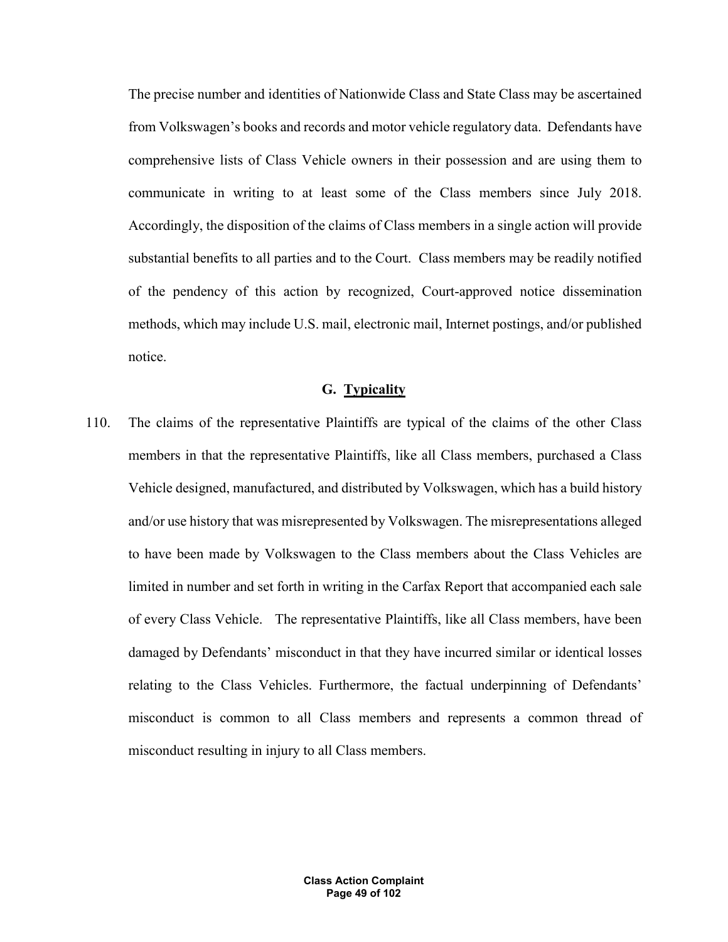The precise number and identities of Nationwide Class and State Class may be ascertained from Volkswagen's books and records and motor vehicle regulatory data. Defendants have comprehensive lists of Class Vehicle owners in their possession and are using them to communicate in writing to at least some of the Class members since July 2018. Accordingly, the disposition of the claims of Class members in a single action will provide substantial benefits to all parties and to the Court. Class members may be readily notified of the pendency of this action by recognized, Court-approved notice dissemination methods, which may include U.S. mail, electronic mail, Internet postings, and/or published notice.

#### **G. Typicality**

110. The claims of the representative Plaintiffs are typical of the claims of the other Class members in that the representative Plaintiffs, like all Class members, purchased a Class Vehicle designed, manufactured, and distributed by Volkswagen, which has a build history and/or use history that was misrepresented by Volkswagen. The misrepresentations alleged to have been made by Volkswagen to the Class members about the Class Vehicles are limited in number and set forth in writing in the Carfax Report that accompanied each sale of every Class Vehicle. The representative Plaintiffs, like all Class members, have been damaged by Defendants' misconduct in that they have incurred similar or identical losses relating to the Class Vehicles. Furthermore, the factual underpinning of Defendants' misconduct is common to all Class members and represents a common thread of misconduct resulting in injury to all Class members.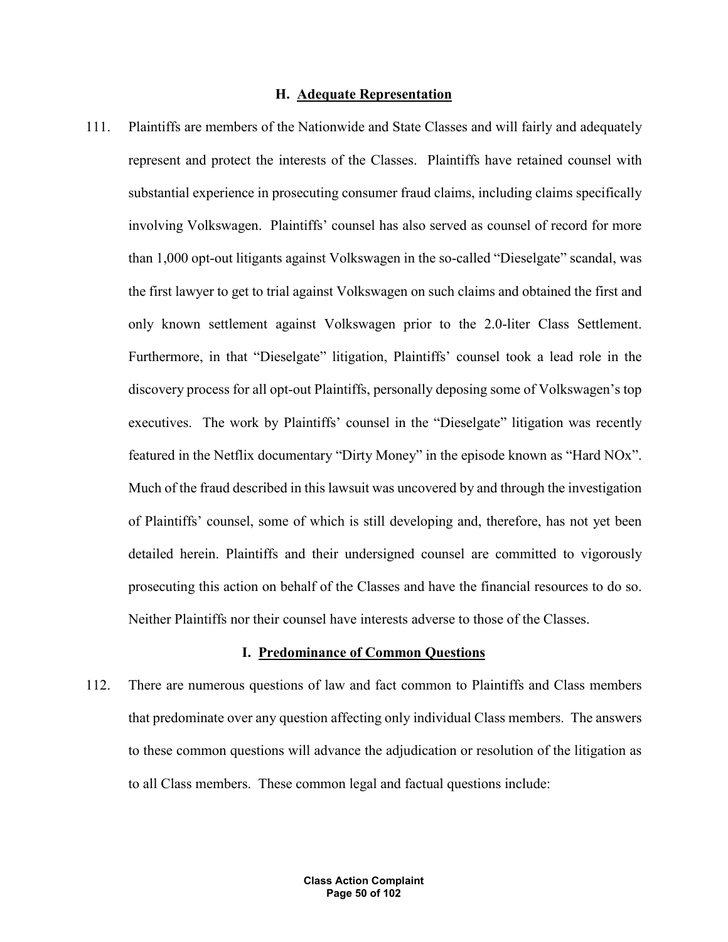#### **H. Adequate Representation**

111. Plaintiffs are members of the Nationwide and State Classes and will fairly and adequately represent and protect the interests of the Classes. Plaintiffs have retained counsel with substantial experience in prosecuting consumer fraud claims, including claims specifically involving Volkswagen. Plaintiffs' counsel has also served as counsel of record for more than 1,000 opt-out litigants against Volkswagen in the so-called "Dieselgate" scandal, was the first lawyer to get to trial against Volkswagen on such claims and obtained the first and only known settlement against Volkswagen prior to the 2.0-liter Class Settlement. Furthermore, in that "Dieselgate" litigation, Plaintiffs' counsel took a lead role in the discovery process for all opt-out Plaintiffs, personally deposing some of Volkswagen's top executives. The work by Plaintiffs' counsel in the "Dieselgate" litigation was recently featured in the Netflix documentary "Dirty Money" in the episode known as "Hard NOx". Much of the fraud described in this lawsuit was uncovered by and through the investigation of Plaintiffs' counsel, some of which is still developing and, therefore, has not yet been detailed herein. Plaintiffs and their undersigned counsel are committed to vigorously prosecuting this action on behalf of the Classes and have the financial resources to do so. Neither Plaintiffs nor their counsel have interests adverse to those of the Classes.

#### **I. Predominance of Common Questions**

112. There are numerous questions of law and fact common to Plaintiffs and Class members that predominate over any question affecting only individual Class members. The answers to these common questions will advance the adjudication or resolution of the litigation as to all Class members. These common legal and factual questions include: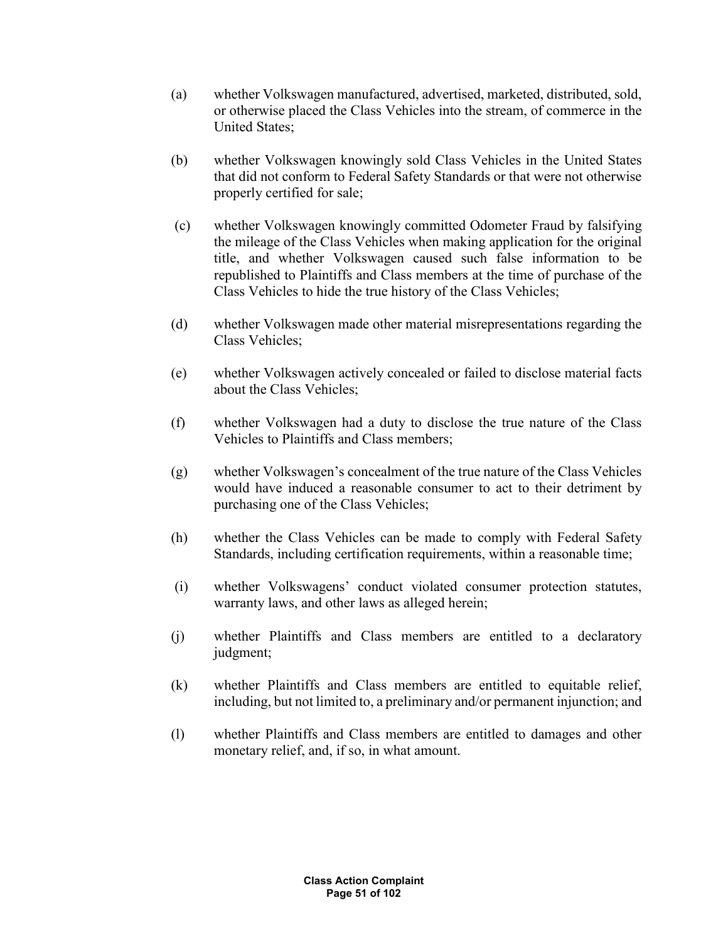- (a) whether Volkswagen manufactured, advertised, marketed, distributed, sold, or otherwise placed the Class Vehicles into the stream, of commerce in the United States;
- (b) whether Volkswagen knowingly sold Class Vehicles in the United States that did not conform to Federal Safety Standards or that were not otherwise properly certified for sale;
- (c) whether Volkswagen knowingly committed Odometer Fraud by falsifying the mileage of the Class Vehicles when making application for the original title, and whether Volkswagen caused such false information to be republished to Plaintiffs and Class members at the time of purchase of the Class Vehicles to hide the true history of the Class Vehicles;
- (d) whether Volkswagen made other material misrepresentations regarding the Class Vehicles;
- (e) whether Volkswagen actively concealed or failed to disclose material facts about the Class Vehicles;
- (f) whether Volkswagen had a duty to disclose the true nature of the Class Vehicles to Plaintiffs and Class members;
- (g) whether Volkswagen's concealment of the true nature of the Class Vehicles would have induced a reasonable consumer to act to their detriment by purchasing one of the Class Vehicles;
- (h) whether the Class Vehicles can be made to comply with Federal Safety Standards, including certification requirements, within a reasonable time;
- (i) whether Volkswagens' conduct violated consumer protection statutes, warranty laws, and other laws as alleged herein;
- (j) whether Plaintiffs and Class members are entitled to a declaratory judgment;
- (k) whether Plaintiffs and Class members are entitled to equitable relief, including, but not limited to, a preliminary and/or permanent injunction; and
- (l) whether Plaintiffs and Class members are entitled to damages and other monetary relief, and, if so, in what amount.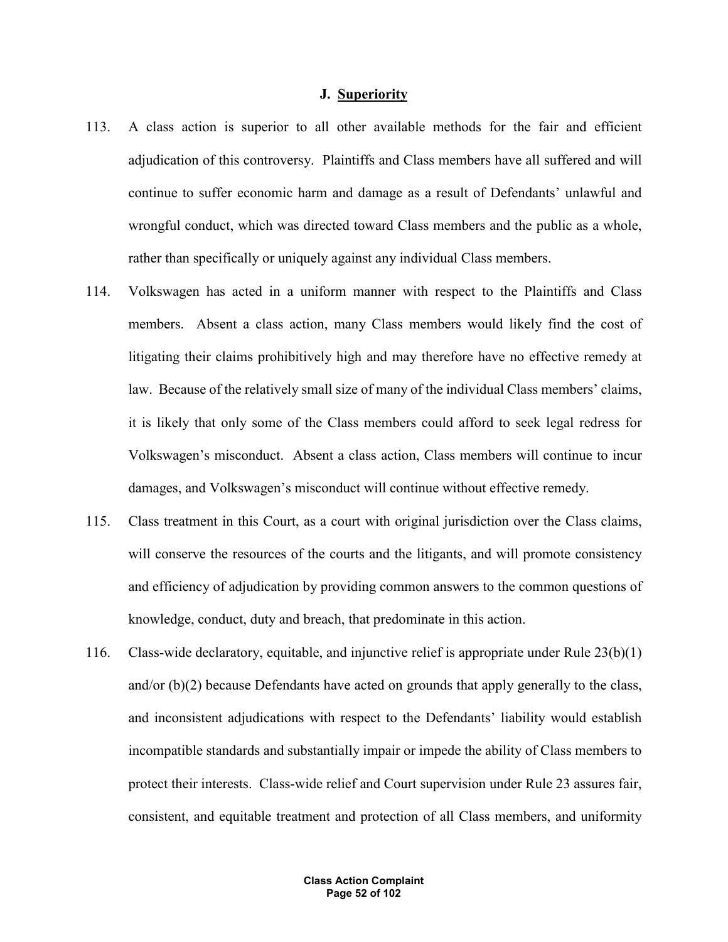#### **J. Superiority**

- 113. A class action is superior to all other available methods for the fair and efficient adjudication of this controversy. Plaintiffs and Class members have all suffered and will continue to suffer economic harm and damage as a result of Defendants' unlawful and wrongful conduct, which was directed toward Class members and the public as a whole, rather than specifically or uniquely against any individual Class members.
- 114. Volkswagen has acted in a uniform manner with respect to the Plaintiffs and Class members. Absent a class action, many Class members would likely find the cost of litigating their claims prohibitively high and may therefore have no effective remedy at law. Because of the relatively small size of many of the individual Class members' claims, it is likely that only some of the Class members could afford to seek legal redress for Volkswagen's misconduct. Absent a class action, Class members will continue to incur damages, and Volkswagen's misconduct will continue without effective remedy.
- 115. Class treatment in this Court, as a court with original jurisdiction over the Class claims, will conserve the resources of the courts and the litigants, and will promote consistency and efficiency of adjudication by providing common answers to the common questions of knowledge, conduct, duty and breach, that predominate in this action.
- 116. Class-wide declaratory, equitable, and injunctive relief is appropriate under Rule 23(b)(1) and/or (b)(2) because Defendants have acted on grounds that apply generally to the class, and inconsistent adjudications with respect to the Defendants' liability would establish incompatible standards and substantially impair or impede the ability of Class members to protect their interests. Class-wide relief and Court supervision under Rule 23 assures fair, consistent, and equitable treatment and protection of all Class members, and uniformity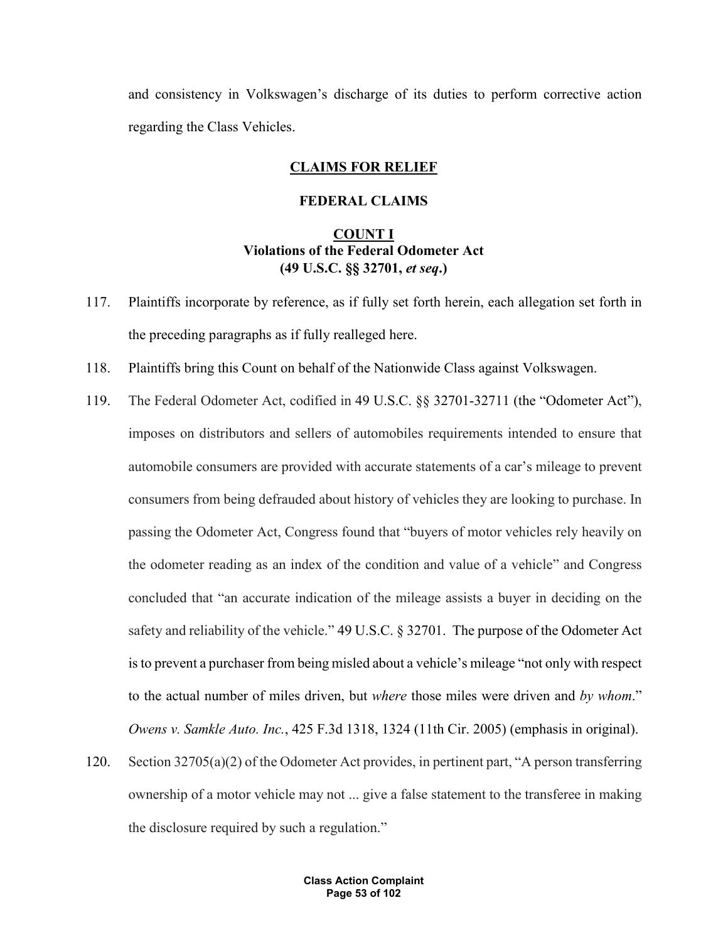and consistency in Volkswagen's discharge of its duties to perform corrective action regarding the Class Vehicles.

### **CLAIMS FOR RELIEF**

### **FEDERAL CLAIMS**

## **COUNT I Violations of the Federal Odometer Act (49 U.S.C. §§ 32701,** *et seq***.)**

- 117. Plaintiffs incorporate by reference, as if fully set forth herein, each allegation set forth in the preceding paragraphs as if fully realleged here.
- 118. Plaintiffs bring this Count on behalf of the Nationwide Class against Volkswagen.
- 119. The Federal Odometer Act, codified in 49 U.S.C. §§ 32701-32711 (the "Odometer Act"), imposes on distributors and sellers of automobiles requirements intended to ensure that automobile consumers are provided with accurate statements of a car's mileage to prevent consumers from being defrauded about history of vehicles they are looking to purchase. In passing the Odometer Act, Congress found that "buyers of motor vehicles rely heavily on the odometer reading as an index of the condition and value of a vehicle" and Congress concluded that "an accurate indication of the mileage assists a buyer in deciding on the safety and reliability of the vehicle." 49 U.S.C. § 32701. The purpose of the Odometer Act is to prevent a purchaser from being misled about a vehicle's mileage "not only with respect to the actual number of miles driven, but *where* those miles were driven and *by whom*." *Owens v. Samkle Auto. Inc.*, 425 F.3d 1318, 1324 (11th Cir. 2005) (emphasis in original).
- 120. Section 32705(a)(2) of the Odometer Act provides, in pertinent part, "A person transferring ownership of a motor vehicle may not ... give a false statement to the transferee in making the disclosure required by such a regulation."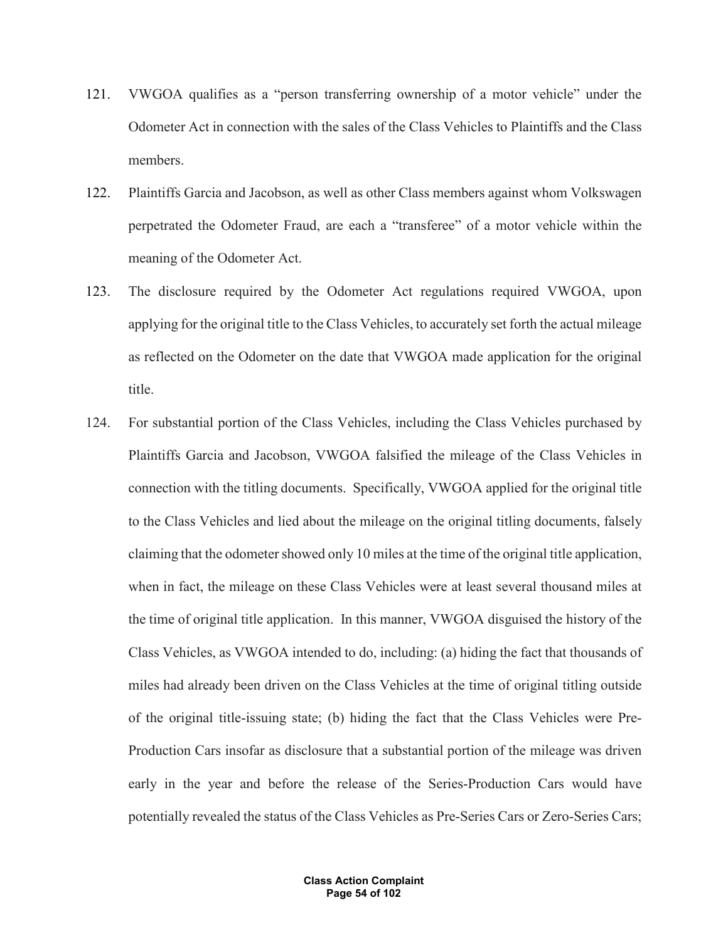- 121. VWGOA qualifies as a "person transferring ownership of a motor vehicle" under the Odometer Act in connection with the sales of the Class Vehicles to Plaintiffs and the Class members.
- 122. Plaintiffs Garcia and Jacobson, as well as other Class members against whom Volkswagen perpetrated the Odometer Fraud, are each a "transferee" of a motor vehicle within the meaning of the Odometer Act.
- 123. The disclosure required by the Odometer Act regulations required VWGOA, upon applying for the original title to the Class Vehicles, to accurately set forth the actual mileage as reflected on the Odometer on the date that VWGOA made application for the original title.
- 124. For substantial portion of the Class Vehicles, including the Class Vehicles purchased by Plaintiffs Garcia and Jacobson, VWGOA falsified the mileage of the Class Vehicles in connection with the titling documents. Specifically, VWGOA applied for the original title to the Class Vehicles and lied about the mileage on the original titling documents, falsely claiming that the odometer showed only 10 miles at the time of the original title application, when in fact, the mileage on these Class Vehicles were at least several thousand miles at the time of original title application. In this manner, VWGOA disguised the history of the Class Vehicles, as VWGOA intended to do, including: (a) hiding the fact that thousands of miles had already been driven on the Class Vehicles at the time of original titling outside of the original title-issuing state; (b) hiding the fact that the Class Vehicles were Pre-Production Cars insofar as disclosure that a substantial portion of the mileage was driven early in the year and before the release of the Series-Production Cars would have potentially revealed the status of the Class Vehicles as Pre-Series Cars or Zero-Series Cars;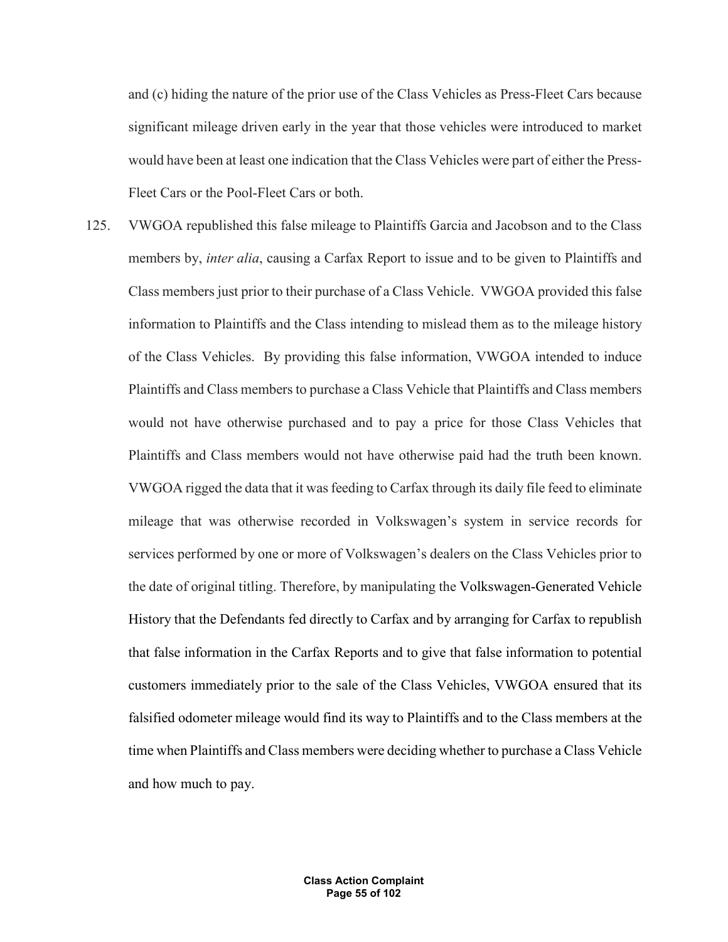and (c) hiding the nature of the prior use of the Class Vehicles as Press-Fleet Cars because significant mileage driven early in the year that those vehicles were introduced to market would have been at least one indication that the Class Vehicles were part of either the Press-Fleet Cars or the Pool-Fleet Cars or both.

125. VWGOA republished this false mileage to Plaintiffs Garcia and Jacobson and to the Class members by, *inter alia*, causing a Carfax Report to issue and to be given to Plaintiffs and Class members just prior to their purchase of a Class Vehicle. VWGOA provided this false information to Plaintiffs and the Class intending to mislead them as to the mileage history of the Class Vehicles. By providing this false information, VWGOA intended to induce Plaintiffs and Class members to purchase a Class Vehicle that Plaintiffs and Class members would not have otherwise purchased and to pay a price for those Class Vehicles that Plaintiffs and Class members would not have otherwise paid had the truth been known. VWGOA rigged the data that it was feeding to Carfax through its daily file feed to eliminate mileage that was otherwise recorded in Volkswagen's system in service records for services performed by one or more of Volkswagen's dealers on the Class Vehicles prior to the date of original titling. Therefore, by manipulating the Volkswagen-Generated Vehicle History that the Defendants fed directly to Carfax and by arranging for Carfax to republish that false information in the Carfax Reports and to give that false information to potential customers immediately prior to the sale of the Class Vehicles, VWGOA ensured that its falsified odometer mileage would find its way to Plaintiffs and to the Class members at the time when Plaintiffs and Class members were deciding whether to purchase a Class Vehicle and how much to pay.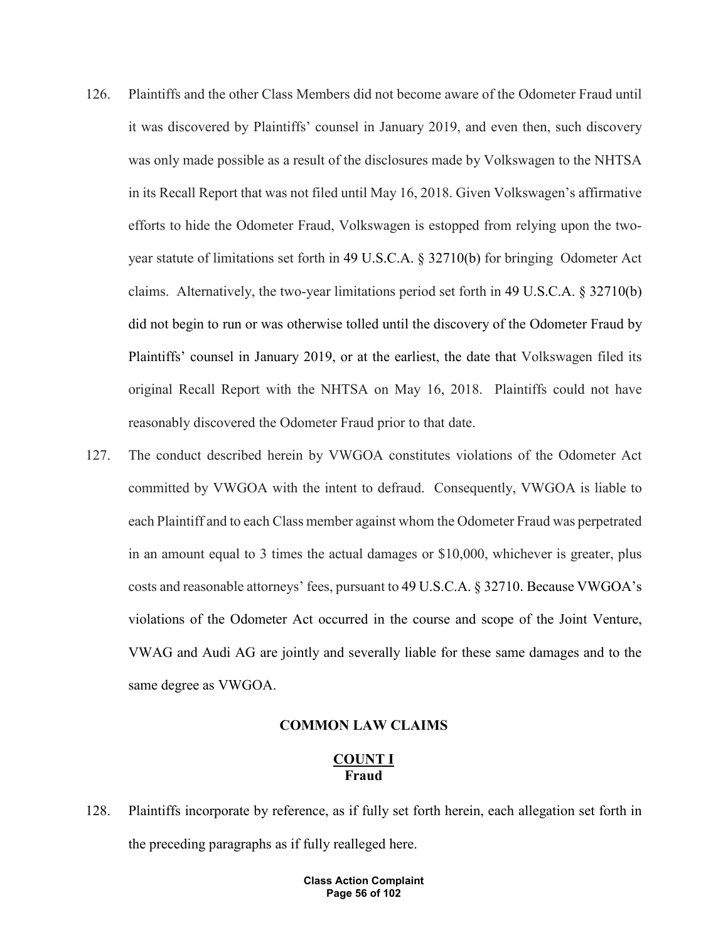- 126. Plaintiffs and the other Class Members did not become aware of the Odometer Fraud until it was discovered by Plaintiffs' counsel in January 2019, and even then, such discovery was only made possible as a result of the disclosures made by Volkswagen to the NHTSA in its Recall Report that was not filed until May 16, 2018. Given Volkswagen's affirmative efforts to hide the Odometer Fraud, Volkswagen is estopped from relying upon the twoyear statute of limitations set forth in 49 U.S.C.A. § 32710(b) for bringing Odometer Act claims. Alternatively, the two-year limitations period set forth in 49 U.S.C.A. § 32710(b) did not begin to run or was otherwise tolled until the discovery of the Odometer Fraud by Plaintiffs' counsel in January 2019, or at the earliest, the date that Volkswagen filed its original Recall Report with the NHTSA on May 16, 2018. Plaintiffs could not have reasonably discovered the Odometer Fraud prior to that date.
- 127. The conduct described herein by VWGOA constitutes violations of the Odometer Act committed by VWGOA with the intent to defraud. Consequently, VWGOA is liable to each Plaintiff and to each Class member against whom the Odometer Fraud was perpetrated in an amount equal to 3 times the actual damages or \$10,000, whichever is greater, plus costs and reasonable attorneys' fees, pursuant to 49 U.S.C.A. § 32710. Because VWGOA's violations of the Odometer Act occurred in the course and scope of the Joint Venture, VWAG and Audi AG are jointly and severally liable for these same damages and to the same degree as VWGOA.

## **COMMON LAW CLAIMS**

### **COUNT I Fraud**

128. Plaintiffs incorporate by reference, as if fully set forth herein, each allegation set forth in the preceding paragraphs as if fully realleged here.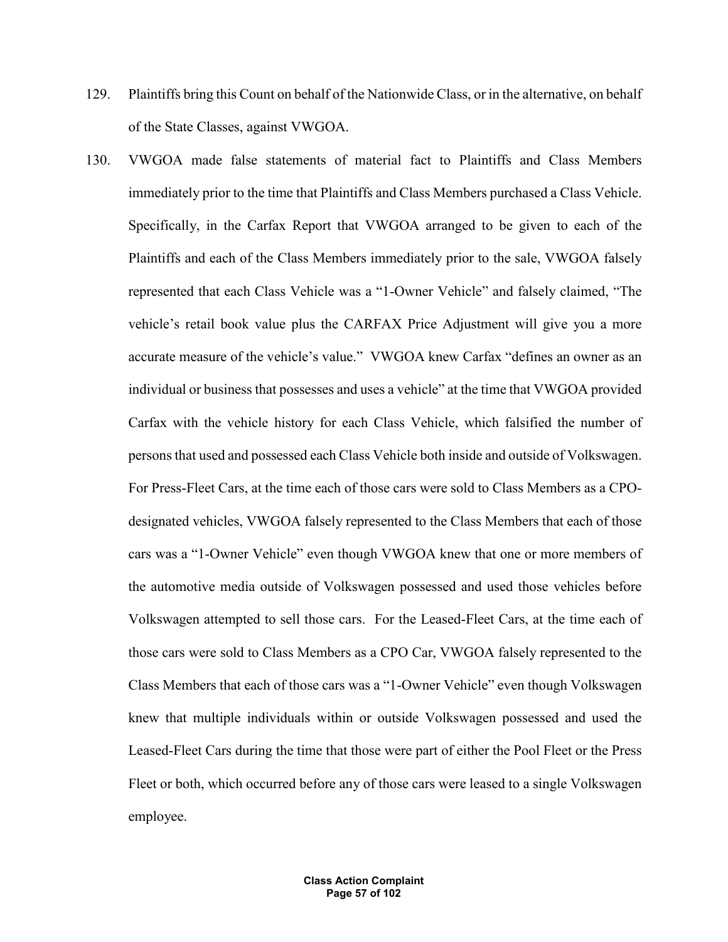- 129. Plaintiffs bring this Count on behalf of the Nationwide Class, or in the alternative, on behalf of the State Classes, against VWGOA.
- 130. VWGOA made false statements of material fact to Plaintiffs and Class Members immediately prior to the time that Plaintiffs and Class Members purchased a Class Vehicle. Specifically, in the Carfax Report that VWGOA arranged to be given to each of the Plaintiffs and each of the Class Members immediately prior to the sale, VWGOA falsely represented that each Class Vehicle was a "1-Owner Vehicle" and falsely claimed, "The vehicle's retail book value plus the CARFAX Price Adjustment will give you a more accurate measure of the vehicle's value." VWGOA knew Carfax "defines an owner as an individual or business that possesses and uses a vehicle" at the time that VWGOA provided Carfax with the vehicle history for each Class Vehicle, which falsified the number of persons that used and possessed each Class Vehicle both inside and outside of Volkswagen. For Press-Fleet Cars, at the time each of those cars were sold to Class Members as a CPOdesignated vehicles, VWGOA falsely represented to the Class Members that each of those cars was a "1-Owner Vehicle" even though VWGOA knew that one or more members of the automotive media outside of Volkswagen possessed and used those vehicles before Volkswagen attempted to sell those cars. For the Leased-Fleet Cars, at the time each of those cars were sold to Class Members as a CPO Car, VWGOA falsely represented to the Class Members that each of those cars was a "1-Owner Vehicle" even though Volkswagen knew that multiple individuals within or outside Volkswagen possessed and used the Leased-Fleet Cars during the time that those were part of either the Pool Fleet or the Press Fleet or both, which occurred before any of those cars were leased to a single Volkswagen employee.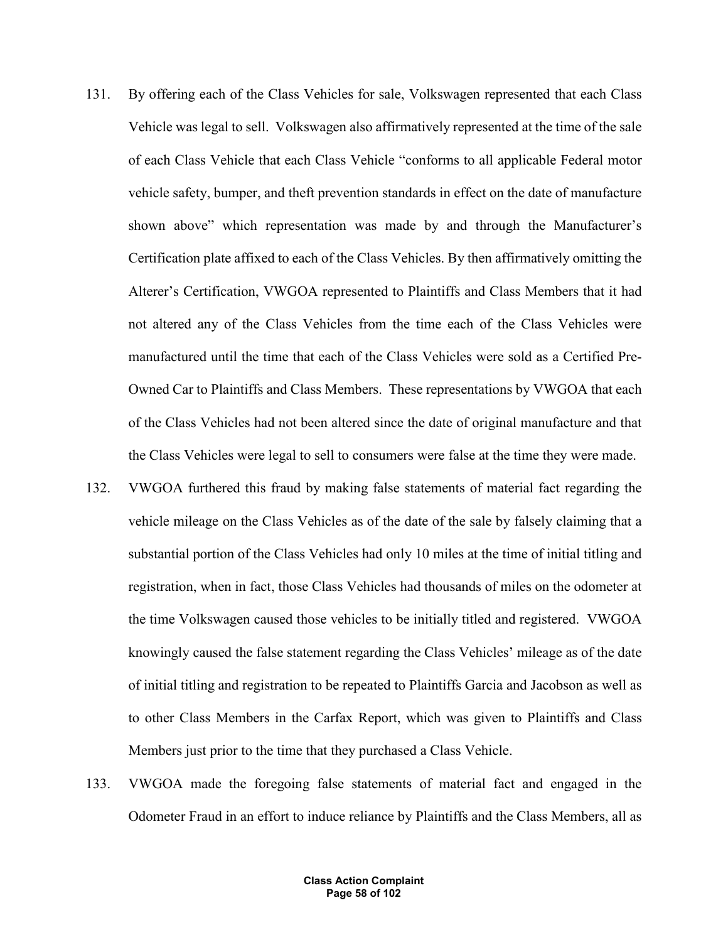- 131. By offering each of the Class Vehicles for sale, Volkswagen represented that each Class Vehicle was legal to sell. Volkswagen also affirmatively represented at the time of the sale of each Class Vehicle that each Class Vehicle "conforms to all applicable Federal motor vehicle safety, bumper, and theft prevention standards in effect on the date of manufacture shown above" which representation was made by and through the Manufacturer's Certification plate affixed to each of the Class Vehicles. By then affirmatively omitting the Alterer's Certification, VWGOA represented to Plaintiffs and Class Members that it had not altered any of the Class Vehicles from the time each of the Class Vehicles were manufactured until the time that each of the Class Vehicles were sold as a Certified Pre-Owned Car to Plaintiffs and Class Members. These representations by VWGOA that each of the Class Vehicles had not been altered since the date of original manufacture and that the Class Vehicles were legal to sell to consumers were false at the time they were made.
- 132. VWGOA furthered this fraud by making false statements of material fact regarding the vehicle mileage on the Class Vehicles as of the date of the sale by falsely claiming that a substantial portion of the Class Vehicles had only 10 miles at the time of initial titling and registration, when in fact, those Class Vehicles had thousands of miles on the odometer at the time Volkswagen caused those vehicles to be initially titled and registered. VWGOA knowingly caused the false statement regarding the Class Vehicles' mileage as of the date of initial titling and registration to be repeated to Plaintiffs Garcia and Jacobson as well as to other Class Members in the Carfax Report, which was given to Plaintiffs and Class Members just prior to the time that they purchased a Class Vehicle.
- 133. VWGOA made the foregoing false statements of material fact and engaged in the Odometer Fraud in an effort to induce reliance by Plaintiffs and the Class Members, all as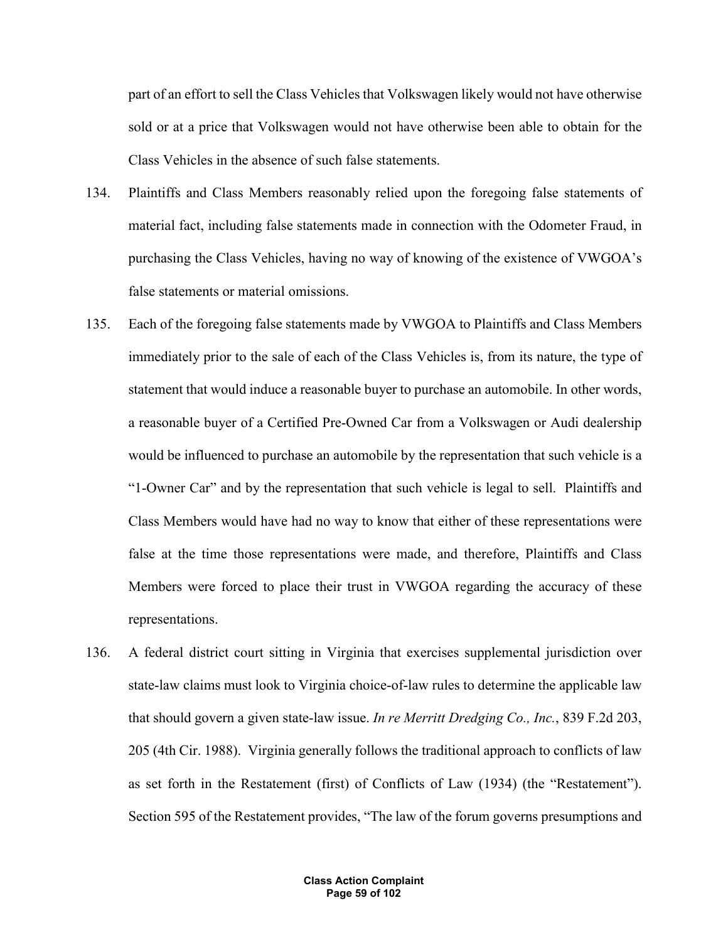part of an effort to sell the Class Vehicles that Volkswagen likely would not have otherwise sold or at a price that Volkswagen would not have otherwise been able to obtain for the Class Vehicles in the absence of such false statements.

- 134. Plaintiffs and Class Members reasonably relied upon the foregoing false statements of material fact, including false statements made in connection with the Odometer Fraud, in purchasing the Class Vehicles, having no way of knowing of the existence of VWGOA's false statements or material omissions.
- 135. Each of the foregoing false statements made by VWGOA to Plaintiffs and Class Members immediately prior to the sale of each of the Class Vehicles is, from its nature, the type of statement that would induce a reasonable buyer to purchase an automobile. In other words, a reasonable buyer of a Certified Pre-Owned Car from a Volkswagen or Audi dealership would be influenced to purchase an automobile by the representation that such vehicle is a "1-Owner Car" and by the representation that such vehicle is legal to sell. Plaintiffs and Class Members would have had no way to know that either of these representations were false at the time those representations were made, and therefore, Plaintiffs and Class Members were forced to place their trust in VWGOA regarding the accuracy of these representations.
- 136. A federal district court sitting in Virginia that exercises supplemental jurisdiction over state-law claims must look to Virginia choice-of-law rules to determine the applicable law that should govern a given state-law issue. *In re Merritt Dredging Co., Inc.*, 839 F.2d 203, 205 (4th Cir. 1988). Virginia generally follows the traditional approach to conflicts of law as set forth in the Restatement (first) of Conflicts of Law (1934) (the "Restatement"). Section 595 of the Restatement provides, "The law of the forum governs presumptions and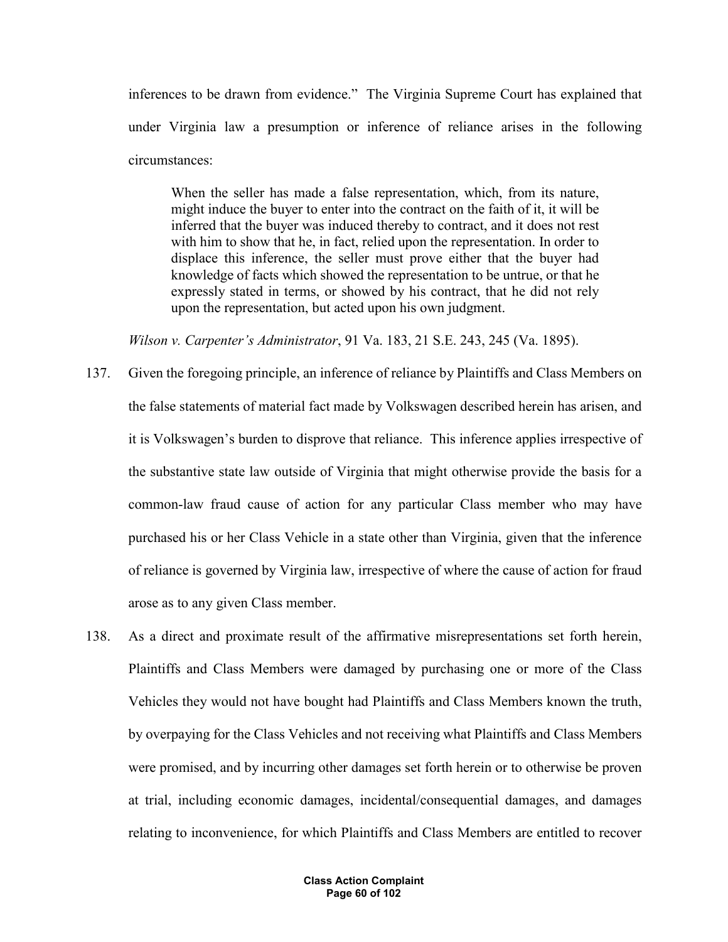inferences to be drawn from evidence." The Virginia Supreme Court has explained that under Virginia law a presumption or inference of reliance arises in the following circumstances:

When the seller has made a false representation, which, from its nature, might induce the buyer to enter into the contract on the faith of it, it will be inferred that the buyer was induced thereby to contract, and it does not rest with him to show that he, in fact, relied upon the representation. In order to displace this inference, the seller must prove either that the buyer had knowledge of facts which showed the representation to be untrue, or that he expressly stated in terms, or showed by his contract, that he did not rely upon the representation, but acted upon his own judgment.

*Wilson v. Carpenter's Administrator*, 91 Va. 183, 21 S.E. 243, 245 (Va. 1895).

- 137. Given the foregoing principle, an inference of reliance by Plaintiffs and Class Members on the false statements of material fact made by Volkswagen described herein has arisen, and it is Volkswagen's burden to disprove that reliance. This inference applies irrespective of the substantive state law outside of Virginia that might otherwise provide the basis for a common-law fraud cause of action for any particular Class member who may have purchased his or her Class Vehicle in a state other than Virginia, given that the inference of reliance is governed by Virginia law, irrespective of where the cause of action for fraud arose as to any given Class member.
- 138. As a direct and proximate result of the affirmative misrepresentations set forth herein, Plaintiffs and Class Members were damaged by purchasing one or more of the Class Vehicles they would not have bought had Plaintiffs and Class Members known the truth, by overpaying for the Class Vehicles and not receiving what Plaintiffs and Class Members were promised, and by incurring other damages set forth herein or to otherwise be proven at trial, including economic damages, incidental/consequential damages, and damages relating to inconvenience, for which Plaintiffs and Class Members are entitled to recover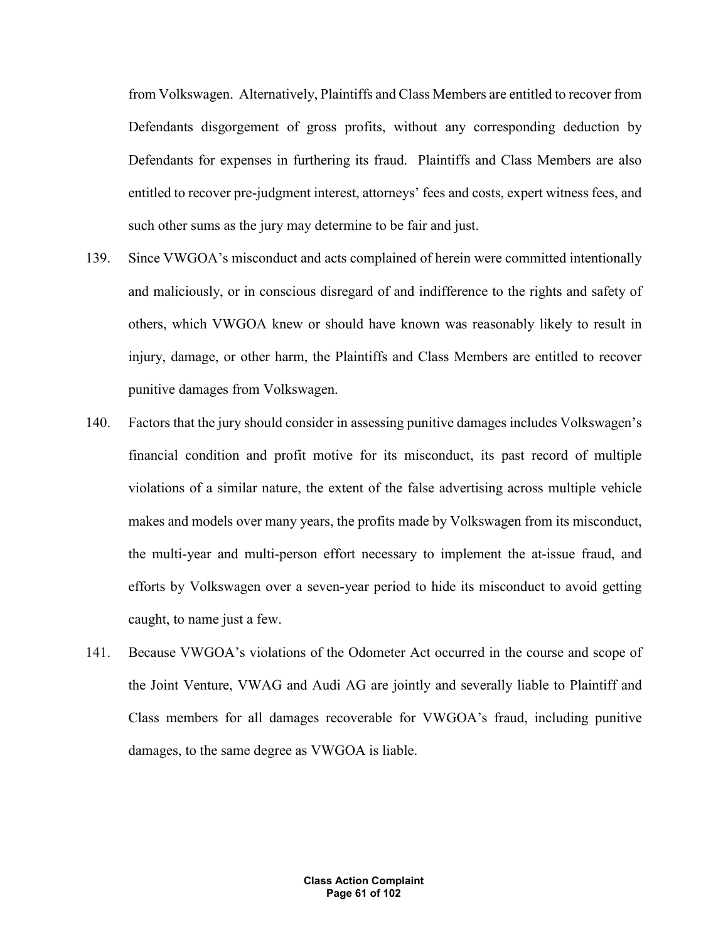from Volkswagen. Alternatively, Plaintiffs and Class Members are entitled to recover from Defendants disgorgement of gross profits, without any corresponding deduction by Defendants for expenses in furthering its fraud. Plaintiffs and Class Members are also entitled to recover pre-judgment interest, attorneys' fees and costs, expert witness fees, and such other sums as the jury may determine to be fair and just.

- 139. Since VWGOA's misconduct and acts complained of herein were committed intentionally and maliciously, or in conscious disregard of and indifference to the rights and safety of others, which VWGOA knew or should have known was reasonably likely to result in injury, damage, or other harm, the Plaintiffs and Class Members are entitled to recover punitive damages from Volkswagen.
- 140. Factors that the jury should consider in assessing punitive damages includes Volkswagen's financial condition and profit motive for its misconduct, its past record of multiple violations of a similar nature, the extent of the false advertising across multiple vehicle makes and models over many years, the profits made by Volkswagen from its misconduct, the multi-year and multi-person effort necessary to implement the at-issue fraud, and efforts by Volkswagen over a seven-year period to hide its misconduct to avoid getting caught, to name just a few.
- 141. Because VWGOA's violations of the Odometer Act occurred in the course and scope of the Joint Venture, VWAG and Audi AG are jointly and severally liable to Plaintiff and Class members for all damages recoverable for VWGOA's fraud, including punitive damages, to the same degree as VWGOA is liable.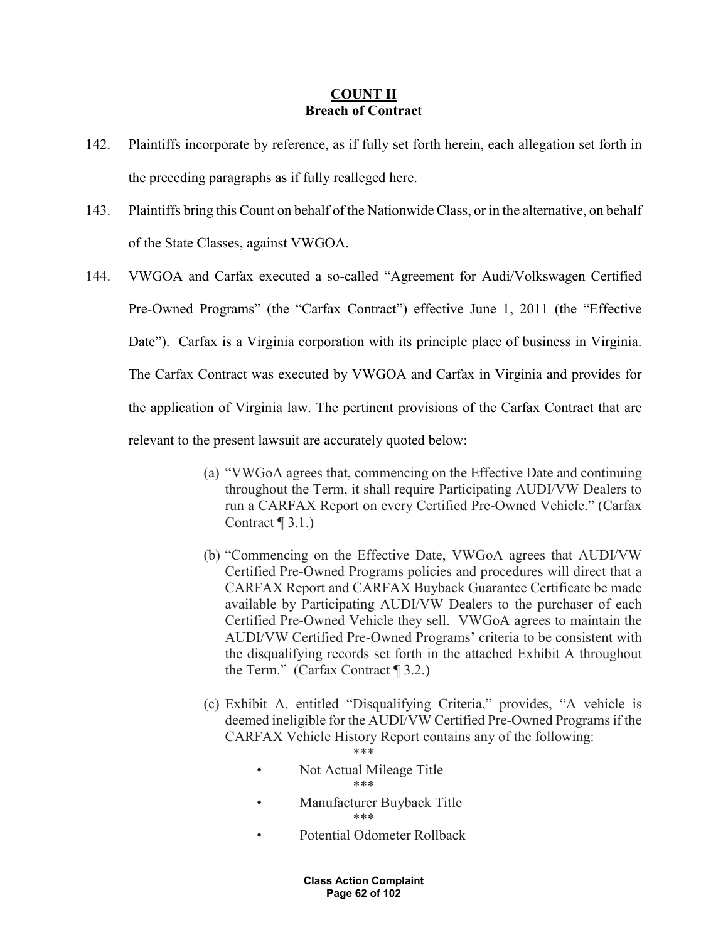## **COUNT II Breach of Contract**

- 142. Plaintiffs incorporate by reference, as if fully set forth herein, each allegation set forth in the preceding paragraphs as if fully realleged here.
- 143. Plaintiffs bring this Count on behalf of the Nationwide Class, or in the alternative, on behalf of the State Classes, against VWGOA.
- 144. VWGOA and Carfax executed a so-called "Agreement for Audi/Volkswagen Certified Pre-Owned Programs" (the "Carfax Contract") effective June 1, 2011 (the "Effective Date"). Carfax is a Virginia corporation with its principle place of business in Virginia. The Carfax Contract was executed by VWGOA and Carfax in Virginia and provides for the application of Virginia law. The pertinent provisions of the Carfax Contract that are relevant to the present lawsuit are accurately quoted below:
	- (a) "VWGoA agrees that, commencing on the Effective Date and continuing throughout the Term, it shall require Participating AUDI/VW Dealers to run a CARFAX Report on every Certified Pre-Owned Vehicle." (Carfax Contract  $\P$  3.1.)
	- (b) "Commencing on the Effective Date, VWGoA agrees that AUDI/VW Certified Pre-Owned Programs policies and procedures will direct that a CARFAX Report and CARFAX Buyback Guarantee Certificate be made available by Participating AUDI/VW Dealers to the purchaser of each Certified Pre-Owned Vehicle they sell. VWGoA agrees to maintain the AUDI/VW Certified Pre-Owned Programs' criteria to be consistent with the disqualifying records set forth in the attached Exhibit A throughout the Term." (Carfax Contract ¶ 3.2.)
	- (c) Exhibit A, entitled "Disqualifying Criteria," provides, "A vehicle is deemed ineligible for the AUDI/VW Certified Pre-Owned Programs if the CARFAX Vehicle History Report contains any of the following:

\*\*\*

- Not Actual Mileage Title \*\*\*
- Manufacturer Buyback Title \*\*\*
- Potential Odometer Rollback

**Class Action Complaint Page 62 of 102**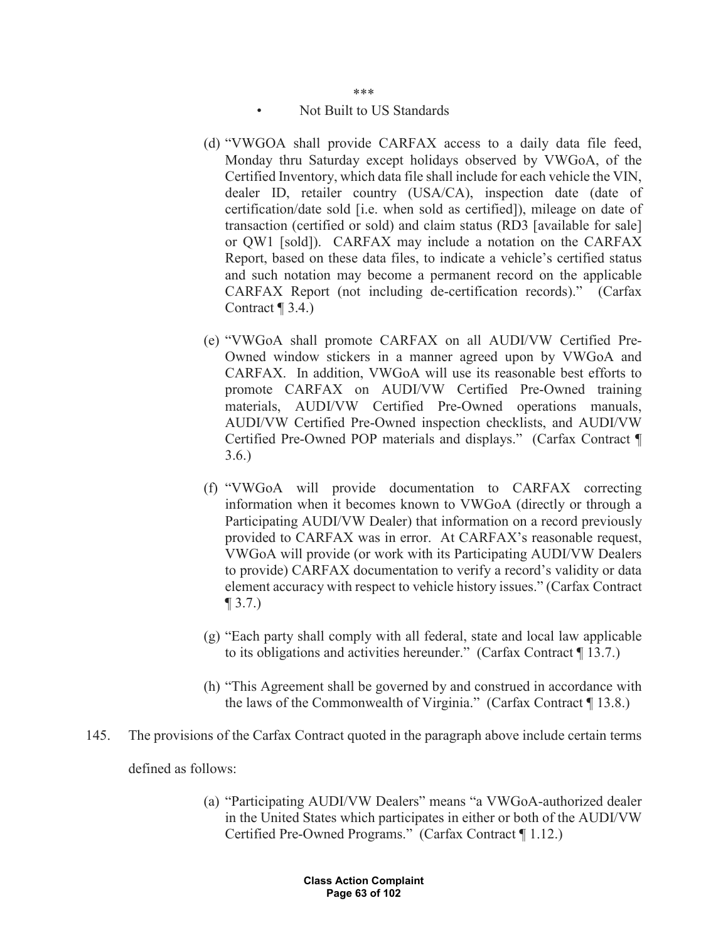#### • Not Built to US Standards

- (d) "VWGOA shall provide CARFAX access to a daily data file feed, Monday thru Saturday except holidays observed by VWGoA, of the Certified Inventory, which data file shall include for each vehicle the VIN, dealer ID, retailer country (USA/CA), inspection date (date of certification/date sold [i.e. when sold as certified]), mileage on date of transaction (certified or sold) and claim status (RD3 [available for sale] or QW1 [sold]). CARFAX may include a notation on the CARFAX Report, based on these data files, to indicate a vehicle's certified status and such notation may become a permanent record on the applicable CARFAX Report (not including de-certification records)." (Carfax Contract ¶ 3.4.)
- (e) "VWGoA shall promote CARFAX on all AUDI/VW Certified Pre-Owned window stickers in a manner agreed upon by VWGoA and CARFAX. In addition, VWGoA will use its reasonable best efforts to promote CARFAX on AUDI/VW Certified Pre-Owned training materials, AUDI/VW Certified Pre-Owned operations manuals, AUDI/VW Certified Pre-Owned inspection checklists, and AUDI/VW Certified Pre-Owned POP materials and displays." (Carfax Contract ¶ 3.6.)
- (f) "VWGoA will provide documentation to CARFAX correcting information when it becomes known to VWGoA (directly or through a Participating AUDI/VW Dealer) that information on a record previously provided to CARFAX was in error. At CARFAX's reasonable request, VWGoA will provide (or work with its Participating AUDI/VW Dealers to provide) CARFAX documentation to verify a record's validity or data element accuracy with respect to vehicle history issues." (Carfax Contract ¶ 3.7.)
- (g) "Each party shall comply with all federal, state and local law applicable to its obligations and activities hereunder." (Carfax Contract ¶ 13.7.)
- (h) "This Agreement shall be governed by and construed in accordance with the laws of the Commonwealth of Virginia." (Carfax Contract ¶ 13.8.)
- 145. The provisions of the Carfax Contract quoted in the paragraph above include certain terms

defined as follows:

(a) "Participating AUDI/VW Dealers" means "a VWGoA-authorized dealer in the United States which participates in either or both of the AUDI/VW Certified Pre-Owned Programs." (Carfax Contract ¶ 1.12.)

> **Class Action Complaint Page 63 of 102**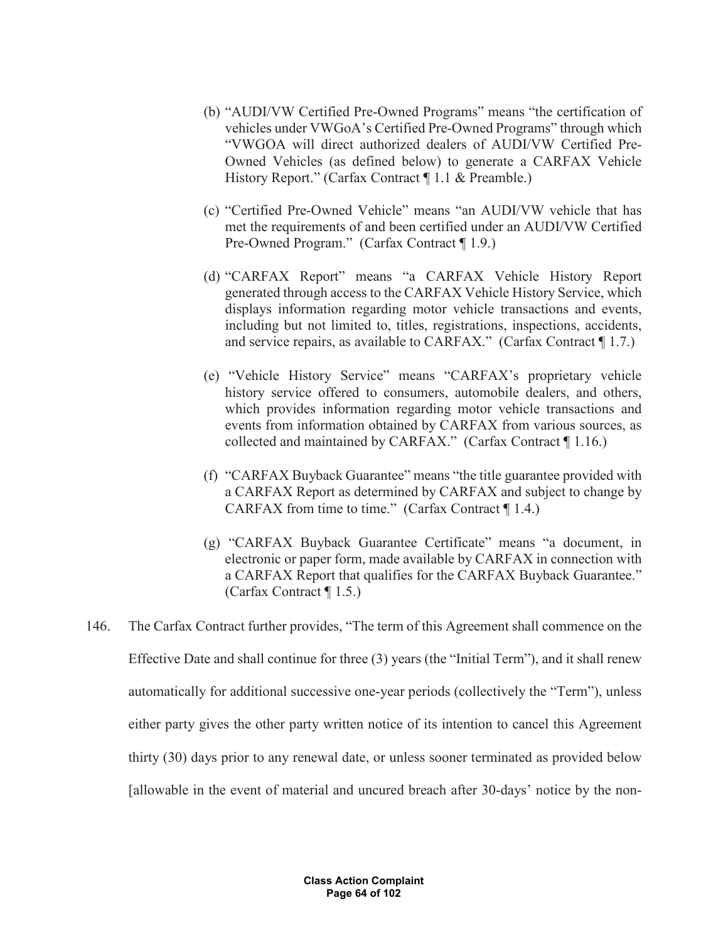- (b) "AUDI/VW Certified Pre-Owned Programs" means "the certification of vehicles under VWGoA's Certified Pre-Owned Programs" through which "VWGOA will direct authorized dealers of AUDI/VW Certified Pre-Owned Vehicles (as defined below) to generate a CARFAX Vehicle History Report." (Carfax Contract ¶ 1.1 & Preamble.)
- (c) "Certified Pre-Owned Vehicle" means "an AUDI/VW vehicle that has met the requirements of and been certified under an AUDI/VW Certified Pre-Owned Program." (Carfax Contract ¶ 1.9.)
- (d) "CARFAX Report" means "a CARFAX Vehicle History Report generated through access to the CARFAX Vehicle History Service, which displays information regarding motor vehicle transactions and events, including but not limited to, titles, registrations, inspections, accidents, and service repairs, as available to CARFAX." (Carfax Contract ¶ 1.7.)
- (e) "Vehicle History Service" means "CARFAX's proprietary vehicle history service offered to consumers, automobile dealers, and others, which provides information regarding motor vehicle transactions and events from information obtained by CARFAX from various sources, as collected and maintained by CARFAX." (Carfax Contract ¶ 1.16.)
- (f) "CARFAX Buyback Guarantee" means "the title guarantee provided with a CARFAX Report as determined by CARFAX and subject to change by CARFAX from time to time." (Carfax Contract  $\P$  1.4.)
- (g) "CARFAX Buyback Guarantee Certificate" means "a document, in electronic or paper form, made available by CARFAX in connection with a CARFAX Report that qualifies for the CARFAX Buyback Guarantee." (Carfax Contract ¶ 1.5.)
- 146. The Carfax Contract further provides, "The term of this Agreement shall commence on the Effective Date and shall continue for three (3) years (the "Initial Term"), and it shall renew automatically for additional successive one-year periods (collectively the "Term"), unless either party gives the other party written notice of its intention to cancel this Agreement thirty (30) days prior to any renewal date, or unless sooner terminated as provided below [allowable in the event of material and uncured breach after 30-days' notice by the non-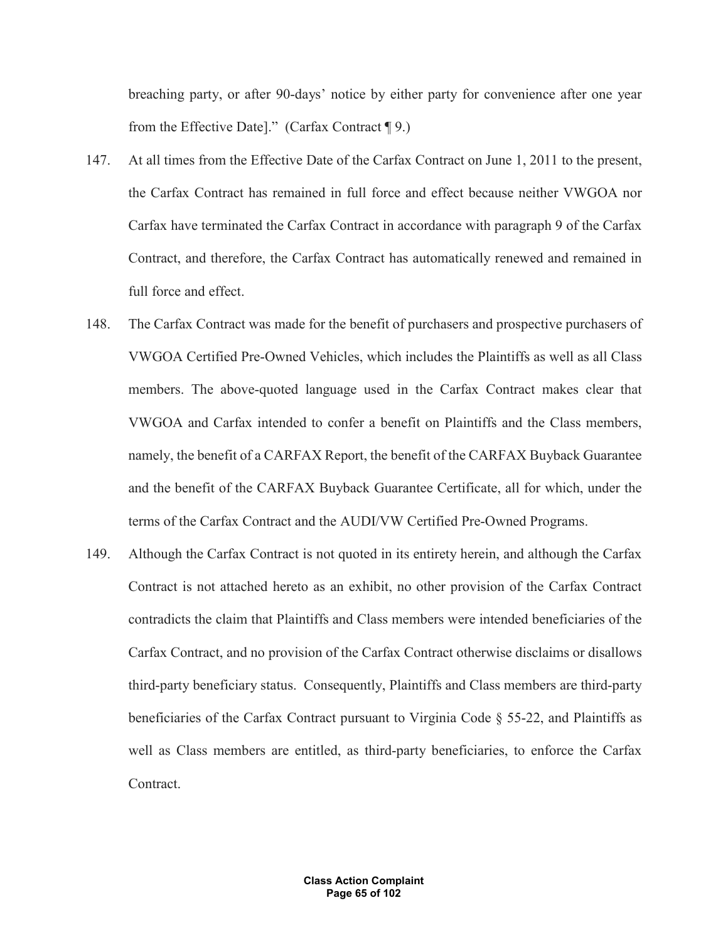breaching party, or after 90-days' notice by either party for convenience after one year from the Effective Date]." (Carfax Contract  $\P$ 9.)

- 147. At all times from the Effective Date of the Carfax Contract on June 1, 2011 to the present, the Carfax Contract has remained in full force and effect because neither VWGOA nor Carfax have terminated the Carfax Contract in accordance with paragraph 9 of the Carfax Contract, and therefore, the Carfax Contract has automatically renewed and remained in full force and effect.
- 148. The Carfax Contract was made for the benefit of purchasers and prospective purchasers of VWGOA Certified Pre-Owned Vehicles, which includes the Plaintiffs as well as all Class members. The above-quoted language used in the Carfax Contract makes clear that VWGOA and Carfax intended to confer a benefit on Plaintiffs and the Class members, namely, the benefit of a CARFAX Report, the benefit of the CARFAX Buyback Guarantee and the benefit of the CARFAX Buyback Guarantee Certificate, all for which, under the terms of the Carfax Contract and the AUDI/VW Certified Pre-Owned Programs.
- 149. Although the Carfax Contract is not quoted in its entirety herein, and although the Carfax Contract is not attached hereto as an exhibit, no other provision of the Carfax Contract contradicts the claim that Plaintiffs and Class members were intended beneficiaries of the Carfax Contract, and no provision of the Carfax Contract otherwise disclaims or disallows third-party beneficiary status. Consequently, Plaintiffs and Class members are third-party beneficiaries of the Carfax Contract pursuant to Virginia Code § 55-22, and Plaintiffs as well as Class members are entitled, as third-party beneficiaries, to enforce the Carfax Contract.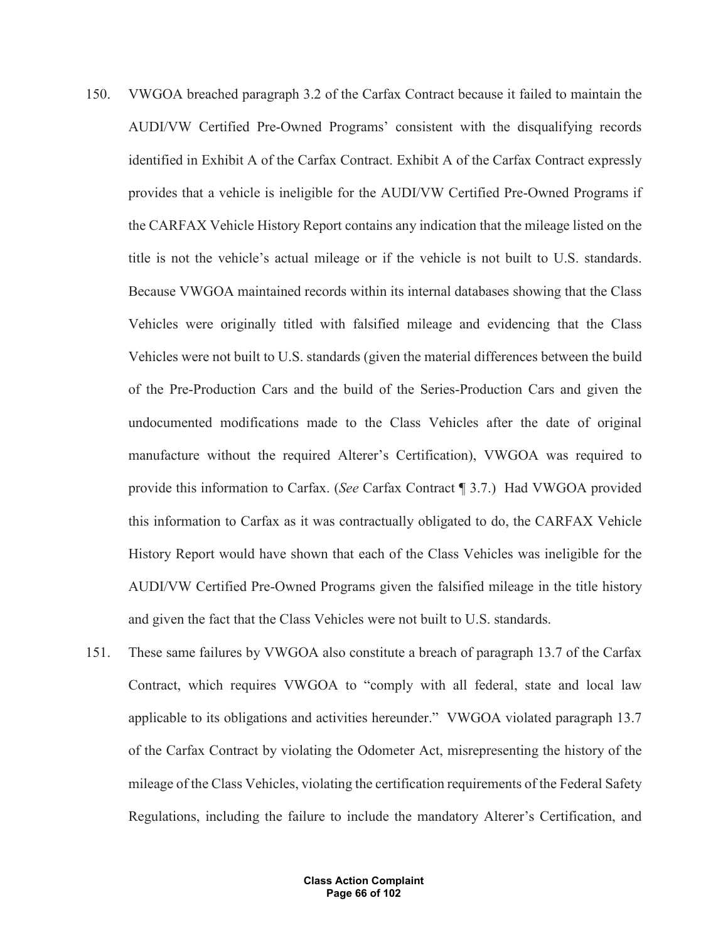- 150. VWGOA breached paragraph 3.2 of the Carfax Contract because it failed to maintain the AUDI/VW Certified Pre-Owned Programs' consistent with the disqualifying records identified in Exhibit A of the Carfax Contract. Exhibit A of the Carfax Contract expressly provides that a vehicle is ineligible for the AUDI/VW Certified Pre-Owned Programs if the CARFAX Vehicle History Report contains any indication that the mileage listed on the title is not the vehicle's actual mileage or if the vehicle is not built to U.S. standards. Because VWGOA maintained records within its internal databases showing that the Class Vehicles were originally titled with falsified mileage and evidencing that the Class Vehicles were not built to U.S. standards (given the material differences between the build of the Pre-Production Cars and the build of the Series-Production Cars and given the undocumented modifications made to the Class Vehicles after the date of original manufacture without the required Alterer's Certification), VWGOA was required to provide this information to Carfax. (*See* Carfax Contract ¶ 3.7.) Had VWGOA provided this information to Carfax as it was contractually obligated to do, the CARFAX Vehicle History Report would have shown that each of the Class Vehicles was ineligible for the AUDI/VW Certified Pre-Owned Programs given the falsified mileage in the title history and given the fact that the Class Vehicles were not built to U.S. standards.
- 151. These same failures by VWGOA also constitute a breach of paragraph 13.7 of the Carfax Contract, which requires VWGOA to "comply with all federal, state and local law applicable to its obligations and activities hereunder." VWGOA violated paragraph 13.7 of the Carfax Contract by violating the Odometer Act, misrepresenting the history of the mileage of the Class Vehicles, violating the certification requirements of the Federal Safety Regulations, including the failure to include the mandatory Alterer's Certification, and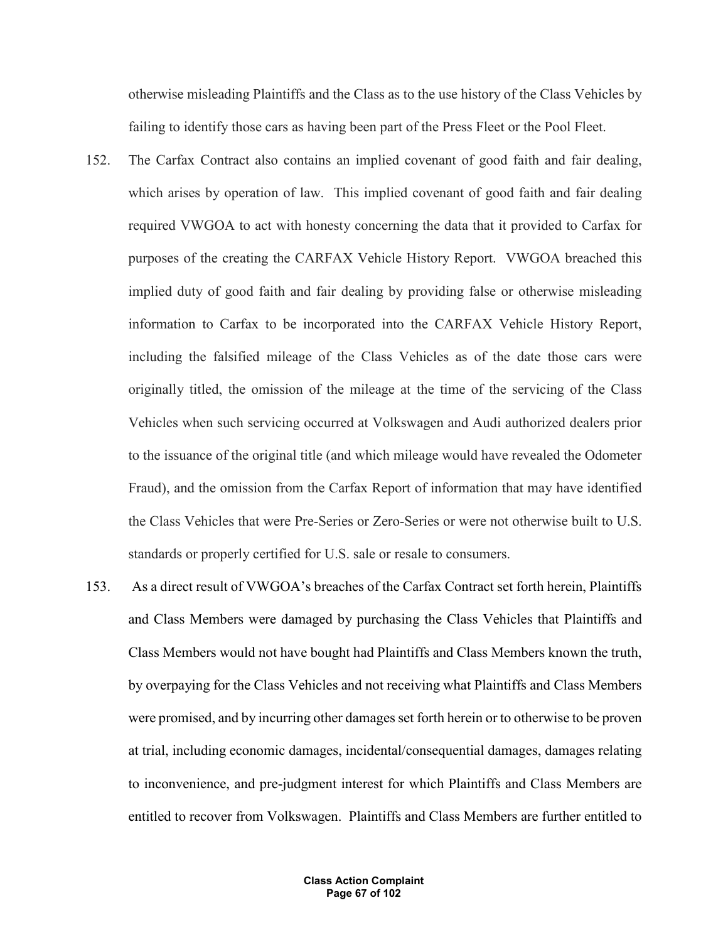otherwise misleading Plaintiffs and the Class as to the use history of the Class Vehicles by failing to identify those cars as having been part of the Press Fleet or the Pool Fleet.

- 152. The Carfax Contract also contains an implied covenant of good faith and fair dealing, which arises by operation of law. This implied covenant of good faith and fair dealing required VWGOA to act with honesty concerning the data that it provided to Carfax for purposes of the creating the CARFAX Vehicle History Report. VWGOA breached this implied duty of good faith and fair dealing by providing false or otherwise misleading information to Carfax to be incorporated into the CARFAX Vehicle History Report, including the falsified mileage of the Class Vehicles as of the date those cars were originally titled, the omission of the mileage at the time of the servicing of the Class Vehicles when such servicing occurred at Volkswagen and Audi authorized dealers prior to the issuance of the original title (and which mileage would have revealed the Odometer Fraud), and the omission from the Carfax Report of information that may have identified the Class Vehicles that were Pre-Series or Zero-Series or were not otherwise built to U.S. standards or properly certified for U.S. sale or resale to consumers.
- 153. As a direct result of VWGOA's breaches of the Carfax Contract set forth herein, Plaintiffs and Class Members were damaged by purchasing the Class Vehicles that Plaintiffs and Class Members would not have bought had Plaintiffs and Class Members known the truth, by overpaying for the Class Vehicles and not receiving what Plaintiffs and Class Members were promised, and by incurring other damages set forth herein or to otherwise to be proven at trial, including economic damages, incidental/consequential damages, damages relating to inconvenience, and pre-judgment interest for which Plaintiffs and Class Members are entitled to recover from Volkswagen. Plaintiffs and Class Members are further entitled to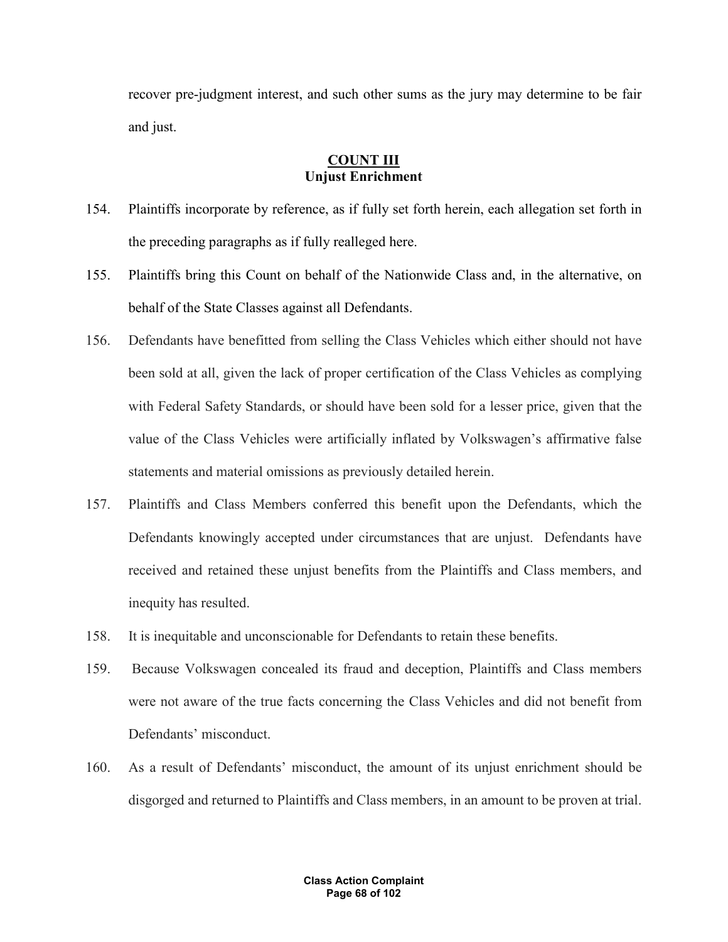recover pre-judgment interest, and such other sums as the jury may determine to be fair and just.

## **COUNT III Unjust Enrichment**

- 154. Plaintiffs incorporate by reference, as if fully set forth herein, each allegation set forth in the preceding paragraphs as if fully realleged here.
- 155. Plaintiffs bring this Count on behalf of the Nationwide Class and, in the alternative, on behalf of the State Classes against all Defendants.
- 156. Defendants have benefitted from selling the Class Vehicles which either should not have been sold at all, given the lack of proper certification of the Class Vehicles as complying with Federal Safety Standards, or should have been sold for a lesser price, given that the value of the Class Vehicles were artificially inflated by Volkswagen's affirmative false statements and material omissions as previously detailed herein.
- 157. Plaintiffs and Class Members conferred this benefit upon the Defendants, which the Defendants knowingly accepted under circumstances that are unjust. Defendants have received and retained these unjust benefits from the Plaintiffs and Class members, and inequity has resulted.
- 158. It is inequitable and unconscionable for Defendants to retain these benefits.
- 159. Because Volkswagen concealed its fraud and deception, Plaintiffs and Class members were not aware of the true facts concerning the Class Vehicles and did not benefit from Defendants' misconduct.
- 160. As a result of Defendants' misconduct, the amount of its unjust enrichment should be disgorged and returned to Plaintiffs and Class members, in an amount to be proven at trial.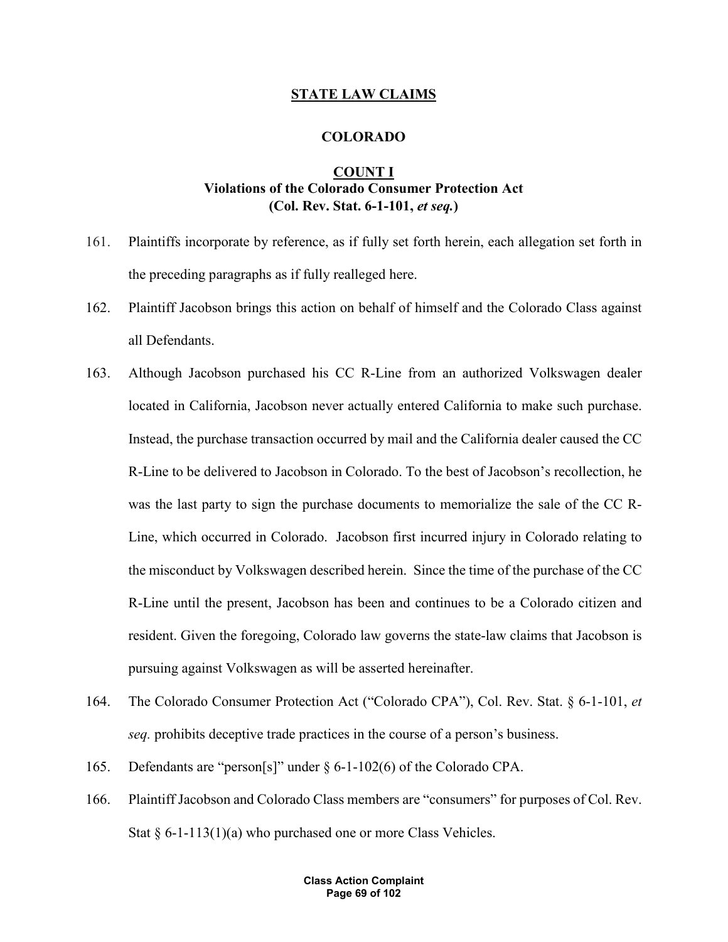## **STATE LAW CLAIMS**

## **COLORADO**

## **COUNT I Violations of the Colorado Consumer Protection Act (Col. Rev. Stat. 6-1-101,** *et seq.***)**

- 161. Plaintiffs incorporate by reference, as if fully set forth herein, each allegation set forth in the preceding paragraphs as if fully realleged here.
- 162. Plaintiff Jacobson brings this action on behalf of himself and the Colorado Class against all Defendants.
- 163. Although Jacobson purchased his CC R-Line from an authorized Volkswagen dealer located in California, Jacobson never actually entered California to make such purchase. Instead, the purchase transaction occurred by mail and the California dealer caused the CC R-Line to be delivered to Jacobson in Colorado. To the best of Jacobson's recollection, he was the last party to sign the purchase documents to memorialize the sale of the CC R-Line, which occurred in Colorado. Jacobson first incurred injury in Colorado relating to the misconduct by Volkswagen described herein. Since the time of the purchase of the CC R-Line until the present, Jacobson has been and continues to be a Colorado citizen and resident. Given the foregoing, Colorado law governs the state-law claims that Jacobson is pursuing against Volkswagen as will be asserted hereinafter.
- 164. The Colorado Consumer Protection Act ("Colorado CPA"), Col. Rev. Stat. § 6-1-101, *et seq.* prohibits deceptive trade practices in the course of a person's business.
- 165. Defendants are "person[s]" under § 6-1-102(6) of the Colorado CPA.
- 166. Plaintiff Jacobson and Colorado Class members are "consumers" for purposes of Col. Rev. Stat  $\S 6$ -1-113(1)(a) who purchased one or more Class Vehicles.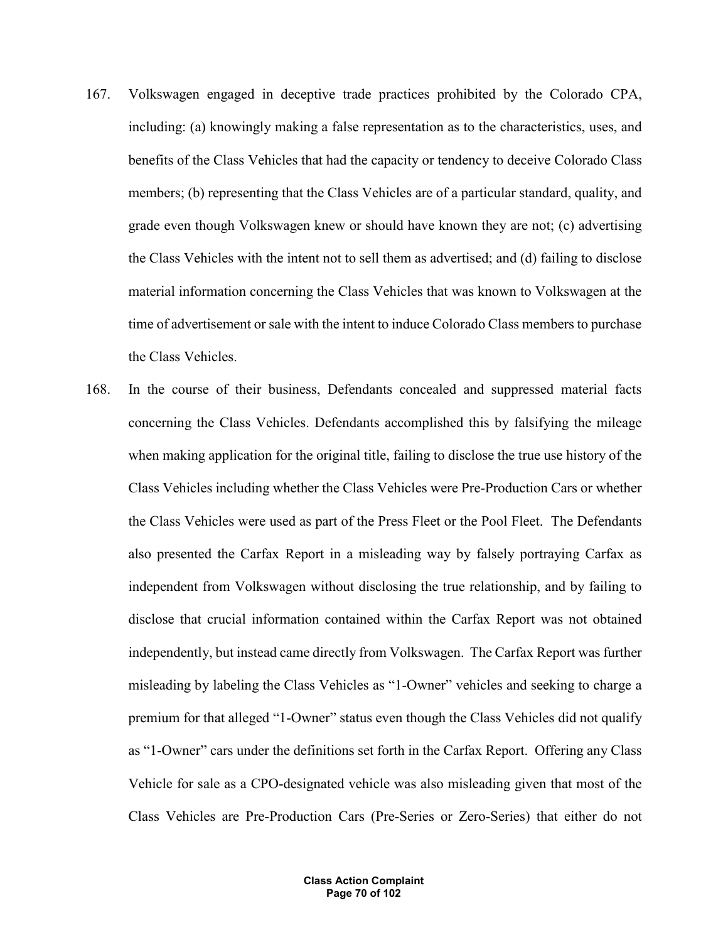- 167. Volkswagen engaged in deceptive trade practices prohibited by the Colorado CPA, including: (a) knowingly making a false representation as to the characteristics, uses, and benefits of the Class Vehicles that had the capacity or tendency to deceive Colorado Class members; (b) representing that the Class Vehicles are of a particular standard, quality, and grade even though Volkswagen knew or should have known they are not; (c) advertising the Class Vehicles with the intent not to sell them as advertised; and (d) failing to disclose material information concerning the Class Vehicles that was known to Volkswagen at the time of advertisement or sale with the intent to induce Colorado Class members to purchase the Class Vehicles.
- 168. In the course of their business, Defendants concealed and suppressed material facts concerning the Class Vehicles. Defendants accomplished this by falsifying the mileage when making application for the original title, failing to disclose the true use history of the Class Vehicles including whether the Class Vehicles were Pre-Production Cars or whether the Class Vehicles were used as part of the Press Fleet or the Pool Fleet. The Defendants also presented the Carfax Report in a misleading way by falsely portraying Carfax as independent from Volkswagen without disclosing the true relationship, and by failing to disclose that crucial information contained within the Carfax Report was not obtained independently, but instead came directly from Volkswagen. The Carfax Report was further misleading by labeling the Class Vehicles as "1-Owner" vehicles and seeking to charge a premium for that alleged "1-Owner" status even though the Class Vehicles did not qualify as "1-Owner" cars under the definitions set forth in the Carfax Report. Offering any Class Vehicle for sale as a CPO-designated vehicle was also misleading given that most of the Class Vehicles are Pre-Production Cars (Pre-Series or Zero-Series) that either do not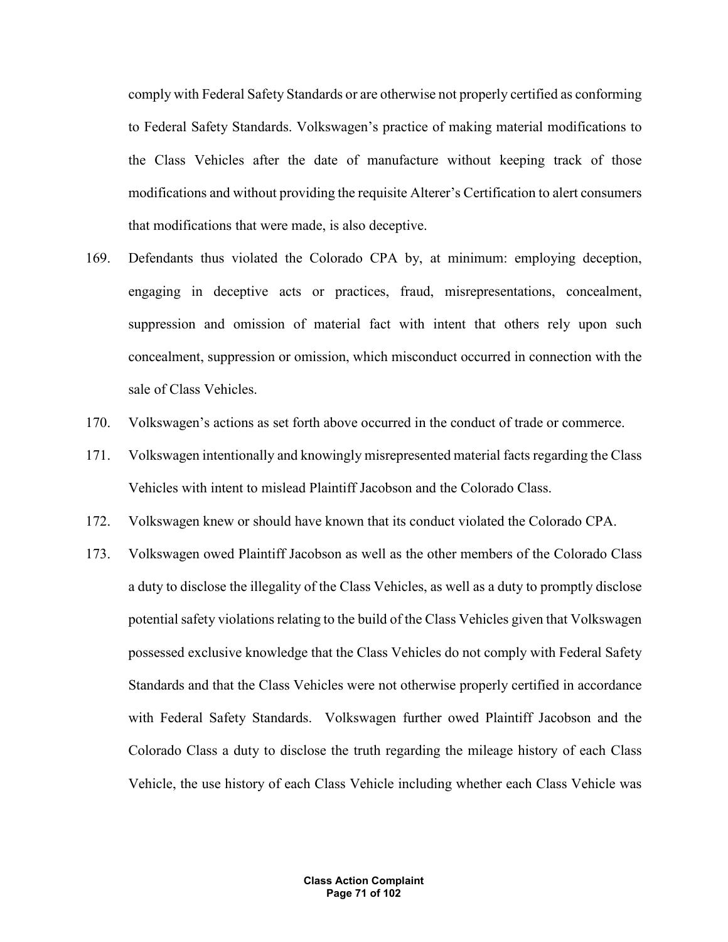comply with Federal Safety Standards or are otherwise not properly certified as conforming to Federal Safety Standards. Volkswagen's practice of making material modifications to the Class Vehicles after the date of manufacture without keeping track of those modifications and without providing the requisite Alterer's Certification to alert consumers that modifications that were made, is also deceptive.

- 169. Defendants thus violated the Colorado CPA by, at minimum: employing deception, engaging in deceptive acts or practices, fraud, misrepresentations, concealment, suppression and omission of material fact with intent that others rely upon such concealment, suppression or omission, which misconduct occurred in connection with the sale of Class Vehicles.
- 170. Volkswagen's actions as set forth above occurred in the conduct of trade or commerce.
- 171. Volkswagen intentionally and knowingly misrepresented material facts regarding the Class Vehicles with intent to mislead Plaintiff Jacobson and the Colorado Class.
- 172. Volkswagen knew or should have known that its conduct violated the Colorado CPA.
- 173. Volkswagen owed Plaintiff Jacobson as well as the other members of the Colorado Class a duty to disclose the illegality of the Class Vehicles, as well as a duty to promptly disclose potential safety violations relating to the build of the Class Vehicles given that Volkswagen possessed exclusive knowledge that the Class Vehicles do not comply with Federal Safety Standards and that the Class Vehicles were not otherwise properly certified in accordance with Federal Safety Standards. Volkswagen further owed Plaintiff Jacobson and the Colorado Class a duty to disclose the truth regarding the mileage history of each Class Vehicle, the use history of each Class Vehicle including whether each Class Vehicle was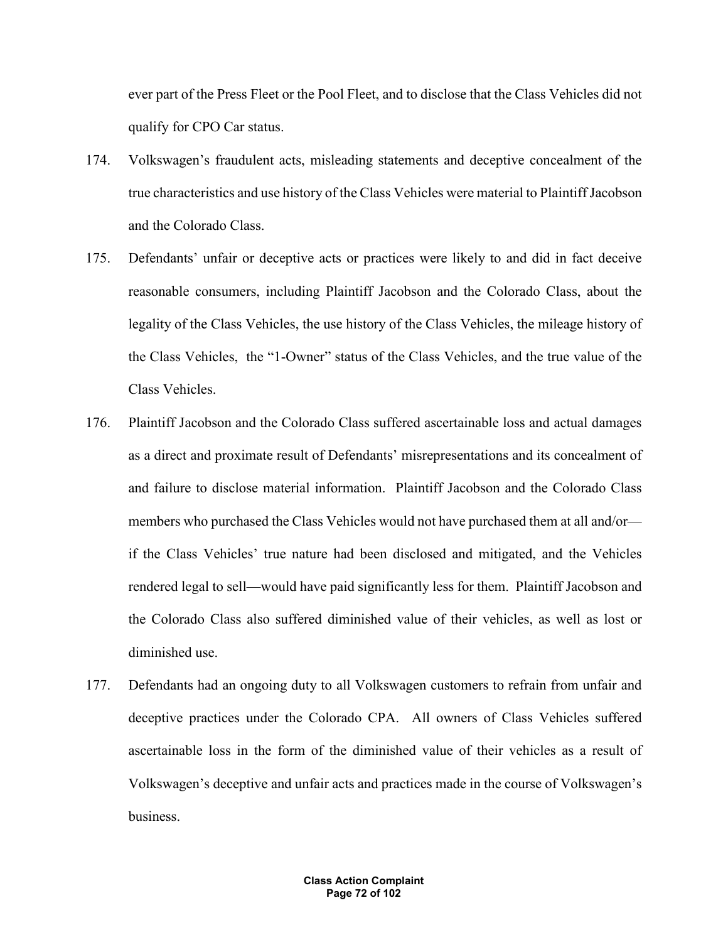ever part of the Press Fleet or the Pool Fleet, and to disclose that the Class Vehicles did not qualify for CPO Car status.

- 174. Volkswagen's fraudulent acts, misleading statements and deceptive concealment of the true characteristics and use history of the Class Vehicles were material to Plaintiff Jacobson and the Colorado Class.
- 175. Defendants' unfair or deceptive acts or practices were likely to and did in fact deceive reasonable consumers, including Plaintiff Jacobson and the Colorado Class, about the legality of the Class Vehicles, the use history of the Class Vehicles, the mileage history of the Class Vehicles, the "1-Owner" status of the Class Vehicles, and the true value of the Class Vehicles.
- 176. Plaintiff Jacobson and the Colorado Class suffered ascertainable loss and actual damages as a direct and proximate result of Defendants' misrepresentations and its concealment of and failure to disclose material information. Plaintiff Jacobson and the Colorado Class members who purchased the Class Vehicles would not have purchased them at all and/or if the Class Vehicles' true nature had been disclosed and mitigated, and the Vehicles rendered legal to sell—would have paid significantly less for them. Plaintiff Jacobson and the Colorado Class also suffered diminished value of their vehicles, as well as lost or diminished use.
- 177. Defendants had an ongoing duty to all Volkswagen customers to refrain from unfair and deceptive practices under the Colorado CPA. All owners of Class Vehicles suffered ascertainable loss in the form of the diminished value of their vehicles as a result of Volkswagen's deceptive and unfair acts and practices made in the course of Volkswagen's business.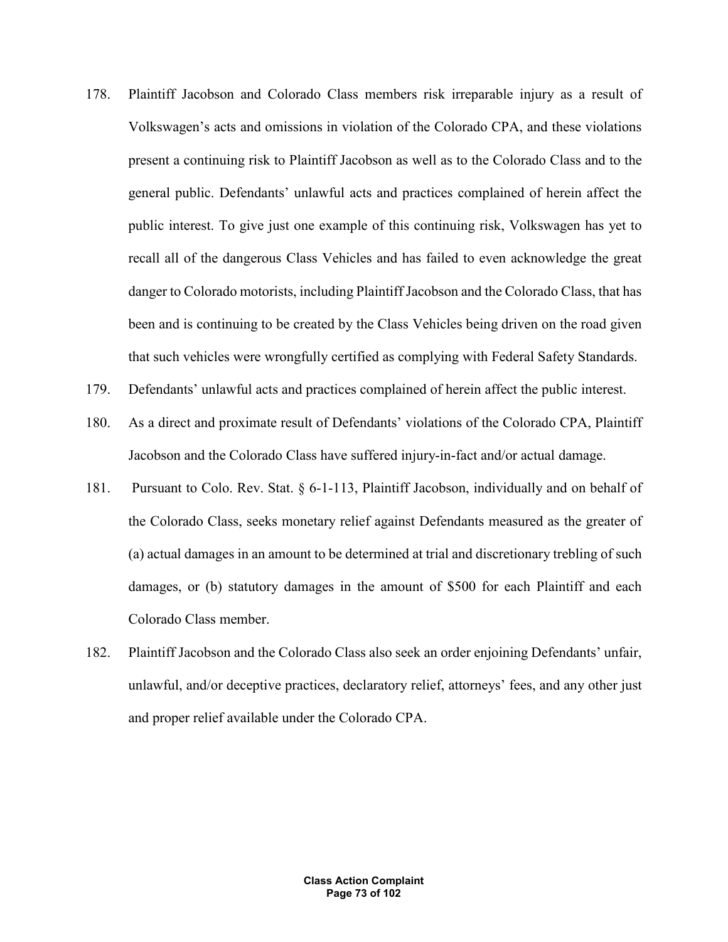- 178. Plaintiff Jacobson and Colorado Class members risk irreparable injury as a result of Volkswagen's acts and omissions in violation of the Colorado CPA, and these violations present a continuing risk to Plaintiff Jacobson as well as to the Colorado Class and to the general public. Defendants' unlawful acts and practices complained of herein affect the public interest. To give just one example of this continuing risk, Volkswagen has yet to recall all of the dangerous Class Vehicles and has failed to even acknowledge the great danger to Colorado motorists, including Plaintiff Jacobson and the Colorado Class, that has been and is continuing to be created by the Class Vehicles being driven on the road given that such vehicles were wrongfully certified as complying with Federal Safety Standards.
- 179. Defendants' unlawful acts and practices complained of herein affect the public interest.
- 180. As a direct and proximate result of Defendants' violations of the Colorado CPA, Plaintiff Jacobson and the Colorado Class have suffered injury-in-fact and/or actual damage.
- 181. Pursuant to Colo. Rev. Stat. § 6-1-113, Plaintiff Jacobson, individually and on behalf of the Colorado Class, seeks monetary relief against Defendants measured as the greater of (a) actual damages in an amount to be determined at trial and discretionary trebling of such damages, or (b) statutory damages in the amount of \$500 for each Plaintiff and each Colorado Class member.
- 182. Plaintiff Jacobson and the Colorado Class also seek an order enjoining Defendants' unfair, unlawful, and/or deceptive practices, declaratory relief, attorneys' fees, and any other just and proper relief available under the Colorado CPA.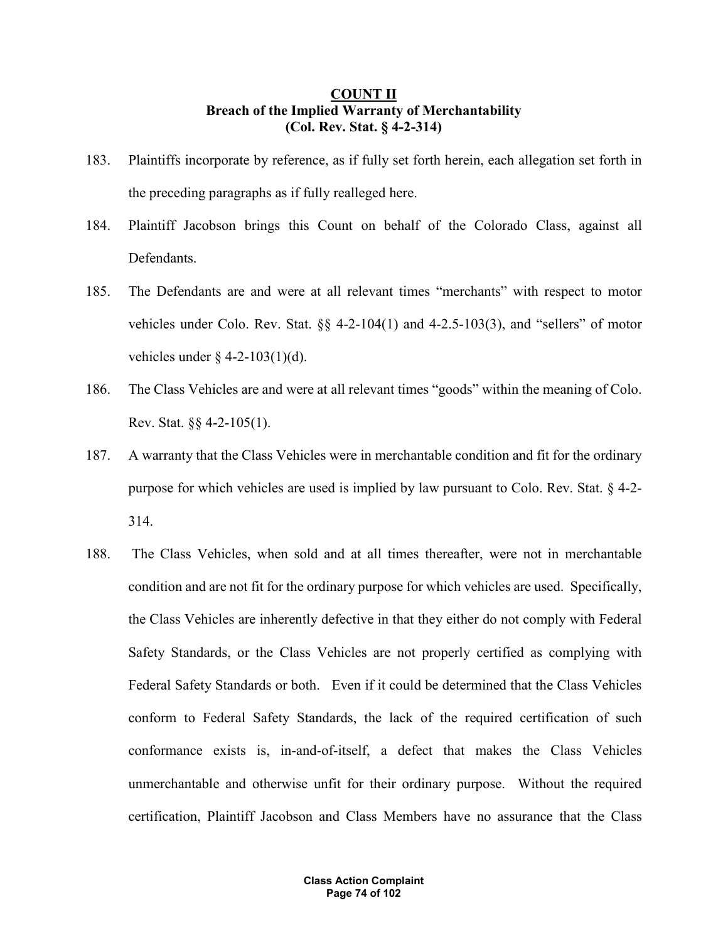## **COUNT II Breach of the Implied Warranty of Merchantability (Col. Rev. Stat. § 4-2-314)**

- 183. Plaintiffs incorporate by reference, as if fully set forth herein, each allegation set forth in the preceding paragraphs as if fully realleged here.
- 184. Plaintiff Jacobson brings this Count on behalf of the Colorado Class, against all Defendants.
- 185. The Defendants are and were at all relevant times "merchants" with respect to motor vehicles under Colo. Rev. Stat. §§ 4-2-104(1) and 4-2.5-103(3), and "sellers" of motor vehicles under § 4-2-103(1)(d).
- 186. The Class Vehicles are and were at all relevant times "goods" within the meaning of Colo. Rev. Stat. §§ 4-2-105(1).
- 187. A warranty that the Class Vehicles were in merchantable condition and fit for the ordinary purpose for which vehicles are used is implied by law pursuant to Colo. Rev. Stat. § 4-2- 314.
- 188. The Class Vehicles, when sold and at all times thereafter, were not in merchantable condition and are not fit for the ordinary purpose for which vehicles are used. Specifically, the Class Vehicles are inherently defective in that they either do not comply with Federal Safety Standards, or the Class Vehicles are not properly certified as complying with Federal Safety Standards or both. Even if it could be determined that the Class Vehicles conform to Federal Safety Standards, the lack of the required certification of such conformance exists is, in-and-of-itself, a defect that makes the Class Vehicles unmerchantable and otherwise unfit for their ordinary purpose. Without the required certification, Plaintiff Jacobson and Class Members have no assurance that the Class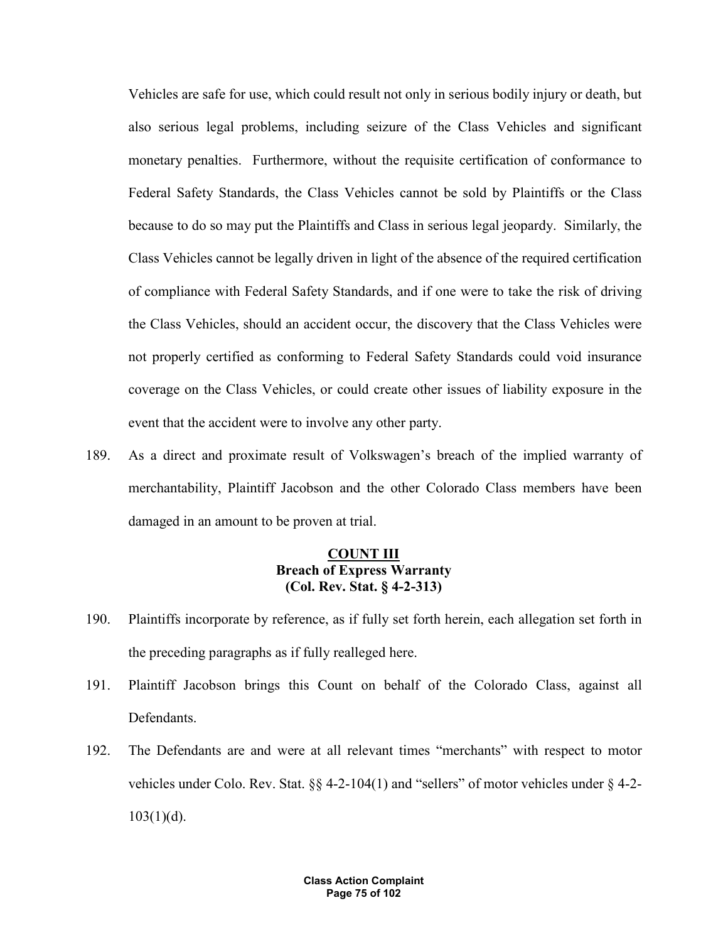Vehicles are safe for use, which could result not only in serious bodily injury or death, but also serious legal problems, including seizure of the Class Vehicles and significant monetary penalties. Furthermore, without the requisite certification of conformance to Federal Safety Standards, the Class Vehicles cannot be sold by Plaintiffs or the Class because to do so may put the Plaintiffs and Class in serious legal jeopardy. Similarly, the Class Vehicles cannot be legally driven in light of the absence of the required certification of compliance with Federal Safety Standards, and if one were to take the risk of driving the Class Vehicles, should an accident occur, the discovery that the Class Vehicles were not properly certified as conforming to Federal Safety Standards could void insurance coverage on the Class Vehicles, or could create other issues of liability exposure in the event that the accident were to involve any other party.

189. As a direct and proximate result of Volkswagen's breach of the implied warranty of merchantability, Plaintiff Jacobson and the other Colorado Class members have been damaged in an amount to be proven at trial.

## **COUNT III Breach of Express Warranty (Col. Rev. Stat. § 4-2-313)**

- 190. Plaintiffs incorporate by reference, as if fully set forth herein, each allegation set forth in the preceding paragraphs as if fully realleged here.
- 191. Plaintiff Jacobson brings this Count on behalf of the Colorado Class, against all Defendants.
- 192. The Defendants are and were at all relevant times "merchants" with respect to motor vehicles under Colo. Rev. Stat. §§ 4-2-104(1) and "sellers" of motor vehicles under § 4-2-  $103(1)(d)$ .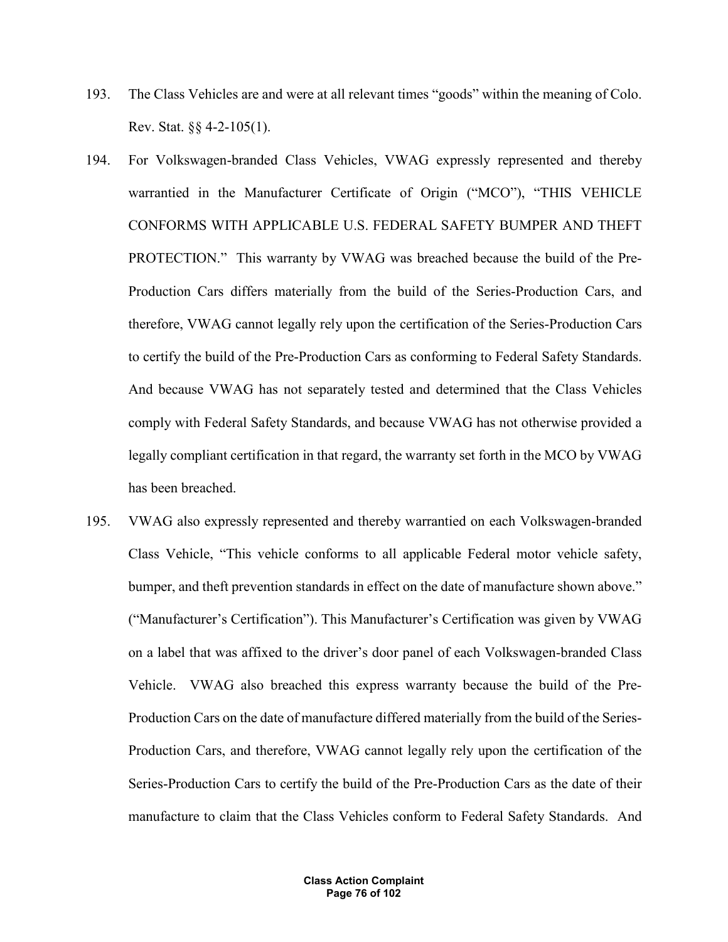- 193. The Class Vehicles are and were at all relevant times "goods" within the meaning of Colo. Rev. Stat. §§ 4-2-105(1).
- 194. For Volkswagen-branded Class Vehicles, VWAG expressly represented and thereby warrantied in the Manufacturer Certificate of Origin ("MCO"), "THIS VEHICLE CONFORMS WITH APPLICABLE U.S. FEDERAL SAFETY BUMPER AND THEFT PROTECTION." This warranty by VWAG was breached because the build of the Pre-Production Cars differs materially from the build of the Series-Production Cars, and therefore, VWAG cannot legally rely upon the certification of the Series-Production Cars to certify the build of the Pre-Production Cars as conforming to Federal Safety Standards. And because VWAG has not separately tested and determined that the Class Vehicles comply with Federal Safety Standards, and because VWAG has not otherwise provided a legally compliant certification in that regard, the warranty set forth in the MCO by VWAG has been breached.
- 195. VWAG also expressly represented and thereby warrantied on each Volkswagen-branded Class Vehicle, "This vehicle conforms to all applicable Federal motor vehicle safety, bumper, and theft prevention standards in effect on the date of manufacture shown above." ("Manufacturer's Certification"). This Manufacturer's Certification was given by VWAG on a label that was affixed to the driver's door panel of each Volkswagen-branded Class Vehicle. VWAG also breached this express warranty because the build of the Pre-Production Cars on the date of manufacture differed materially from the build of the Series-Production Cars, and therefore, VWAG cannot legally rely upon the certification of the Series-Production Cars to certify the build of the Pre-Production Cars as the date of their manufacture to claim that the Class Vehicles conform to Federal Safety Standards. And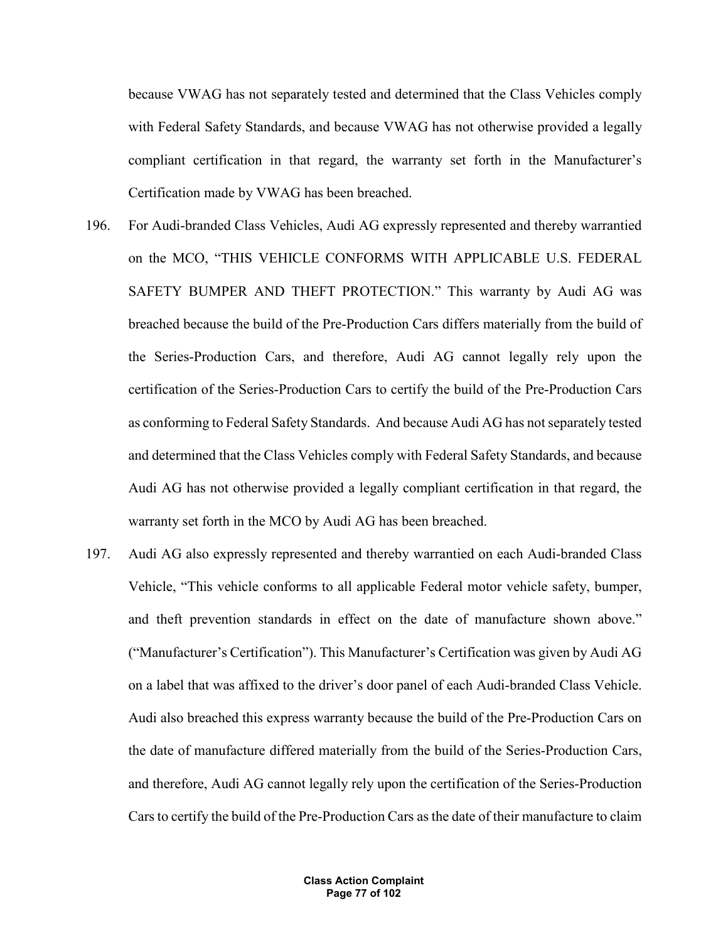because VWAG has not separately tested and determined that the Class Vehicles comply with Federal Safety Standards, and because VWAG has not otherwise provided a legally compliant certification in that regard, the warranty set forth in the Manufacturer's Certification made by VWAG has been breached.

- 196. For Audi-branded Class Vehicles, Audi AG expressly represented and thereby warrantied on the MCO, "THIS VEHICLE CONFORMS WITH APPLICABLE U.S. FEDERAL SAFETY BUMPER AND THEFT PROTECTION." This warranty by Audi AG was breached because the build of the Pre-Production Cars differs materially from the build of the Series-Production Cars, and therefore, Audi AG cannot legally rely upon the certification of the Series-Production Cars to certify the build of the Pre-Production Cars as conforming to Federal Safety Standards. And because Audi AG has not separately tested and determined that the Class Vehicles comply with Federal Safety Standards, and because Audi AG has not otherwise provided a legally compliant certification in that regard, the warranty set forth in the MCO by Audi AG has been breached.
- 197. Audi AG also expressly represented and thereby warrantied on each Audi-branded Class Vehicle, "This vehicle conforms to all applicable Federal motor vehicle safety, bumper, and theft prevention standards in effect on the date of manufacture shown above." ("Manufacturer's Certification"). This Manufacturer's Certification was given by Audi AG on a label that was affixed to the driver's door panel of each Audi-branded Class Vehicle. Audi also breached this express warranty because the build of the Pre-Production Cars on the date of manufacture differed materially from the build of the Series-Production Cars, and therefore, Audi AG cannot legally rely upon the certification of the Series-Production Cars to certify the build of the Pre-Production Cars as the date of their manufacture to claim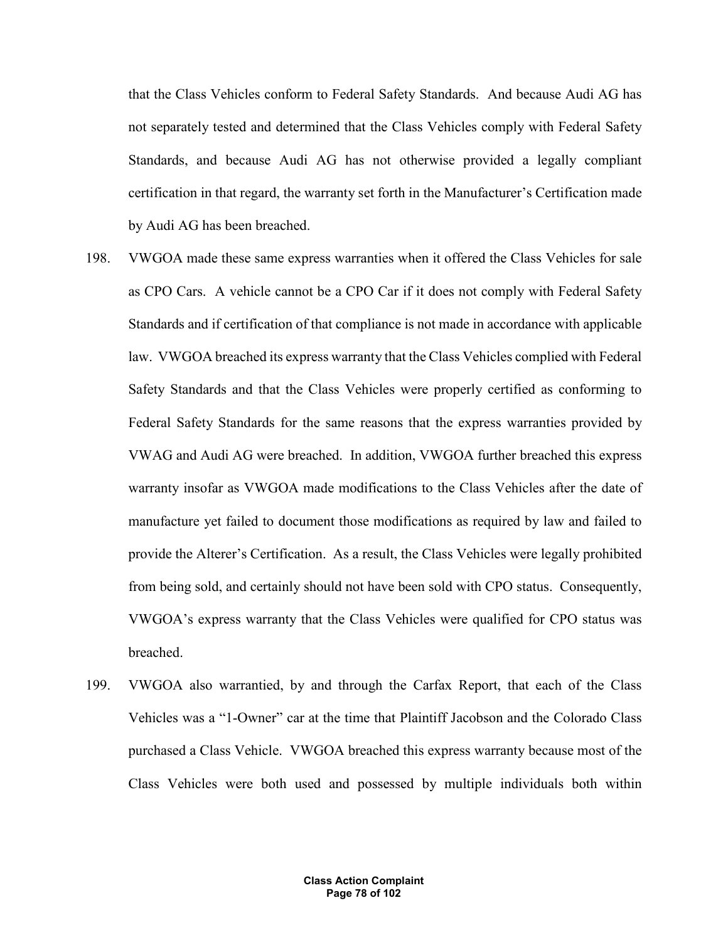that the Class Vehicles conform to Federal Safety Standards. And because Audi AG has not separately tested and determined that the Class Vehicles comply with Federal Safety Standards, and because Audi AG has not otherwise provided a legally compliant certification in that regard, the warranty set forth in the Manufacturer's Certification made by Audi AG has been breached.

- 198. VWGOA made these same express warranties when it offered the Class Vehicles for sale as CPO Cars. A vehicle cannot be a CPO Car if it does not comply with Federal Safety Standards and if certification of that compliance is not made in accordance with applicable law. VWGOA breached its express warranty that the Class Vehicles complied with Federal Safety Standards and that the Class Vehicles were properly certified as conforming to Federal Safety Standards for the same reasons that the express warranties provided by VWAG and Audi AG were breached. In addition, VWGOA further breached this express warranty insofar as VWGOA made modifications to the Class Vehicles after the date of manufacture yet failed to document those modifications as required by law and failed to provide the Alterer's Certification. As a result, the Class Vehicles were legally prohibited from being sold, and certainly should not have been sold with CPO status. Consequently, VWGOA's express warranty that the Class Vehicles were qualified for CPO status was breached.
- 199. VWGOA also warrantied, by and through the Carfax Report, that each of the Class Vehicles was a "1-Owner" car at the time that Plaintiff Jacobson and the Colorado Class purchased a Class Vehicle. VWGOA breached this express warranty because most of the Class Vehicles were both used and possessed by multiple individuals both within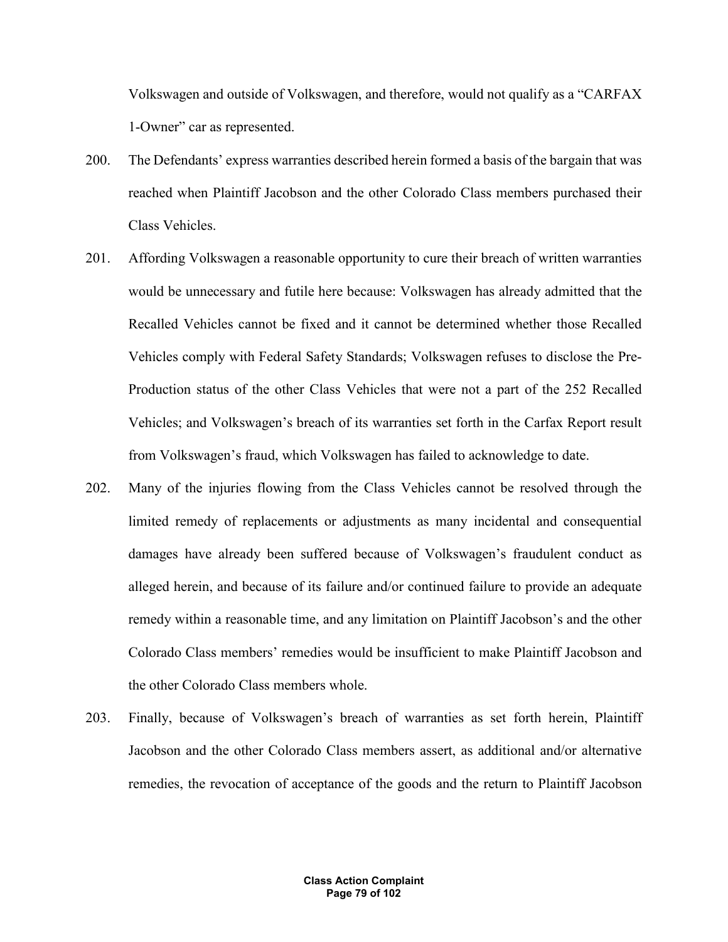Volkswagen and outside of Volkswagen, and therefore, would not qualify as a "CARFAX 1-Owner" car as represented.

- 200. The Defendants' express warranties described herein formed a basis of the bargain that was reached when Plaintiff Jacobson and the other Colorado Class members purchased their Class Vehicles.
- 201. Affording Volkswagen a reasonable opportunity to cure their breach of written warranties would be unnecessary and futile here because: Volkswagen has already admitted that the Recalled Vehicles cannot be fixed and it cannot be determined whether those Recalled Vehicles comply with Federal Safety Standards; Volkswagen refuses to disclose the Pre-Production status of the other Class Vehicles that were not a part of the 252 Recalled Vehicles; and Volkswagen's breach of its warranties set forth in the Carfax Report result from Volkswagen's fraud, which Volkswagen has failed to acknowledge to date.
- 202. Many of the injuries flowing from the Class Vehicles cannot be resolved through the limited remedy of replacements or adjustments as many incidental and consequential damages have already been suffered because of Volkswagen's fraudulent conduct as alleged herein, and because of its failure and/or continued failure to provide an adequate remedy within a reasonable time, and any limitation on Plaintiff Jacobson's and the other Colorado Class members' remedies would be insufficient to make Plaintiff Jacobson and the other Colorado Class members whole.
- 203. Finally, because of Volkswagen's breach of warranties as set forth herein, Plaintiff Jacobson and the other Colorado Class members assert, as additional and/or alternative remedies, the revocation of acceptance of the goods and the return to Plaintiff Jacobson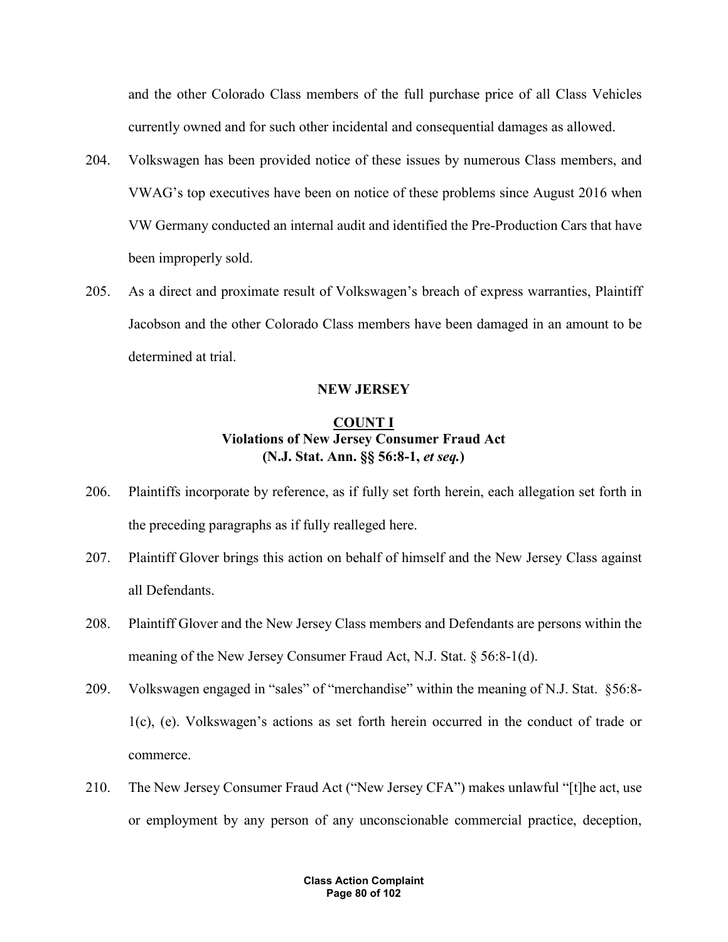and the other Colorado Class members of the full purchase price of all Class Vehicles currently owned and for such other incidental and consequential damages as allowed.

- 204. Volkswagen has been provided notice of these issues by numerous Class members, and VWAG's top executives have been on notice of these problems since August 2016 when VW Germany conducted an internal audit and identified the Pre-Production Cars that have been improperly sold.
- 205. As a direct and proximate result of Volkswagen's breach of express warranties, Plaintiff Jacobson and the other Colorado Class members have been damaged in an amount to be determined at trial.

### **NEW JERSEY**

# **COUNT I Violations of New Jersey Consumer Fraud Act (N.J. Stat. Ann. §§ 56:8-1,** *et seq.***)**

- 206. Plaintiffs incorporate by reference, as if fully set forth herein, each allegation set forth in the preceding paragraphs as if fully realleged here.
- 207. Plaintiff Glover brings this action on behalf of himself and the New Jersey Class against all Defendants.
- 208. Plaintiff Glover and the New Jersey Class members and Defendants are persons within the meaning of the New Jersey Consumer Fraud Act, N.J. Stat. § 56:8-1(d).
- 209. Volkswagen engaged in "sales" of "merchandise" within the meaning of N.J. Stat. §56:8- 1(c), (e). Volkswagen's actions as set forth herein occurred in the conduct of trade or commerce.
- 210. The New Jersey Consumer Fraud Act ("New Jersey CFA") makes unlawful "[t]he act, use or employment by any person of any unconscionable commercial practice, deception,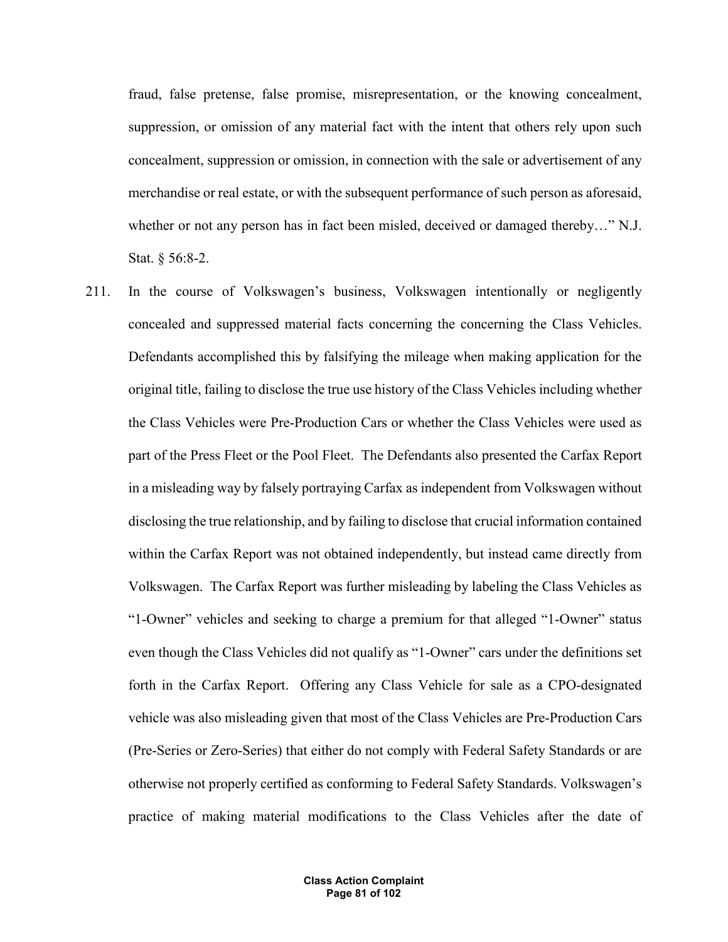fraud, false pretense, false promise, misrepresentation, or the knowing concealment, suppression, or omission of any material fact with the intent that others rely upon such concealment, suppression or omission, in connection with the sale or advertisement of any merchandise or real estate, or with the subsequent performance of such person as aforesaid, whether or not any person has in fact been misled, deceived or damaged thereby…" N.J. Stat. § 56:8-2.

211. In the course of Volkswagen's business, Volkswagen intentionally or negligently concealed and suppressed material facts concerning the concerning the Class Vehicles. Defendants accomplished this by falsifying the mileage when making application for the original title, failing to disclose the true use history of the Class Vehicles including whether the Class Vehicles were Pre-Production Cars or whether the Class Vehicles were used as part of the Press Fleet or the Pool Fleet. The Defendants also presented the Carfax Report in a misleading way by falsely portraying Carfax as independent from Volkswagen without disclosing the true relationship, and by failing to disclose that crucial information contained within the Carfax Report was not obtained independently, but instead came directly from Volkswagen. The Carfax Report was further misleading by labeling the Class Vehicles as "1-Owner" vehicles and seeking to charge a premium for that alleged "1-Owner" status even though the Class Vehicles did not qualify as "1-Owner" cars under the definitions set forth in the Carfax Report. Offering any Class Vehicle for sale as a CPO-designated vehicle was also misleading given that most of the Class Vehicles are Pre-Production Cars (Pre-Series or Zero-Series) that either do not comply with Federal Safety Standards or are otherwise not properly certified as conforming to Federal Safety Standards. Volkswagen's practice of making material modifications to the Class Vehicles after the date of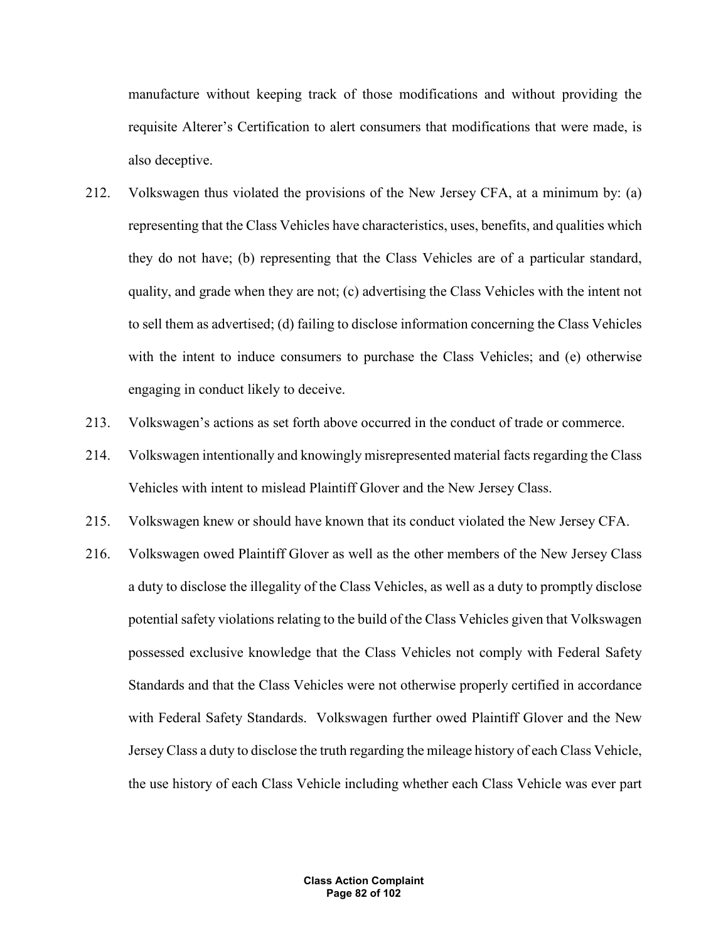manufacture without keeping track of those modifications and without providing the requisite Alterer's Certification to alert consumers that modifications that were made, is also deceptive.

- 212. Volkswagen thus violated the provisions of the New Jersey CFA, at a minimum by: (a) representing that the Class Vehicles have characteristics, uses, benefits, and qualities which they do not have; (b) representing that the Class Vehicles are of a particular standard, quality, and grade when they are not; (c) advertising the Class Vehicles with the intent not to sell them as advertised; (d) failing to disclose information concerning the Class Vehicles with the intent to induce consumers to purchase the Class Vehicles; and (e) otherwise engaging in conduct likely to deceive.
- 213. Volkswagen's actions as set forth above occurred in the conduct of trade or commerce.
- 214. Volkswagen intentionally and knowingly misrepresented material facts regarding the Class Vehicles with intent to mislead Plaintiff Glover and the New Jersey Class.
- 215. Volkswagen knew or should have known that its conduct violated the New Jersey CFA.
- 216. Volkswagen owed Plaintiff Glover as well as the other members of the New Jersey Class a duty to disclose the illegality of the Class Vehicles, as well as a duty to promptly disclose potential safety violations relating to the build of the Class Vehicles given that Volkswagen possessed exclusive knowledge that the Class Vehicles not comply with Federal Safety Standards and that the Class Vehicles were not otherwise properly certified in accordance with Federal Safety Standards. Volkswagen further owed Plaintiff Glover and the New Jersey Class a duty to disclose the truth regarding the mileage history of each Class Vehicle, the use history of each Class Vehicle including whether each Class Vehicle was ever part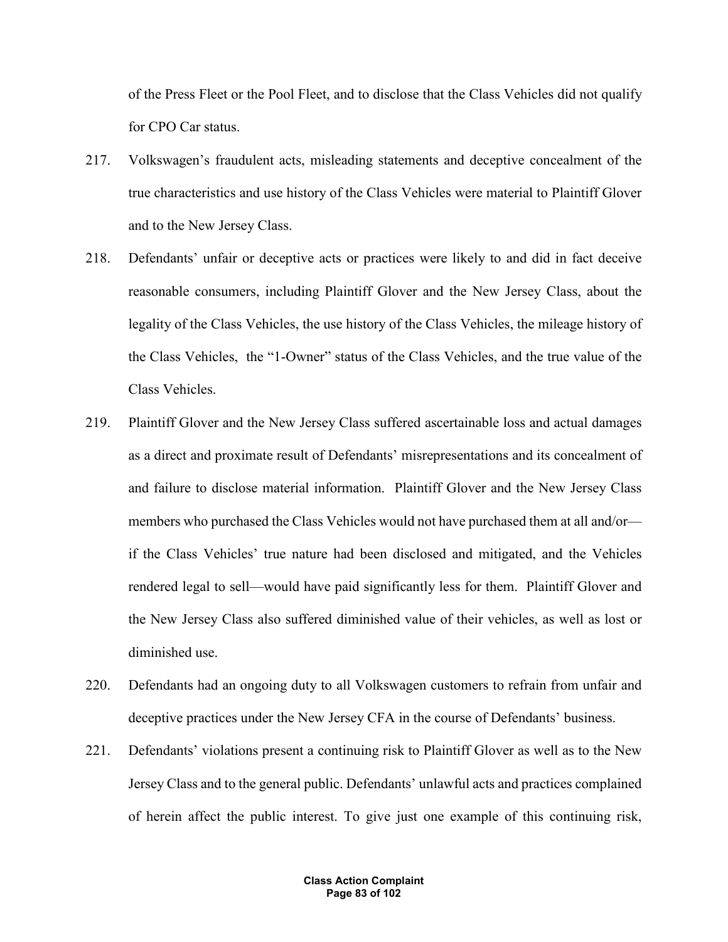of the Press Fleet or the Pool Fleet, and to disclose that the Class Vehicles did not qualify for CPO Car status.

- 217. Volkswagen's fraudulent acts, misleading statements and deceptive concealment of the true characteristics and use history of the Class Vehicles were material to Plaintiff Glover and to the New Jersey Class.
- 218. Defendants' unfair or deceptive acts or practices were likely to and did in fact deceive reasonable consumers, including Plaintiff Glover and the New Jersey Class, about the legality of the Class Vehicles, the use history of the Class Vehicles, the mileage history of the Class Vehicles, the "1-Owner" status of the Class Vehicles, and the true value of the Class Vehicles.
- 219. Plaintiff Glover and the New Jersey Class suffered ascertainable loss and actual damages as a direct and proximate result of Defendants' misrepresentations and its concealment of and failure to disclose material information. Plaintiff Glover and the New Jersey Class members who purchased the Class Vehicles would not have purchased them at all and/or if the Class Vehicles' true nature had been disclosed and mitigated, and the Vehicles rendered legal to sell—would have paid significantly less for them. Plaintiff Glover and the New Jersey Class also suffered diminished value of their vehicles, as well as lost or diminished use.
- 220. Defendants had an ongoing duty to all Volkswagen customers to refrain from unfair and deceptive practices under the New Jersey CFA in the course of Defendants' business.
- 221. Defendants' violations present a continuing risk to Plaintiff Glover as well as to the New Jersey Class and to the general public. Defendants' unlawful acts and practices complained of herein affect the public interest. To give just one example of this continuing risk,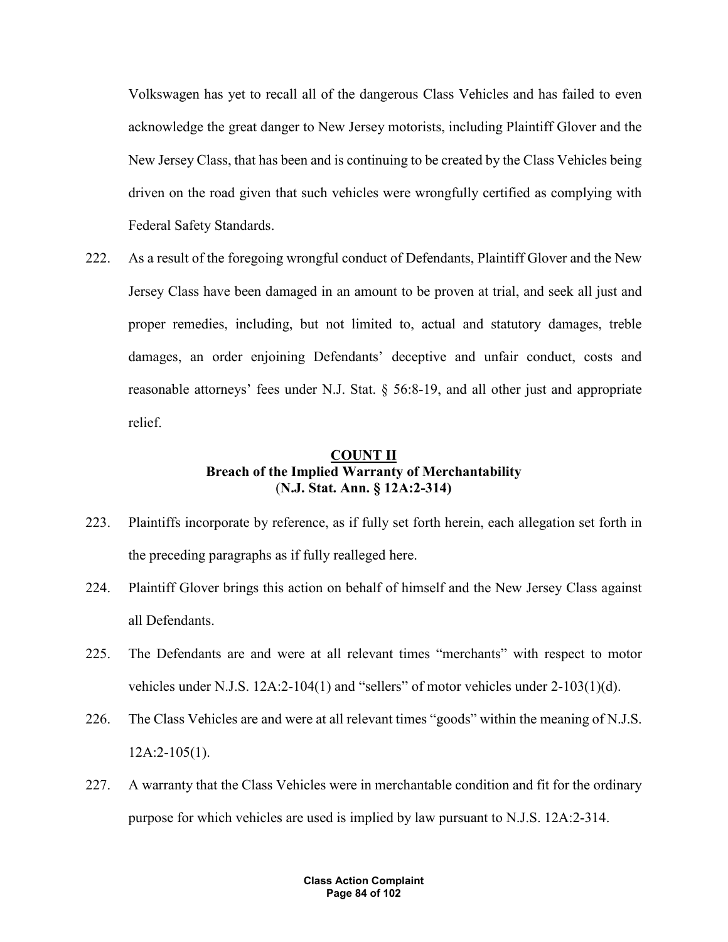Volkswagen has yet to recall all of the dangerous Class Vehicles and has failed to even acknowledge the great danger to New Jersey motorists, including Plaintiff Glover and the New Jersey Class, that has been and is continuing to be created by the Class Vehicles being driven on the road given that such vehicles were wrongfully certified as complying with Federal Safety Standards.

222. As a result of the foregoing wrongful conduct of Defendants, Plaintiff Glover and the New Jersey Class have been damaged in an amount to be proven at trial, and seek all just and proper remedies, including, but not limited to, actual and statutory damages, treble damages, an order enjoining Defendants' deceptive and unfair conduct, costs and reasonable attorneys' fees under N.J. Stat. § 56:8-19, and all other just and appropriate relief.

## **COUNT II Breach of the Implied Warranty of Merchantability** (**N.J. Stat. Ann. § 12A:2-314)**

- 223. Plaintiffs incorporate by reference, as if fully set forth herein, each allegation set forth in the preceding paragraphs as if fully realleged here.
- 224. Plaintiff Glover brings this action on behalf of himself and the New Jersey Class against all Defendants.
- 225. The Defendants are and were at all relevant times "merchants" with respect to motor vehicles under N.J.S. 12A:2-104(1) and "sellers" of motor vehicles under 2-103(1)(d).
- 226. The Class Vehicles are and were at all relevant times "goods" within the meaning of N.J.S. 12A:2-105(1).
- 227. A warranty that the Class Vehicles were in merchantable condition and fit for the ordinary purpose for which vehicles are used is implied by law pursuant to N.J.S. 12A:2-314.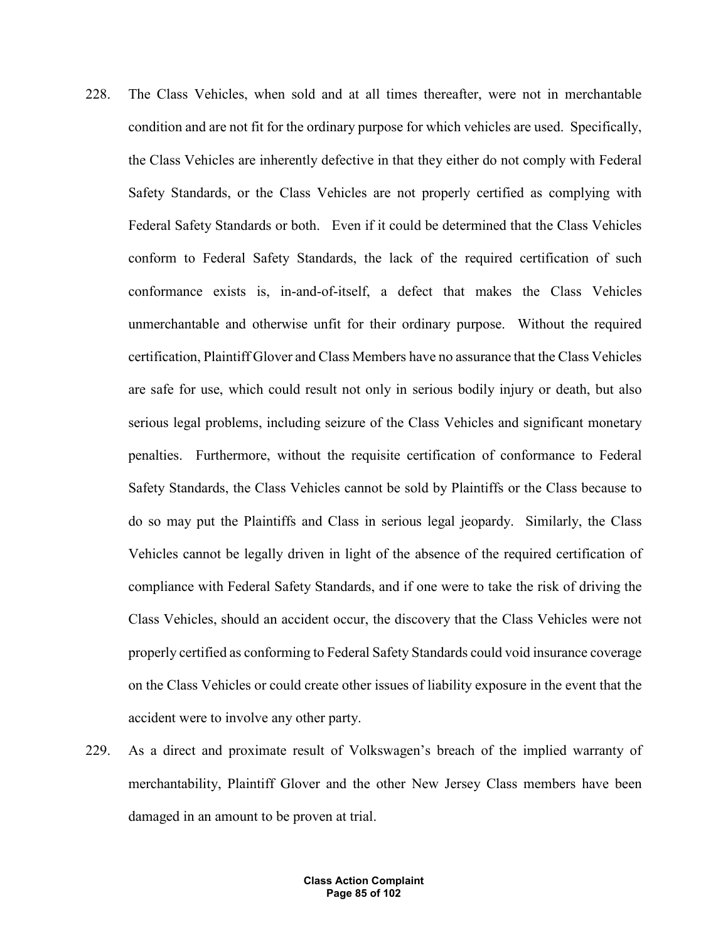- 228. The Class Vehicles, when sold and at all times thereafter, were not in merchantable condition and are not fit for the ordinary purpose for which vehicles are used. Specifically, the Class Vehicles are inherently defective in that they either do not comply with Federal Safety Standards, or the Class Vehicles are not properly certified as complying with Federal Safety Standards or both. Even if it could be determined that the Class Vehicles conform to Federal Safety Standards, the lack of the required certification of such conformance exists is, in-and-of-itself, a defect that makes the Class Vehicles unmerchantable and otherwise unfit for their ordinary purpose. Without the required certification, Plaintiff Glover and Class Members have no assurance that the Class Vehicles are safe for use, which could result not only in serious bodily injury or death, but also serious legal problems, including seizure of the Class Vehicles and significant monetary penalties. Furthermore, without the requisite certification of conformance to Federal Safety Standards, the Class Vehicles cannot be sold by Plaintiffs or the Class because to do so may put the Plaintiffs and Class in serious legal jeopardy. Similarly, the Class Vehicles cannot be legally driven in light of the absence of the required certification of compliance with Federal Safety Standards, and if one were to take the risk of driving the Class Vehicles, should an accident occur, the discovery that the Class Vehicles were not properly certified as conforming to Federal Safety Standards could void insurance coverage on the Class Vehicles or could create other issues of liability exposure in the event that the accident were to involve any other party.
- 229. As a direct and proximate result of Volkswagen's breach of the implied warranty of merchantability, Plaintiff Glover and the other New Jersey Class members have been damaged in an amount to be proven at trial.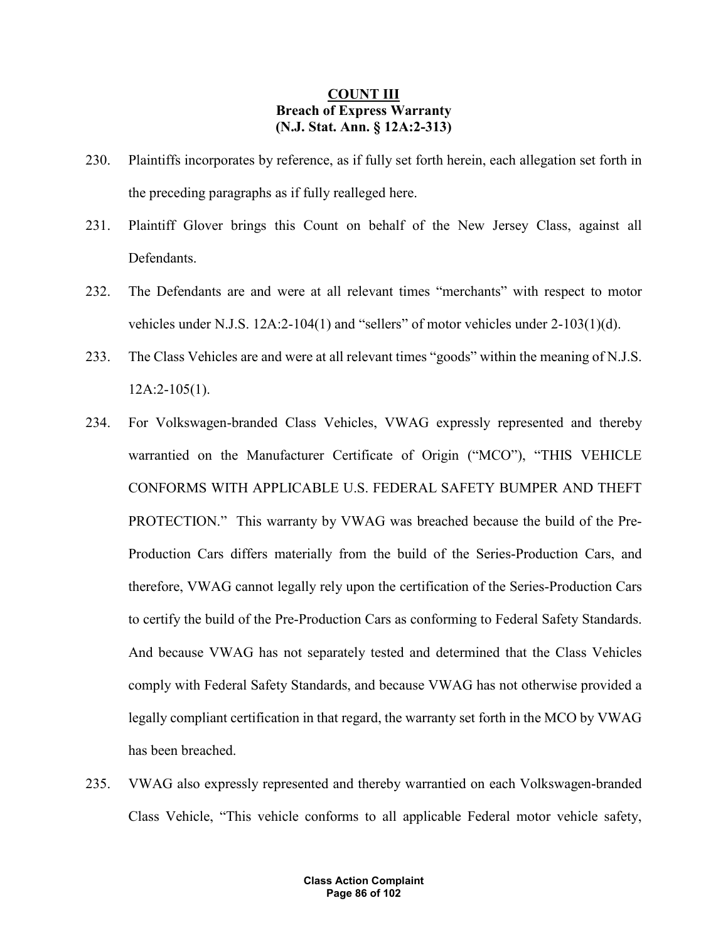## **COUNT III Breach of Express Warranty (N.J. Stat. Ann. § 12A:2-313)**

- 230. Plaintiffs incorporates by reference, as if fully set forth herein, each allegation set forth in the preceding paragraphs as if fully realleged here.
- 231. Plaintiff Glover brings this Count on behalf of the New Jersey Class, against all Defendants.
- 232. The Defendants are and were at all relevant times "merchants" with respect to motor vehicles under N.J.S. 12A:2-104(1) and "sellers" of motor vehicles under 2-103(1)(d).
- 233. The Class Vehicles are and were at all relevant times "goods" within the meaning of N.J.S.  $12A:2-105(1)$ .
- 234. For Volkswagen-branded Class Vehicles, VWAG expressly represented and thereby warrantied on the Manufacturer Certificate of Origin ("MCO"), "THIS VEHICLE CONFORMS WITH APPLICABLE U.S. FEDERAL SAFETY BUMPER AND THEFT PROTECTION." This warranty by VWAG was breached because the build of the Pre-Production Cars differs materially from the build of the Series-Production Cars, and therefore, VWAG cannot legally rely upon the certification of the Series-Production Cars to certify the build of the Pre-Production Cars as conforming to Federal Safety Standards. And because VWAG has not separately tested and determined that the Class Vehicles comply with Federal Safety Standards, and because VWAG has not otherwise provided a legally compliant certification in that regard, the warranty set forth in the MCO by VWAG has been breached.
- 235. VWAG also expressly represented and thereby warrantied on each Volkswagen-branded Class Vehicle, "This vehicle conforms to all applicable Federal motor vehicle safety,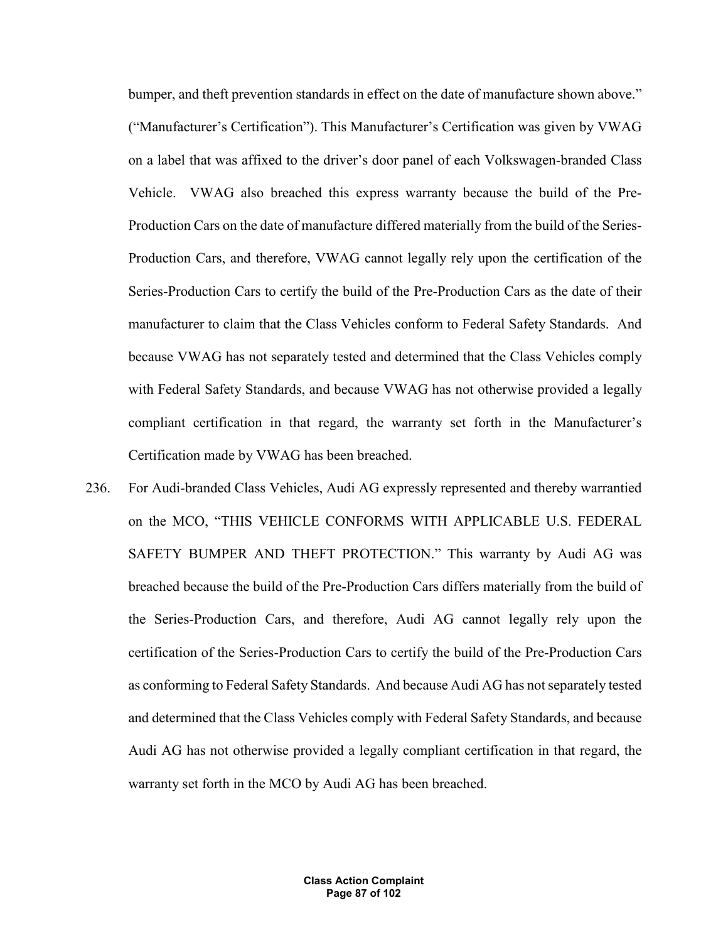bumper, and theft prevention standards in effect on the date of manufacture shown above." ("Manufacturer's Certification"). This Manufacturer's Certification was given by VWAG on a label that was affixed to the driver's door panel of each Volkswagen-branded Class Vehicle. VWAG also breached this express warranty because the build of the Pre-Production Cars on the date of manufacture differed materially from the build of the Series-Production Cars, and therefore, VWAG cannot legally rely upon the certification of the Series-Production Cars to certify the build of the Pre-Production Cars as the date of their manufacturer to claim that the Class Vehicles conform to Federal Safety Standards. And because VWAG has not separately tested and determined that the Class Vehicles comply with Federal Safety Standards, and because VWAG has not otherwise provided a legally compliant certification in that regard, the warranty set forth in the Manufacturer's Certification made by VWAG has been breached.

236. For Audi-branded Class Vehicles, Audi AG expressly represented and thereby warrantied on the MCO, "THIS VEHICLE CONFORMS WITH APPLICABLE U.S. FEDERAL SAFETY BUMPER AND THEFT PROTECTION." This warranty by Audi AG was breached because the build of the Pre-Production Cars differs materially from the build of the Series-Production Cars, and therefore, Audi AG cannot legally rely upon the certification of the Series-Production Cars to certify the build of the Pre-Production Cars as conforming to Federal Safety Standards. And because Audi AG has not separately tested and determined that the Class Vehicles comply with Federal Safety Standards, and because Audi AG has not otherwise provided a legally compliant certification in that regard, the warranty set forth in the MCO by Audi AG has been breached.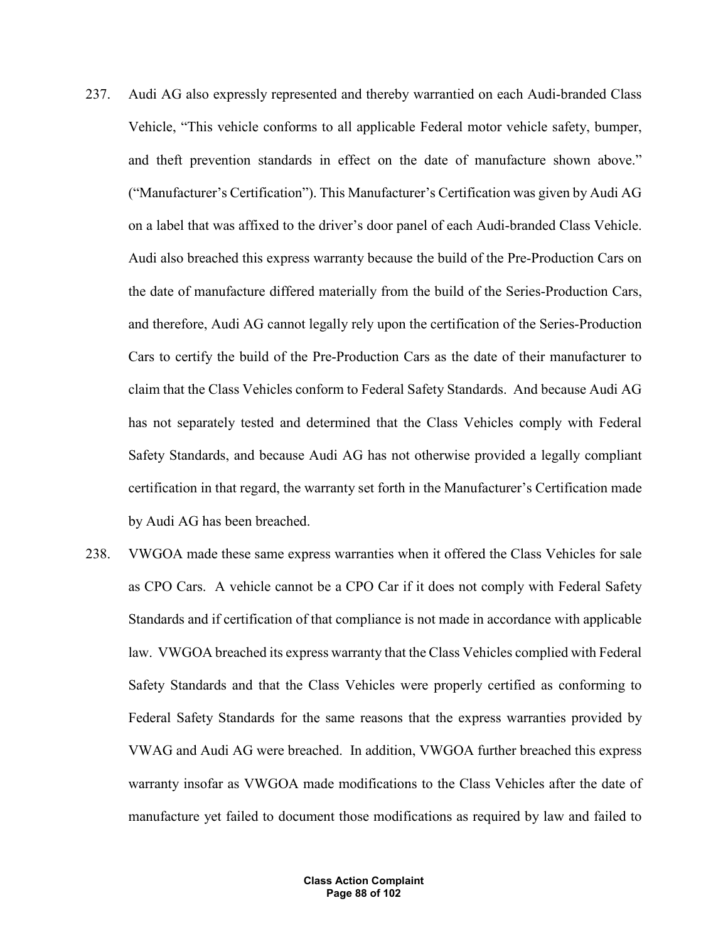- 237. Audi AG also expressly represented and thereby warrantied on each Audi-branded Class Vehicle, "This vehicle conforms to all applicable Federal motor vehicle safety, bumper, and theft prevention standards in effect on the date of manufacture shown above." ("Manufacturer's Certification"). This Manufacturer's Certification was given by Audi AG on a label that was affixed to the driver's door panel of each Audi-branded Class Vehicle. Audi also breached this express warranty because the build of the Pre-Production Cars on the date of manufacture differed materially from the build of the Series-Production Cars, and therefore, Audi AG cannot legally rely upon the certification of the Series-Production Cars to certify the build of the Pre-Production Cars as the date of their manufacturer to claim that the Class Vehicles conform to Federal Safety Standards. And because Audi AG has not separately tested and determined that the Class Vehicles comply with Federal Safety Standards, and because Audi AG has not otherwise provided a legally compliant certification in that regard, the warranty set forth in the Manufacturer's Certification made by Audi AG has been breached.
- 238. VWGOA made these same express warranties when it offered the Class Vehicles for sale as CPO Cars. A vehicle cannot be a CPO Car if it does not comply with Federal Safety Standards and if certification of that compliance is not made in accordance with applicable law. VWGOA breached its express warranty that the Class Vehicles complied with Federal Safety Standards and that the Class Vehicles were properly certified as conforming to Federal Safety Standards for the same reasons that the express warranties provided by VWAG and Audi AG were breached. In addition, VWGOA further breached this express warranty insofar as VWGOA made modifications to the Class Vehicles after the date of manufacture yet failed to document those modifications as required by law and failed to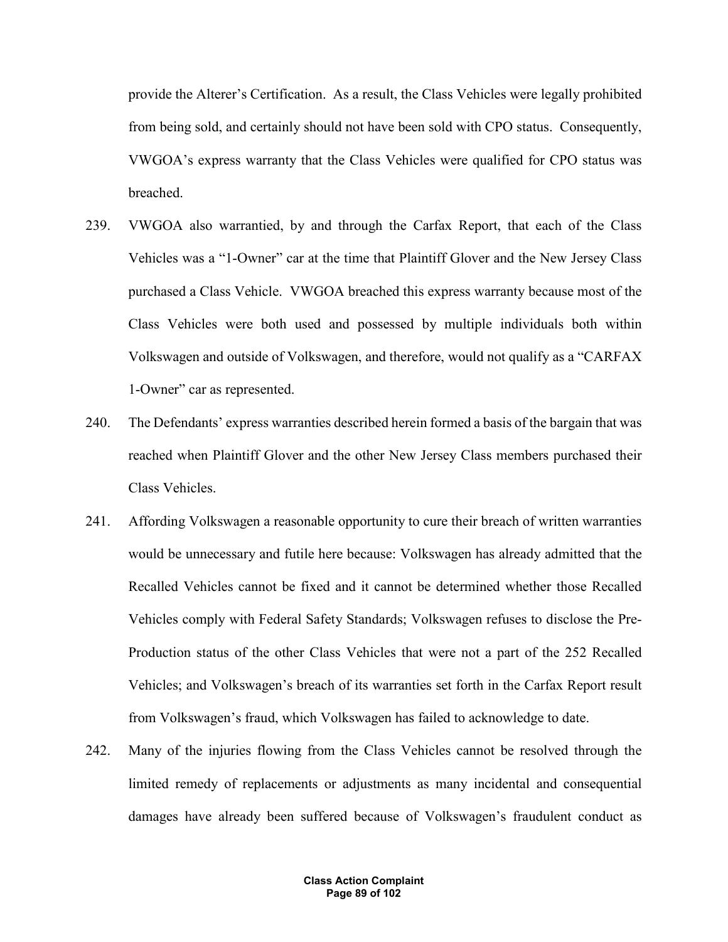provide the Alterer's Certification. As a result, the Class Vehicles were legally prohibited from being sold, and certainly should not have been sold with CPO status. Consequently, VWGOA's express warranty that the Class Vehicles were qualified for CPO status was breached.

- 239. VWGOA also warrantied, by and through the Carfax Report, that each of the Class Vehicles was a "1-Owner" car at the time that Plaintiff Glover and the New Jersey Class purchased a Class Vehicle. VWGOA breached this express warranty because most of the Class Vehicles were both used and possessed by multiple individuals both within Volkswagen and outside of Volkswagen, and therefore, would not qualify as a "CARFAX 1-Owner" car as represented.
- 240. The Defendants' express warranties described herein formed a basis of the bargain that was reached when Plaintiff Glover and the other New Jersey Class members purchased their Class Vehicles.
- 241. Affording Volkswagen a reasonable opportunity to cure their breach of written warranties would be unnecessary and futile here because: Volkswagen has already admitted that the Recalled Vehicles cannot be fixed and it cannot be determined whether those Recalled Vehicles comply with Federal Safety Standards; Volkswagen refuses to disclose the Pre-Production status of the other Class Vehicles that were not a part of the 252 Recalled Vehicles; and Volkswagen's breach of its warranties set forth in the Carfax Report result from Volkswagen's fraud, which Volkswagen has failed to acknowledge to date.
- 242. Many of the injuries flowing from the Class Vehicles cannot be resolved through the limited remedy of replacements or adjustments as many incidental and consequential damages have already been suffered because of Volkswagen's fraudulent conduct as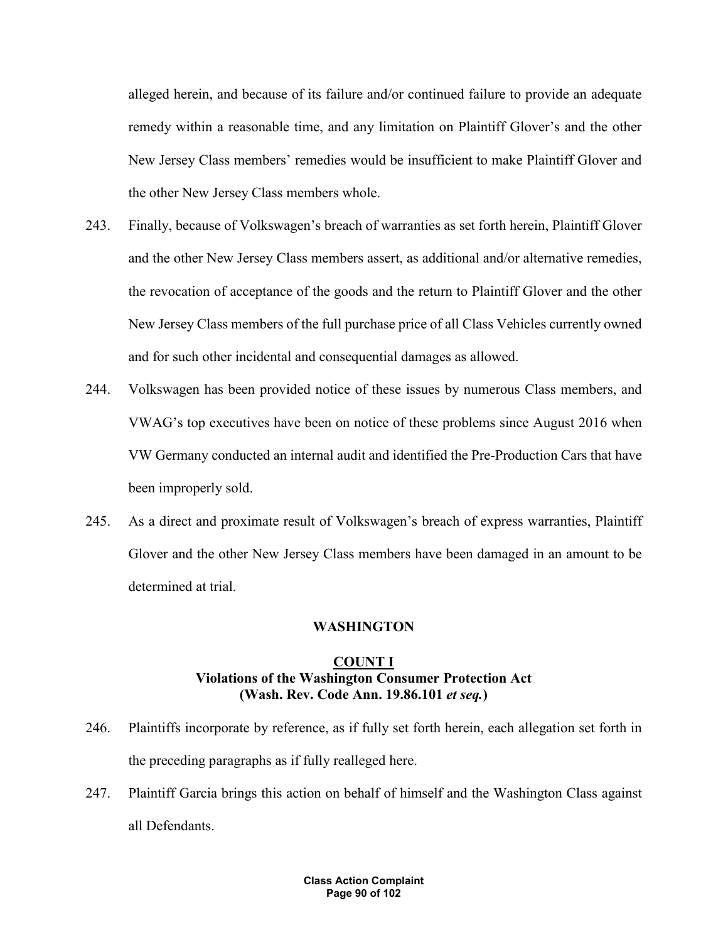alleged herein, and because of its failure and/or continued failure to provide an adequate remedy within a reasonable time, and any limitation on Plaintiff Glover's and the other New Jersey Class members' remedies would be insufficient to make Plaintiff Glover and the other New Jersey Class members whole.

- 243. Finally, because of Volkswagen's breach of warranties as set forth herein, Plaintiff Glover and the other New Jersey Class members assert, as additional and/or alternative remedies, the revocation of acceptance of the goods and the return to Plaintiff Glover and the other New Jersey Class members of the full purchase price of all Class Vehicles currently owned and for such other incidental and consequential damages as allowed.
- 244. Volkswagen has been provided notice of these issues by numerous Class members, and VWAG's top executives have been on notice of these problems since August 2016 when VW Germany conducted an internal audit and identified the Pre-Production Cars that have been improperly sold.
- 245. As a direct and proximate result of Volkswagen's breach of express warranties, Plaintiff Glover and the other New Jersey Class members have been damaged in an amount to be determined at trial.

### **WASHINGTON**

### **COUNT I Violations of the Washington Consumer Protection Act (Wash. Rev. Code Ann. 19.86.101** *et seq.***)**

- 246. Plaintiffs incorporate by reference, as if fully set forth herein, each allegation set forth in the preceding paragraphs as if fully realleged here.
- 247. Plaintiff Garcia brings this action on behalf of himself and the Washington Class against all Defendants.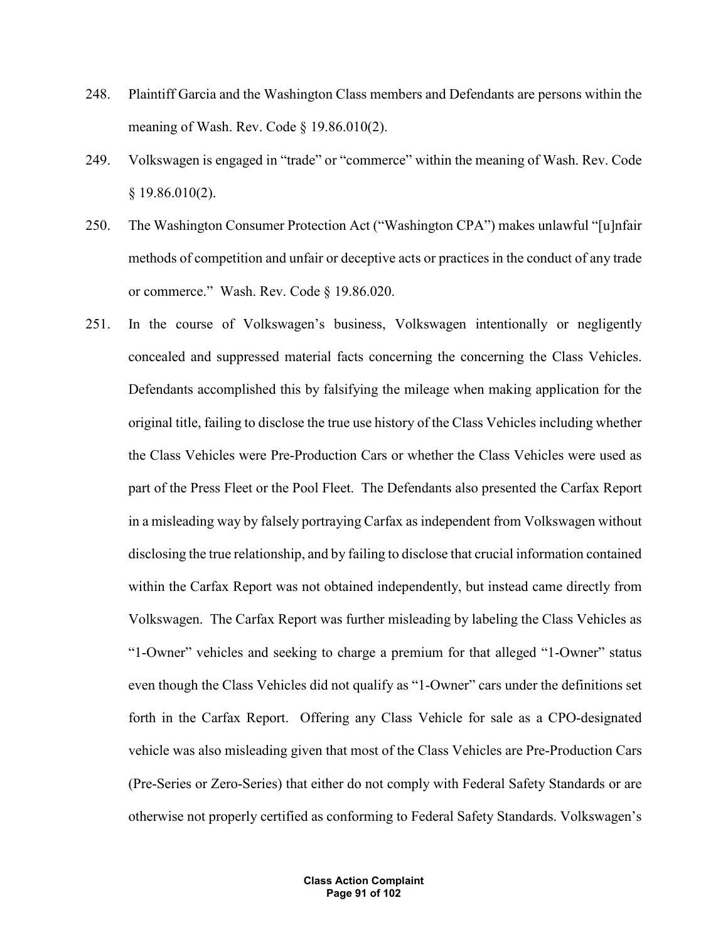- 248. Plaintiff Garcia and the Washington Class members and Defendants are persons within the meaning of Wash. Rev. Code  $\S$  19.86.010(2).
- 249. Volkswagen is engaged in "trade" or "commerce" within the meaning of Wash. Rev. Code  $§$  19.86.010(2).
- 250. The Washington Consumer Protection Act ("Washington CPA") makes unlawful "[u]nfair methods of competition and unfair or deceptive acts or practices in the conduct of any trade or commerce." Wash. Rev. Code § 19.86.020.
- 251. In the course of Volkswagen's business, Volkswagen intentionally or negligently concealed and suppressed material facts concerning the concerning the Class Vehicles. Defendants accomplished this by falsifying the mileage when making application for the original title, failing to disclose the true use history of the Class Vehicles including whether the Class Vehicles were Pre-Production Cars or whether the Class Vehicles were used as part of the Press Fleet or the Pool Fleet. The Defendants also presented the Carfax Report in a misleading way by falsely portraying Carfax as independent from Volkswagen without disclosing the true relationship, and by failing to disclose that crucial information contained within the Carfax Report was not obtained independently, but instead came directly from Volkswagen. The Carfax Report was further misleading by labeling the Class Vehicles as "1-Owner" vehicles and seeking to charge a premium for that alleged "1-Owner" status even though the Class Vehicles did not qualify as "1-Owner" cars under the definitions set forth in the Carfax Report. Offering any Class Vehicle for sale as a CPO-designated vehicle was also misleading given that most of the Class Vehicles are Pre-Production Cars (Pre-Series or Zero-Series) that either do not comply with Federal Safety Standards or are otherwise not properly certified as conforming to Federal Safety Standards. Volkswagen's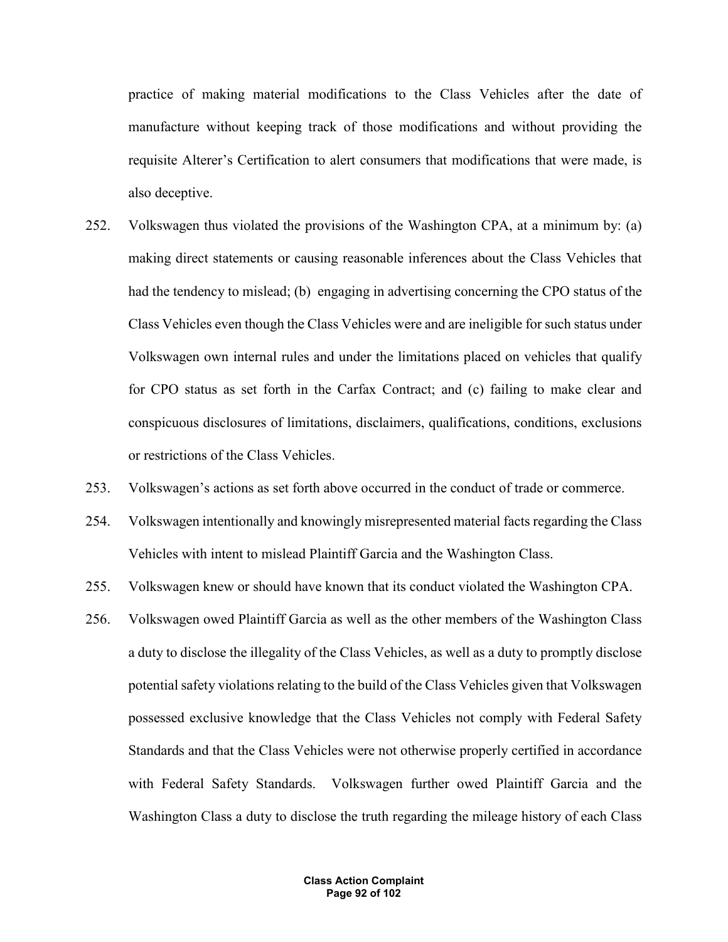practice of making material modifications to the Class Vehicles after the date of manufacture without keeping track of those modifications and without providing the requisite Alterer's Certification to alert consumers that modifications that were made, is also deceptive.

- 252. Volkswagen thus violated the provisions of the Washington CPA, at a minimum by: (a) making direct statements or causing reasonable inferences about the Class Vehicles that had the tendency to mislead; (b) engaging in advertising concerning the CPO status of the Class Vehicles even though the Class Vehicles were and are ineligible for such status under Volkswagen own internal rules and under the limitations placed on vehicles that qualify for CPO status as set forth in the Carfax Contract; and (c) failing to make clear and conspicuous disclosures of limitations, disclaimers, qualifications, conditions, exclusions or restrictions of the Class Vehicles.
- 253. Volkswagen's actions as set forth above occurred in the conduct of trade or commerce.
- 254. Volkswagen intentionally and knowingly misrepresented material facts regarding the Class Vehicles with intent to mislead Plaintiff Garcia and the Washington Class.
- 255. Volkswagen knew or should have known that its conduct violated the Washington CPA.
- 256. Volkswagen owed Plaintiff Garcia as well as the other members of the Washington Class a duty to disclose the illegality of the Class Vehicles, as well as a duty to promptly disclose potential safety violations relating to the build of the Class Vehicles given that Volkswagen possessed exclusive knowledge that the Class Vehicles not comply with Federal Safety Standards and that the Class Vehicles were not otherwise properly certified in accordance with Federal Safety Standards. Volkswagen further owed Plaintiff Garcia and the Washington Class a duty to disclose the truth regarding the mileage history of each Class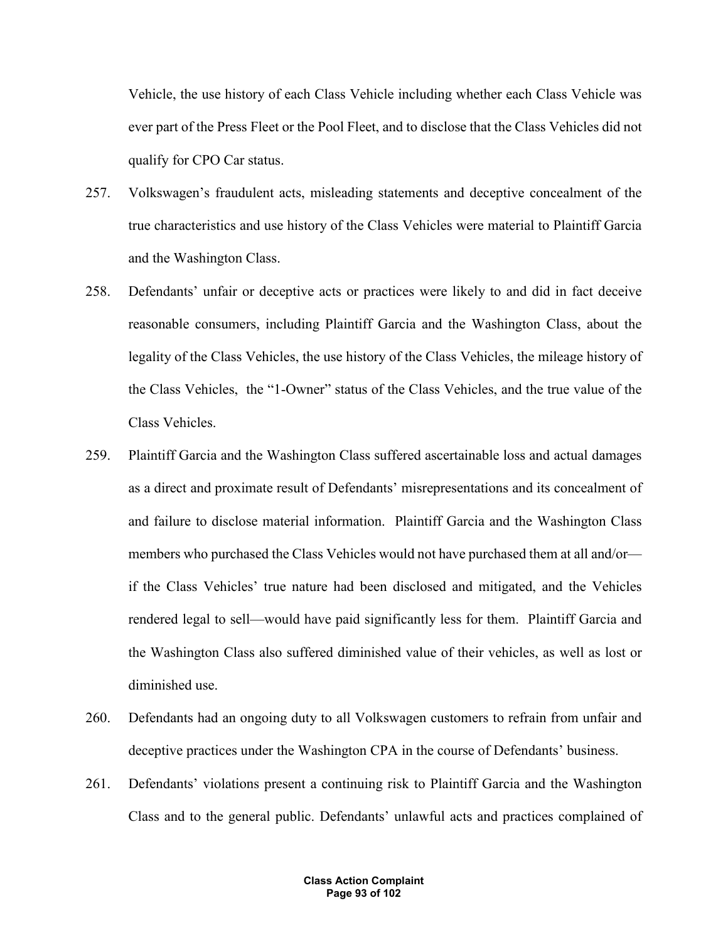Vehicle, the use history of each Class Vehicle including whether each Class Vehicle was ever part of the Press Fleet or the Pool Fleet, and to disclose that the Class Vehicles did not qualify for CPO Car status.

- 257. Volkswagen's fraudulent acts, misleading statements and deceptive concealment of the true characteristics and use history of the Class Vehicles were material to Plaintiff Garcia and the Washington Class.
- 258. Defendants' unfair or deceptive acts or practices were likely to and did in fact deceive reasonable consumers, including Plaintiff Garcia and the Washington Class, about the legality of the Class Vehicles, the use history of the Class Vehicles, the mileage history of the Class Vehicles, the "1-Owner" status of the Class Vehicles, and the true value of the Class Vehicles.
- 259. Plaintiff Garcia and the Washington Class suffered ascertainable loss and actual damages as a direct and proximate result of Defendants' misrepresentations and its concealment of and failure to disclose material information. Plaintiff Garcia and the Washington Class members who purchased the Class Vehicles would not have purchased them at all and/or if the Class Vehicles' true nature had been disclosed and mitigated, and the Vehicles rendered legal to sell—would have paid significantly less for them. Plaintiff Garcia and the Washington Class also suffered diminished value of their vehicles, as well as lost or diminished use.
- 260. Defendants had an ongoing duty to all Volkswagen customers to refrain from unfair and deceptive practices under the Washington CPA in the course of Defendants' business.
- 261. Defendants' violations present a continuing risk to Plaintiff Garcia and the Washington Class and to the general public. Defendants' unlawful acts and practices complained of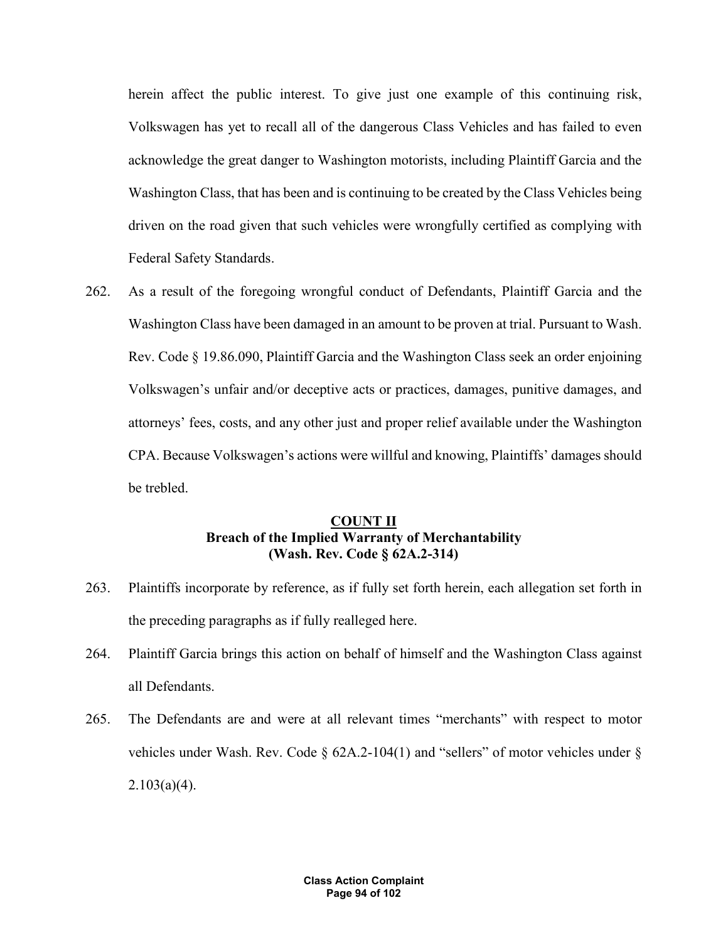herein affect the public interest. To give just one example of this continuing risk, Volkswagen has yet to recall all of the dangerous Class Vehicles and has failed to even acknowledge the great danger to Washington motorists, including Plaintiff Garcia and the Washington Class, that has been and is continuing to be created by the Class Vehicles being driven on the road given that such vehicles were wrongfully certified as complying with Federal Safety Standards.

262. As a result of the foregoing wrongful conduct of Defendants, Plaintiff Garcia and the Washington Class have been damaged in an amount to be proven at trial. Pursuant to Wash. Rev. Code § 19.86.090, Plaintiff Garcia and the Washington Class seek an order enjoining Volkswagen's unfair and/or deceptive acts or practices, damages, punitive damages, and attorneys' fees, costs, and any other just and proper relief available under the Washington CPA. Because Volkswagen's actions were willful and knowing, Plaintiffs' damages should be trebled.

# **COUNT II Breach of the Implied Warranty of Merchantability (Wash. Rev. Code § 62A.2-314)**

- 263. Plaintiffs incorporate by reference, as if fully set forth herein, each allegation set forth in the preceding paragraphs as if fully realleged here.
- 264. Plaintiff Garcia brings this action on behalf of himself and the Washington Class against all Defendants.
- 265. The Defendants are and were at all relevant times "merchants" with respect to motor vehicles under Wash. Rev. Code  $\S$  62A.2-104(1) and "sellers" of motor vehicles under  $\S$  $2.103(a)(4)$ .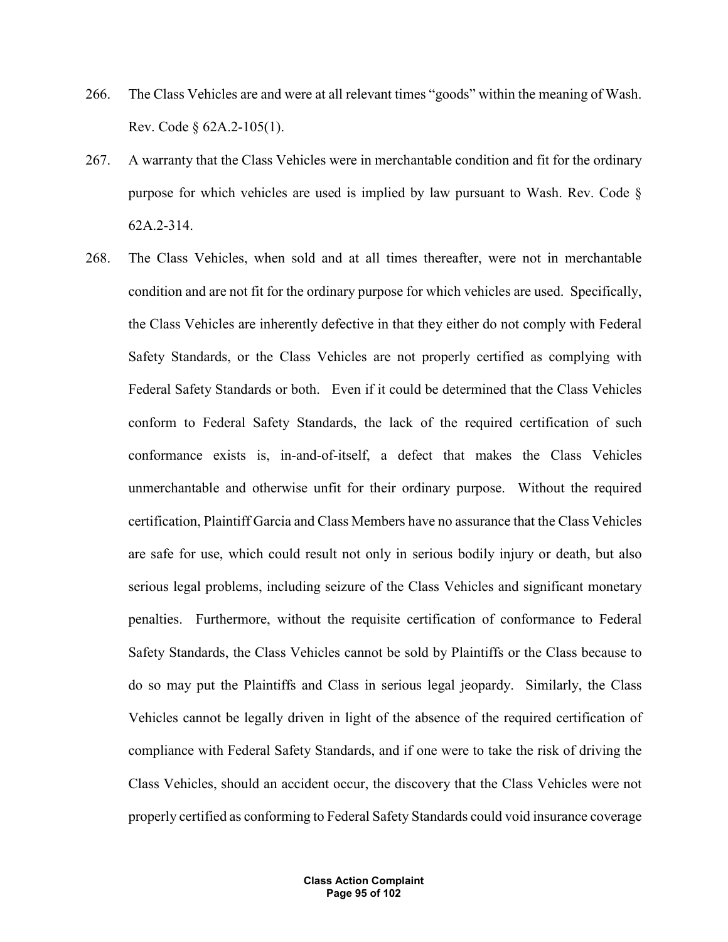- 266. The Class Vehicles are and were at all relevant times "goods" within the meaning of Wash. Rev. Code § 62A.2-105(1).
- 267. A warranty that the Class Vehicles were in merchantable condition and fit for the ordinary purpose for which vehicles are used is implied by law pursuant to Wash. Rev. Code § 62A.2-314.
- 268. The Class Vehicles, when sold and at all times thereafter, were not in merchantable condition and are not fit for the ordinary purpose for which vehicles are used. Specifically, the Class Vehicles are inherently defective in that they either do not comply with Federal Safety Standards, or the Class Vehicles are not properly certified as complying with Federal Safety Standards or both. Even if it could be determined that the Class Vehicles conform to Federal Safety Standards, the lack of the required certification of such conformance exists is, in-and-of-itself, a defect that makes the Class Vehicles unmerchantable and otherwise unfit for their ordinary purpose. Without the required certification, Plaintiff Garcia and Class Members have no assurance that the Class Vehicles are safe for use, which could result not only in serious bodily injury or death, but also serious legal problems, including seizure of the Class Vehicles and significant monetary penalties. Furthermore, without the requisite certification of conformance to Federal Safety Standards, the Class Vehicles cannot be sold by Plaintiffs or the Class because to do so may put the Plaintiffs and Class in serious legal jeopardy. Similarly, the Class Vehicles cannot be legally driven in light of the absence of the required certification of compliance with Federal Safety Standards, and if one were to take the risk of driving the Class Vehicles, should an accident occur, the discovery that the Class Vehicles were not properly certified as conforming to Federal Safety Standards could void insurance coverage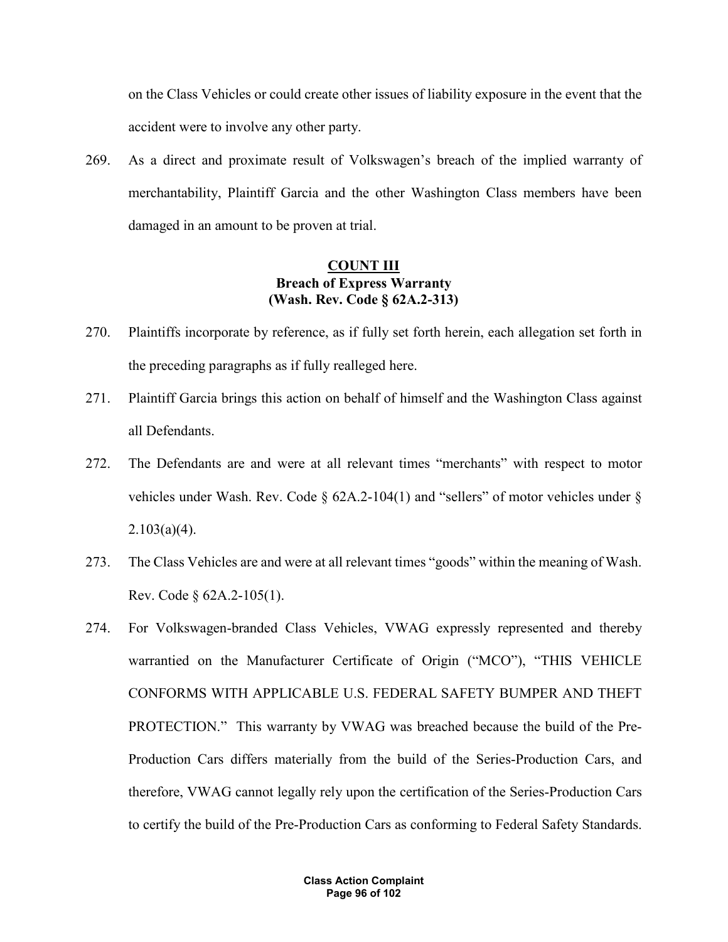on the Class Vehicles or could create other issues of liability exposure in the event that the accident were to involve any other party.

269. As a direct and proximate result of Volkswagen's breach of the implied warranty of merchantability, Plaintiff Garcia and the other Washington Class members have been damaged in an amount to be proven at trial.

# **COUNT III Breach of Express Warranty (Wash. Rev. Code § 62A.2-313)**

- 270. Plaintiffs incorporate by reference, as if fully set forth herein, each allegation set forth in the preceding paragraphs as if fully realleged here.
- 271. Plaintiff Garcia brings this action on behalf of himself and the Washington Class against all Defendants.
- 272. The Defendants are and were at all relevant times "merchants" with respect to motor vehicles under Wash. Rev. Code  $\S$  62A.2-104(1) and "sellers" of motor vehicles under  $\S$  $2.103(a)(4)$ .
- 273. The Class Vehicles are and were at all relevant times "goods" within the meaning of Wash. Rev. Code § 62A.2-105(1).
- 274. For Volkswagen-branded Class Vehicles, VWAG expressly represented and thereby warrantied on the Manufacturer Certificate of Origin ("MCO"), "THIS VEHICLE CONFORMS WITH APPLICABLE U.S. FEDERAL SAFETY BUMPER AND THEFT PROTECTION." This warranty by VWAG was breached because the build of the Pre-Production Cars differs materially from the build of the Series-Production Cars, and therefore, VWAG cannot legally rely upon the certification of the Series-Production Cars to certify the build of the Pre-Production Cars as conforming to Federal Safety Standards.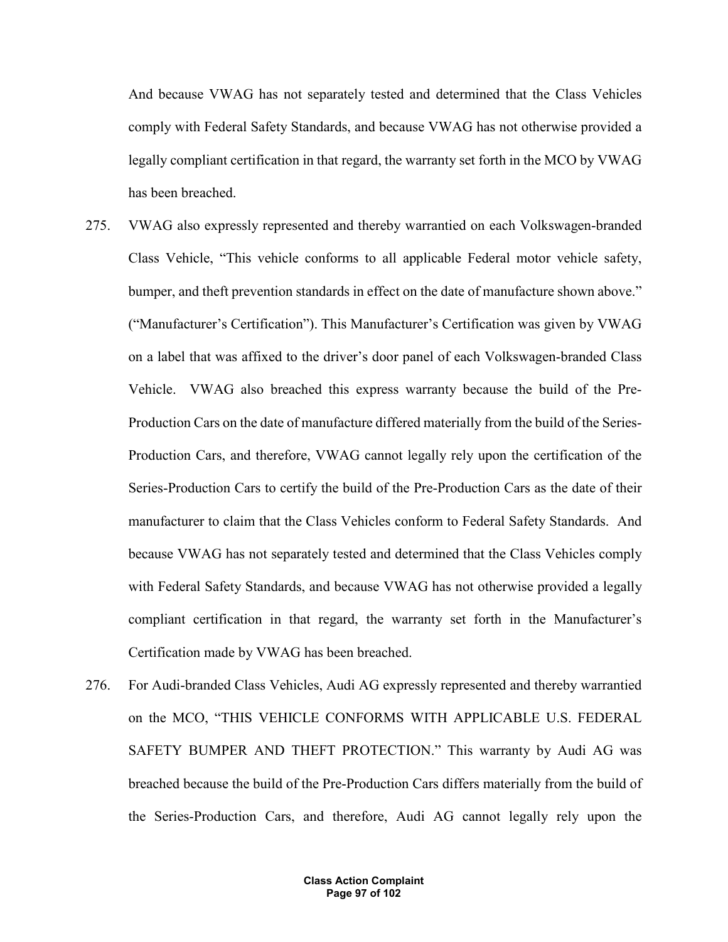And because VWAG has not separately tested and determined that the Class Vehicles comply with Federal Safety Standards, and because VWAG has not otherwise provided a legally compliant certification in that regard, the warranty set forth in the MCO by VWAG has been breached.

- 275. VWAG also expressly represented and thereby warrantied on each Volkswagen-branded Class Vehicle, "This vehicle conforms to all applicable Federal motor vehicle safety, bumper, and theft prevention standards in effect on the date of manufacture shown above." ("Manufacturer's Certification"). This Manufacturer's Certification was given by VWAG on a label that was affixed to the driver's door panel of each Volkswagen-branded Class Vehicle. VWAG also breached this express warranty because the build of the Pre-Production Cars on the date of manufacture differed materially from the build of the Series-Production Cars, and therefore, VWAG cannot legally rely upon the certification of the Series-Production Cars to certify the build of the Pre-Production Cars as the date of their manufacturer to claim that the Class Vehicles conform to Federal Safety Standards. And because VWAG has not separately tested and determined that the Class Vehicles comply with Federal Safety Standards, and because VWAG has not otherwise provided a legally compliant certification in that regard, the warranty set forth in the Manufacturer's Certification made by VWAG has been breached.
- 276. For Audi-branded Class Vehicles, Audi AG expressly represented and thereby warrantied on the MCO, "THIS VEHICLE CONFORMS WITH APPLICABLE U.S. FEDERAL SAFETY BUMPER AND THEFT PROTECTION." This warranty by Audi AG was breached because the build of the Pre-Production Cars differs materially from the build of the Series-Production Cars, and therefore, Audi AG cannot legally rely upon the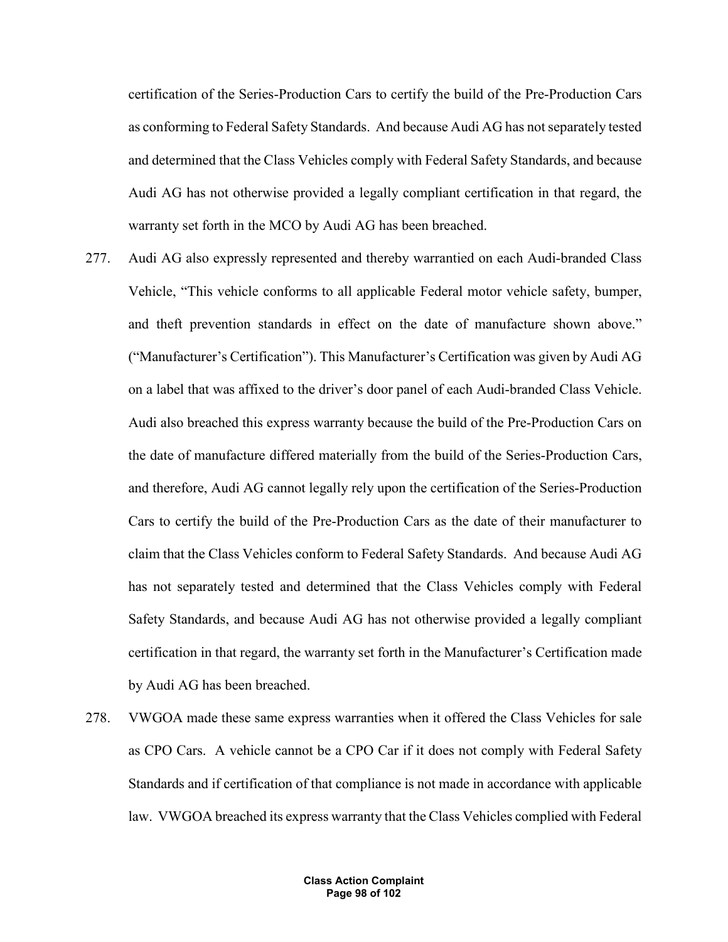certification of the Series-Production Cars to certify the build of the Pre-Production Cars as conforming to Federal Safety Standards. And because Audi AG has not separately tested and determined that the Class Vehicles comply with Federal Safety Standards, and because Audi AG has not otherwise provided a legally compliant certification in that regard, the warranty set forth in the MCO by Audi AG has been breached.

- 277. Audi AG also expressly represented and thereby warrantied on each Audi-branded Class Vehicle, "This vehicle conforms to all applicable Federal motor vehicle safety, bumper, and theft prevention standards in effect on the date of manufacture shown above." ("Manufacturer's Certification"). This Manufacturer's Certification was given by Audi AG on a label that was affixed to the driver's door panel of each Audi-branded Class Vehicle. Audi also breached this express warranty because the build of the Pre-Production Cars on the date of manufacture differed materially from the build of the Series-Production Cars, and therefore, Audi AG cannot legally rely upon the certification of the Series-Production Cars to certify the build of the Pre-Production Cars as the date of their manufacturer to claim that the Class Vehicles conform to Federal Safety Standards. And because Audi AG has not separately tested and determined that the Class Vehicles comply with Federal Safety Standards, and because Audi AG has not otherwise provided a legally compliant certification in that regard, the warranty set forth in the Manufacturer's Certification made by Audi AG has been breached.
- 278. VWGOA made these same express warranties when it offered the Class Vehicles for sale as CPO Cars. A vehicle cannot be a CPO Car if it does not comply with Federal Safety Standards and if certification of that compliance is not made in accordance with applicable law. VWGOA breached its express warranty that the Class Vehicles complied with Federal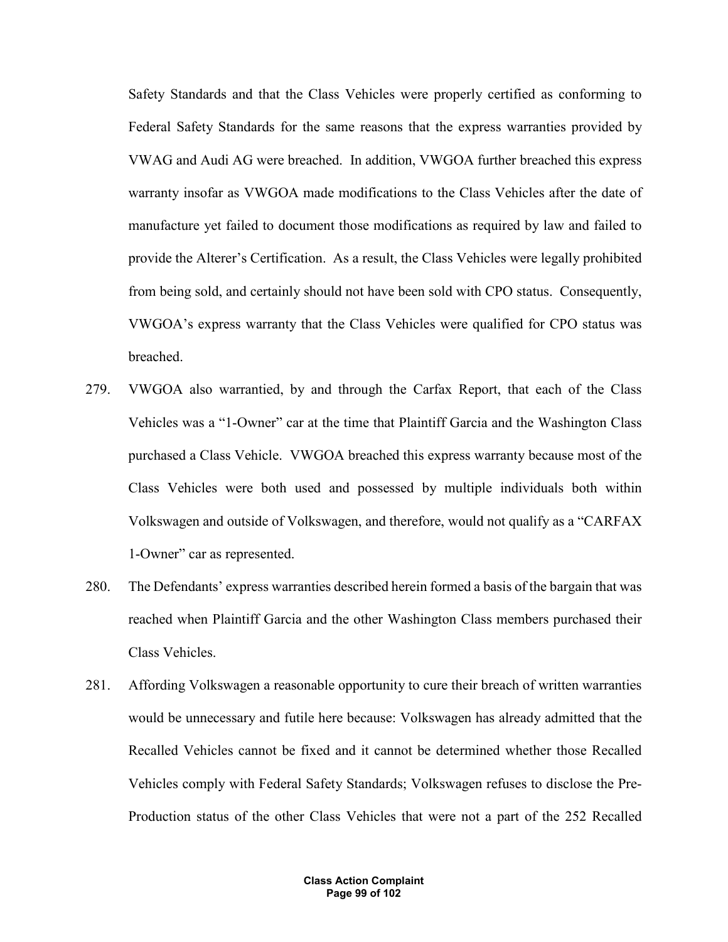Safety Standards and that the Class Vehicles were properly certified as conforming to Federal Safety Standards for the same reasons that the express warranties provided by VWAG and Audi AG were breached. In addition, VWGOA further breached this express warranty insofar as VWGOA made modifications to the Class Vehicles after the date of manufacture yet failed to document those modifications as required by law and failed to provide the Alterer's Certification. As a result, the Class Vehicles were legally prohibited from being sold, and certainly should not have been sold with CPO status. Consequently, VWGOA's express warranty that the Class Vehicles were qualified for CPO status was breached.

- 279. VWGOA also warrantied, by and through the Carfax Report, that each of the Class Vehicles was a "1-Owner" car at the time that Plaintiff Garcia and the Washington Class purchased a Class Vehicle. VWGOA breached this express warranty because most of the Class Vehicles were both used and possessed by multiple individuals both within Volkswagen and outside of Volkswagen, and therefore, would not qualify as a "CARFAX 1-Owner" car as represented.
- 280. The Defendants' express warranties described herein formed a basis of the bargain that was reached when Plaintiff Garcia and the other Washington Class members purchased their Class Vehicles.
- 281. Affording Volkswagen a reasonable opportunity to cure their breach of written warranties would be unnecessary and futile here because: Volkswagen has already admitted that the Recalled Vehicles cannot be fixed and it cannot be determined whether those Recalled Vehicles comply with Federal Safety Standards; Volkswagen refuses to disclose the Pre-Production status of the other Class Vehicles that were not a part of the 252 Recalled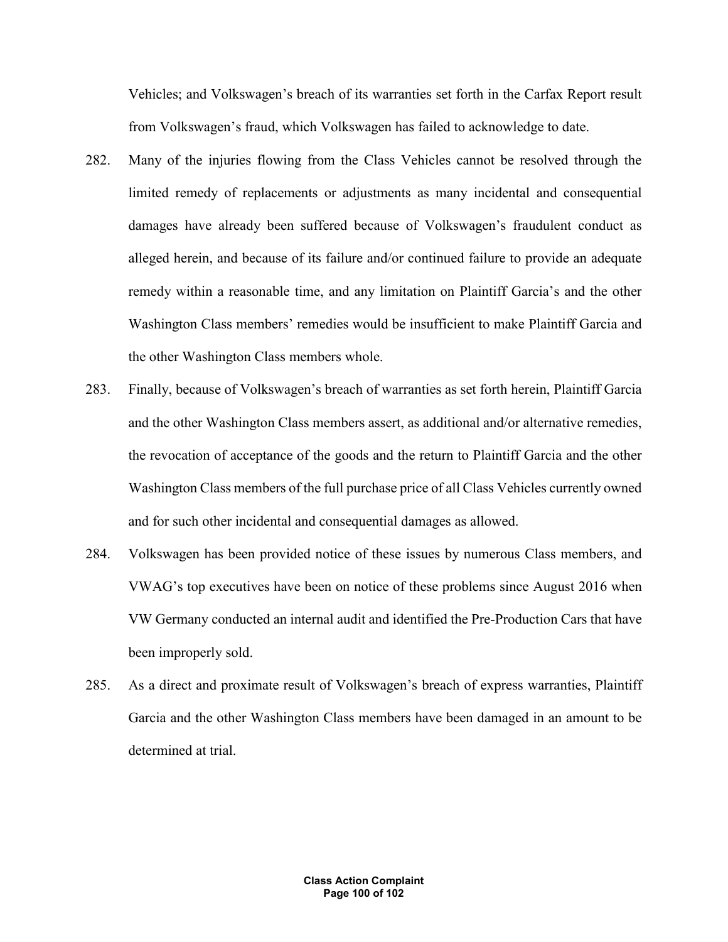Vehicles; and Volkswagen's breach of its warranties set forth in the Carfax Report result from Volkswagen's fraud, which Volkswagen has failed to acknowledge to date.

- 282. Many of the injuries flowing from the Class Vehicles cannot be resolved through the limited remedy of replacements or adjustments as many incidental and consequential damages have already been suffered because of Volkswagen's fraudulent conduct as alleged herein, and because of its failure and/or continued failure to provide an adequate remedy within a reasonable time, and any limitation on Plaintiff Garcia's and the other Washington Class members' remedies would be insufficient to make Plaintiff Garcia and the other Washington Class members whole.
- 283. Finally, because of Volkswagen's breach of warranties as set forth herein, Plaintiff Garcia and the other Washington Class members assert, as additional and/or alternative remedies, the revocation of acceptance of the goods and the return to Plaintiff Garcia and the other Washington Class members of the full purchase price of all Class Vehicles currently owned and for such other incidental and consequential damages as allowed.
- 284. Volkswagen has been provided notice of these issues by numerous Class members, and VWAG's top executives have been on notice of these problems since August 2016 when VW Germany conducted an internal audit and identified the Pre-Production Cars that have been improperly sold.
- 285. As a direct and proximate result of Volkswagen's breach of express warranties, Plaintiff Garcia and the other Washington Class members have been damaged in an amount to be determined at trial.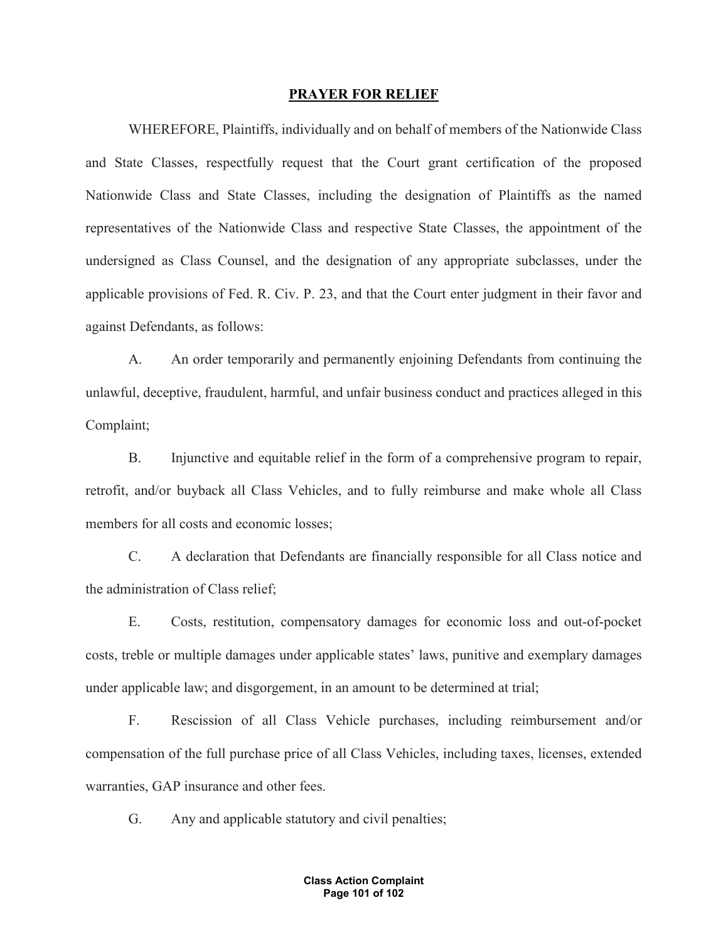#### **PRAYER FOR RELIEF**

WHEREFORE, Plaintiffs, individually and on behalf of members of the Nationwide Class and State Classes, respectfully request that the Court grant certification of the proposed Nationwide Class and State Classes, including the designation of Plaintiffs as the named representatives of the Nationwide Class and respective State Classes, the appointment of the undersigned as Class Counsel, and the designation of any appropriate subclasses, under the applicable provisions of Fed. R. Civ. P. 23, and that the Court enter judgment in their favor and against Defendants, as follows:

A. An order temporarily and permanently enjoining Defendants from continuing the unlawful, deceptive, fraudulent, harmful, and unfair business conduct and practices alleged in this Complaint;

B. Injunctive and equitable relief in the form of a comprehensive program to repair, retrofit, and/or buyback all Class Vehicles, and to fully reimburse and make whole all Class members for all costs and economic losses;

C. A declaration that Defendants are financially responsible for all Class notice and the administration of Class relief;

E. Costs, restitution, compensatory damages for economic loss and out-of-pocket costs, treble or multiple damages under applicable states' laws, punitive and exemplary damages under applicable law; and disgorgement, in an amount to be determined at trial;

F. Rescission of all Class Vehicle purchases, including reimbursement and/or compensation of the full purchase price of all Class Vehicles, including taxes, licenses, extended warranties, GAP insurance and other fees.

G. Any and applicable statutory and civil penalties;